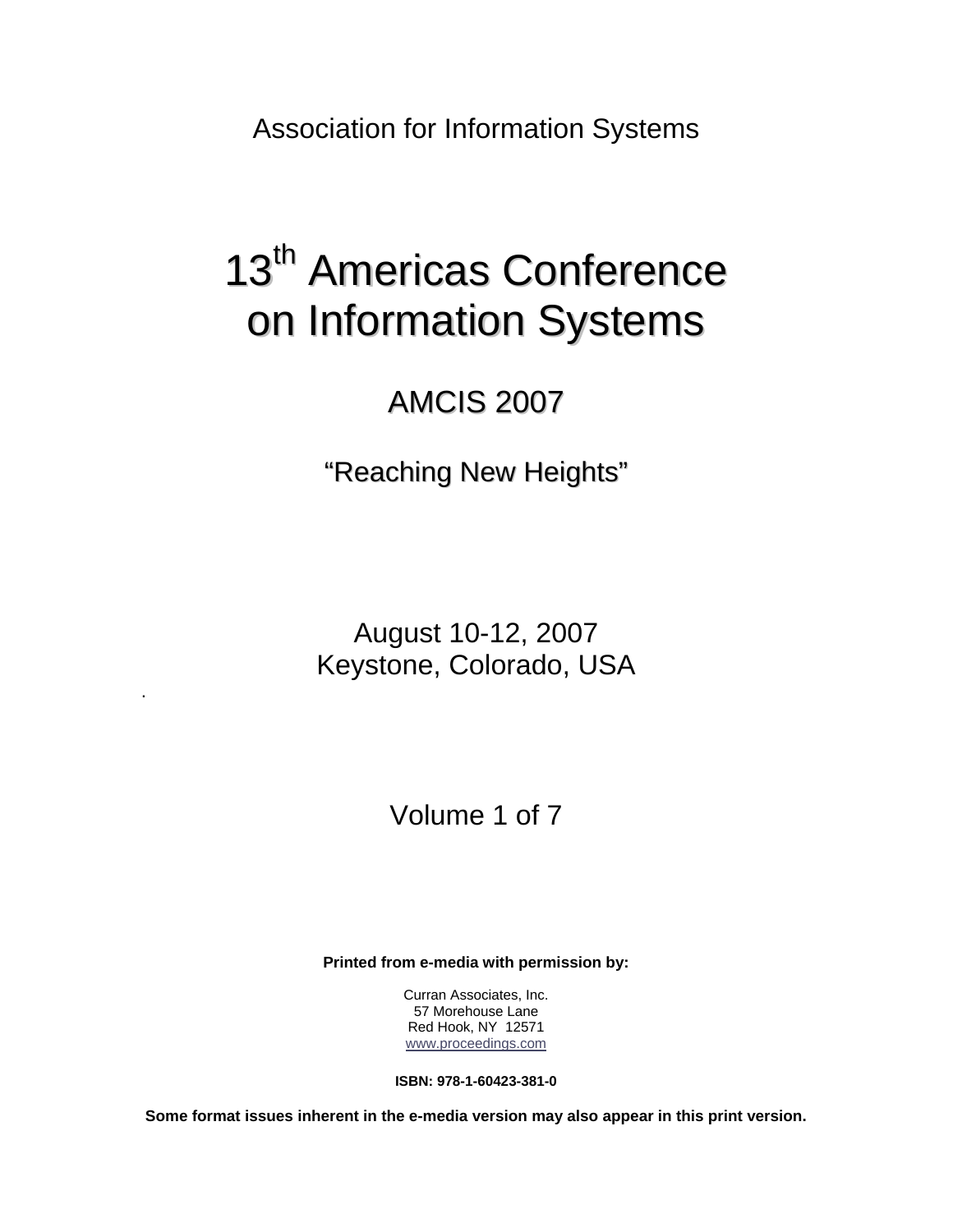Association for Information Systems

# 13<sup>th</sup> Americas Conference on Information Systems

## AMCIS 2007

"Reaching New Heights"

August 10-12, 2007 Keystone, Colorado, USA

.

Volume 1 of 7

**Printed from e-media with permission by:** 

Curran Associates, Inc. 57 Morehouse Lane Red Hook, NY 12571 [www.proceedings.com](http://www.proceedings.com/)

**ISBN: 978-1-60423-381-0** 

**Some format issues inherent in the e-media version may also appear in this print version.**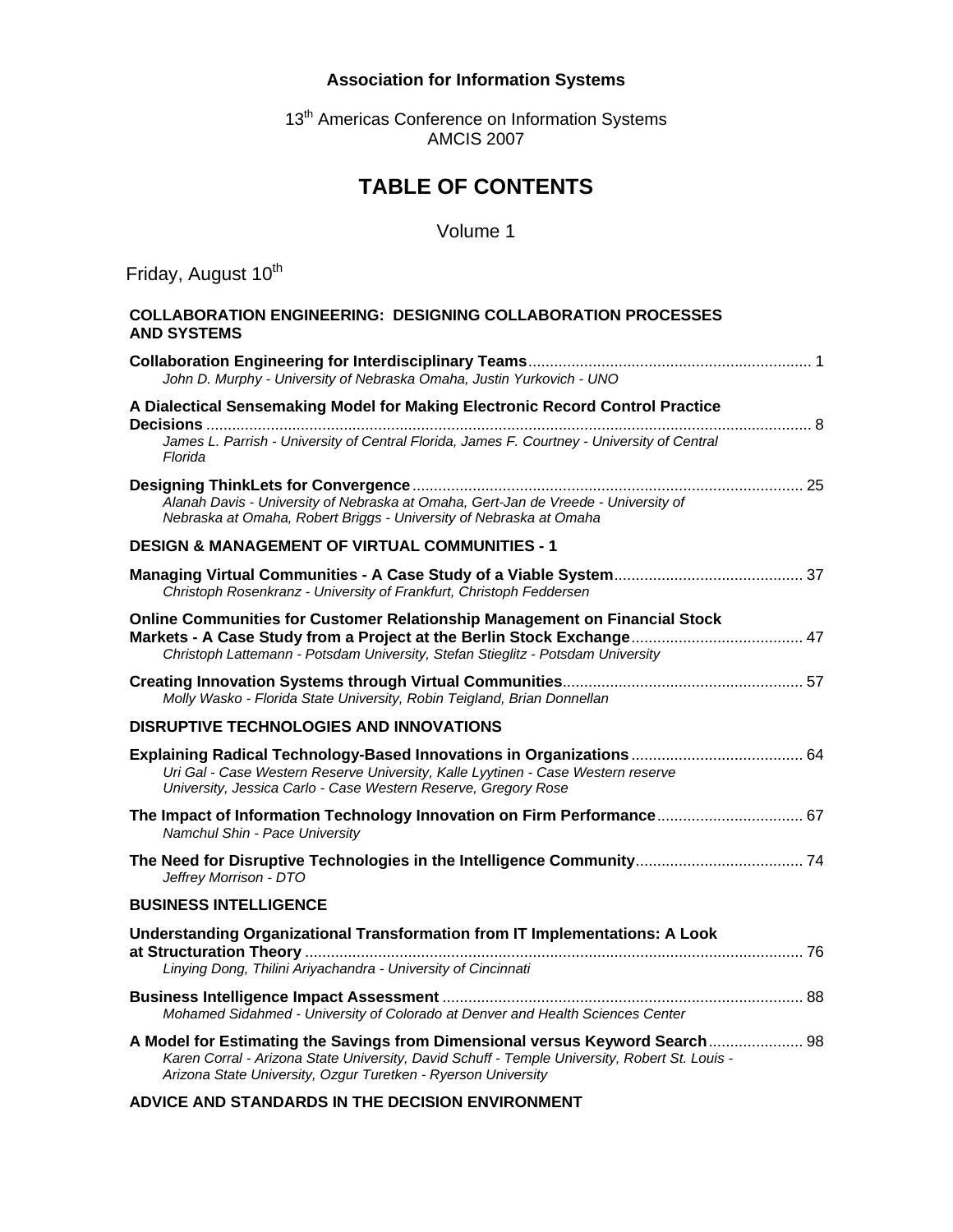#### **Association for Information Systems**

13<sup>th</sup> Americas Conference on Information Systems AMCIS 2007

### **TABLE OF CONTENTS**

#### Volume 1

Friday, August 10<sup>th</sup>

#### **COLLABORATION ENGINEERING: DESIGNING COLLABORATION PROCESSES AND SYSTEMS**

| John D. Murphy - University of Nebraska Omaha, Justin Yurkovich - UNO                                                                                                                                                                          |
|------------------------------------------------------------------------------------------------------------------------------------------------------------------------------------------------------------------------------------------------|
| A Dialectical Sensemaking Model for Making Electronic Record Control Practice<br>James L. Parrish - University of Central Florida, James F. Courtney - University of Central<br>Florida                                                        |
| Alanah Davis - University of Nebraska at Omaha, Gert-Jan de Vreede - University of<br>Nebraska at Omaha, Robert Briggs - University of Nebraska at Omaha                                                                                       |
| <b>DESIGN &amp; MANAGEMENT OF VIRTUAL COMMUNITIES - 1</b>                                                                                                                                                                                      |
| Christoph Rosenkranz - University of Frankfurt, Christoph Feddersen                                                                                                                                                                            |
| <b>Online Communities for Customer Relationship Management on Financial Stock</b><br>Christoph Lattemann - Potsdam University, Stefan Stieglitz - Potsdam University                                                                           |
| Molly Wasko - Florida State University, Robin Teigland, Brian Donnellan                                                                                                                                                                        |
| <b>DISRUPTIVE TECHNOLOGIES AND INNOVATIONS</b>                                                                                                                                                                                                 |
| Uri Gal - Case Western Reserve University, Kalle Lyytinen - Case Western reserve<br>University, Jessica Carlo - Case Western Reserve, Gregory Rose                                                                                             |
| The Impact of Information Technology Innovation on Firm Performance 67<br>Namchul Shin - Pace University                                                                                                                                       |
| Jeffrey Morrison - DTO                                                                                                                                                                                                                         |
| <b>BUSINESS INTELLIGENCE</b>                                                                                                                                                                                                                   |
| Understanding Organizational Transformation from IT Implementations: A Look<br>Linying Dong, Thilini Ariyachandra - University of Cincinnati                                                                                                   |
| Mohamed Sidahmed - University of Colorado at Denver and Health Sciences Center                                                                                                                                                                 |
| A Model for Estimating the Savings from Dimensional versus Keyword Search 98<br>Karen Corral - Arizona State University, David Schuff - Temple University, Robert St. Louis -<br>Arizona State University, Ozgur Turetken - Ryerson University |

**ADVICE AND STANDARDS IN THE DECISION ENVIRONMENT**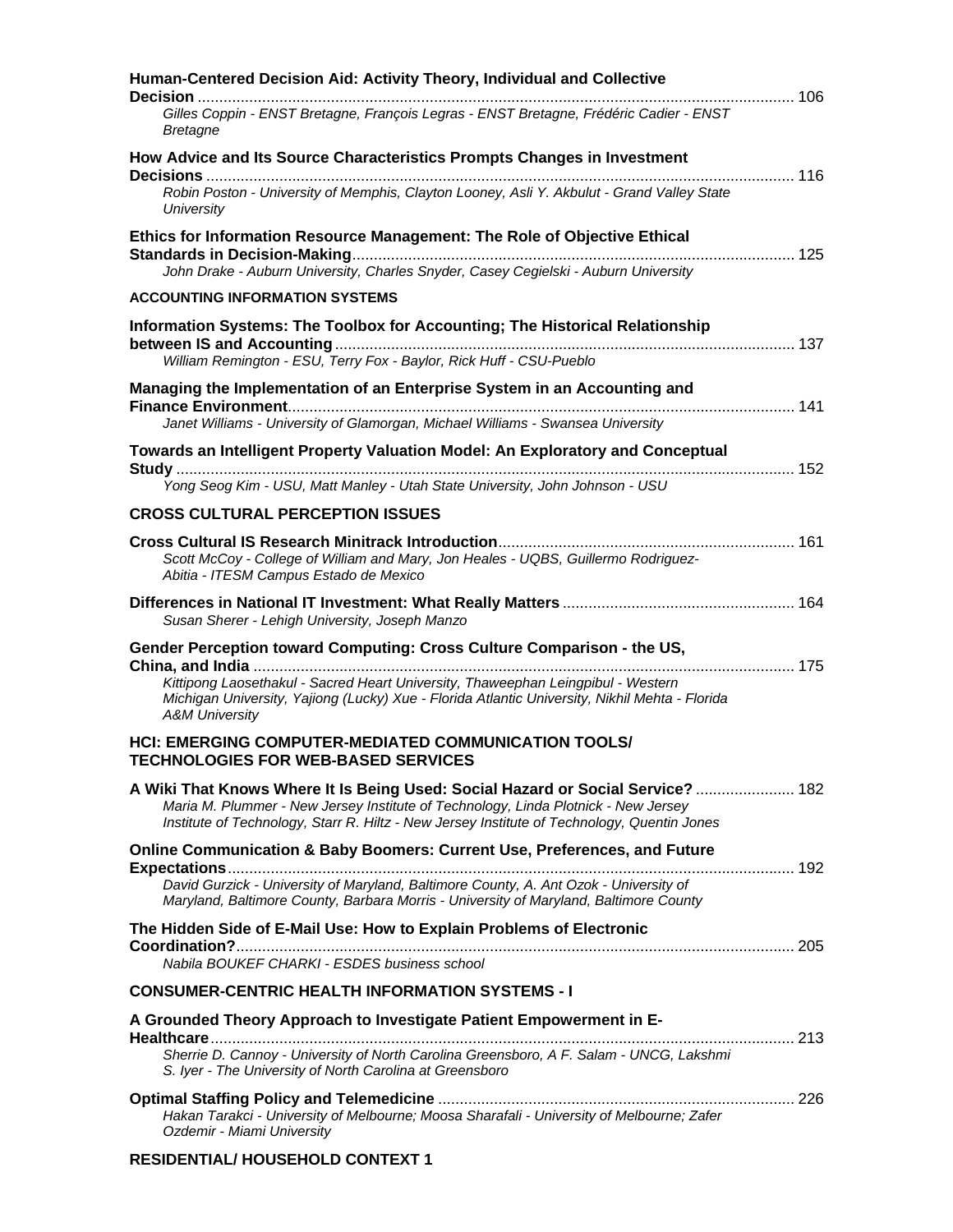#### **RESIDENTIAL/ HOUSEHOLD CONTEXT 1**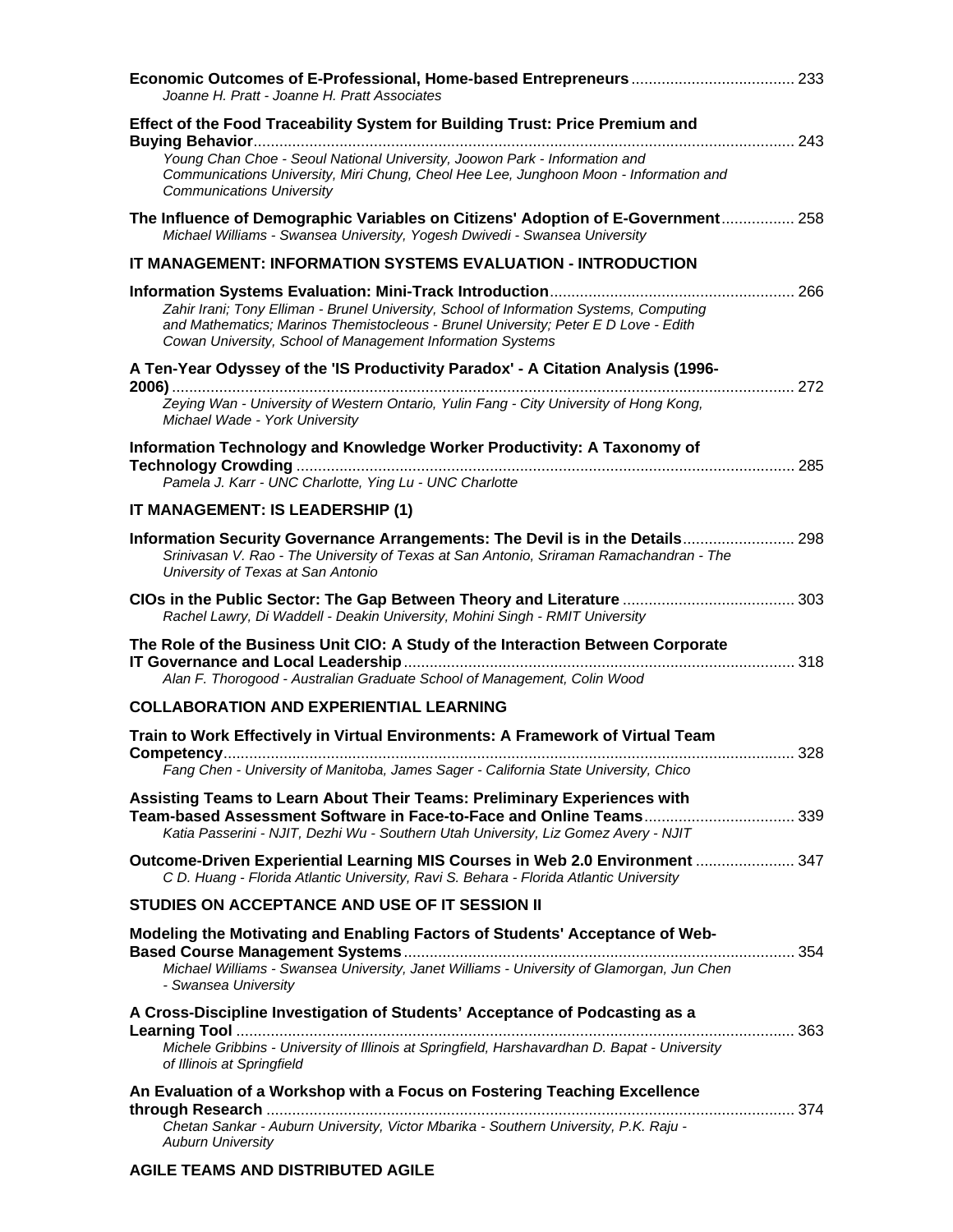| Joanne H. Pratt - Joanne H. Pratt Associates                                                                                                                                                                                                 |  |
|----------------------------------------------------------------------------------------------------------------------------------------------------------------------------------------------------------------------------------------------|--|
| Effect of the Food Traceability System for Building Trust: Price Premium and                                                                                                                                                                 |  |
| Young Chan Choe - Seoul National University, Joowon Park - Information and<br>Communications University, Miri Chung, Cheol Hee Lee, Junghoon Moon - Information and<br><b>Communications University</b>                                      |  |
| The Influence of Demographic Variables on Citizens' Adoption of E-Government 258<br>Michael Williams - Swansea University, Yogesh Dwivedi - Swansea University                                                                               |  |
| IT MANAGEMENT: INFORMATION SYSTEMS EVALUATION - INTRODUCTION                                                                                                                                                                                 |  |
| Zahir Irani; Tony Elliman - Brunel University, School of Information Systems, Computing<br>and Mathematics; Marinos Themistocleous - Brunel University; Peter E D Love - Edith<br>Cowan University, School of Management Information Systems |  |
| A Ten-Year Odyssey of the 'IS Productivity Paradox' - A Citation Analysis (1996-                                                                                                                                                             |  |
| Zeying Wan - University of Western Ontario, Yulin Fang - City University of Hong Kong,<br>Michael Wade - York University                                                                                                                     |  |
| Information Technology and Knowledge Worker Productivity: A Taxonomy of                                                                                                                                                                      |  |
| Pamela J. Karr - UNC Charlotte, Ying Lu - UNC Charlotte<br>IT MANAGEMENT: IS LEADERSHIP (1)                                                                                                                                                  |  |
|                                                                                                                                                                                                                                              |  |
| Information Security Governance Arrangements: The Devil is in the Details 298<br>Srinivasan V. Rao - The University of Texas at San Antonio, Sriraman Ramachandran - The<br>University of Texas at San Antonio                               |  |
| Rachel Lawry, Di Waddell - Deakin University, Mohini Singh - RMIT University                                                                                                                                                                 |  |
| The Role of the Business Unit CIO: A Study of the Interaction Between Corporate<br>Alan F. Thorogood - Australian Graduate School of Management, Colin Wood                                                                                  |  |
| <b>COLLABORATION AND EXPERIENTIAL LEARNING</b>                                                                                                                                                                                               |  |
| Train to Work Effectively in Virtual Environments: A Framework of Virtual Team                                                                                                                                                               |  |
| Fang Chen - University of Manitoba, James Sager - California State University, Chico                                                                                                                                                         |  |
| Assisting Teams to Learn About Their Teams: Preliminary Experiences with                                                                                                                                                                     |  |
| Katia Passerini - NJIT, Dezhi Wu - Southern Utah University, Liz Gomez Avery - NJIT                                                                                                                                                          |  |
| Outcome-Driven Experiential Learning MIS Courses in Web 2.0 Environment  347<br>C D. Huang - Florida Atlantic University, Ravi S. Behara - Florida Atlantic University                                                                       |  |
| STUDIES ON ACCEPTANCE AND USE OF IT SESSION II                                                                                                                                                                                               |  |
| Modeling the Motivating and Enabling Factors of Students' Acceptance of Web-                                                                                                                                                                 |  |
| Michael Williams - Swansea University, Janet Williams - University of Glamorgan, Jun Chen<br>- Swansea University                                                                                                                            |  |
| A Cross-Discipline Investigation of Students' Acceptance of Podcasting as a                                                                                                                                                                  |  |
| Michele Gribbins - University of Illinois at Springfield, Harshavardhan D. Bapat - University<br>of Illinois at Springfield                                                                                                                  |  |
| An Evaluation of a Workshop with a Focus on Fostering Teaching Excellence                                                                                                                                                                    |  |
| Chetan Sankar - Auburn University, Victor Mbarika - Southern University, P.K. Raju -<br><b>Auburn University</b>                                                                                                                             |  |

#### **AGILE TEAMS AND DISTRIBUTED AGILE**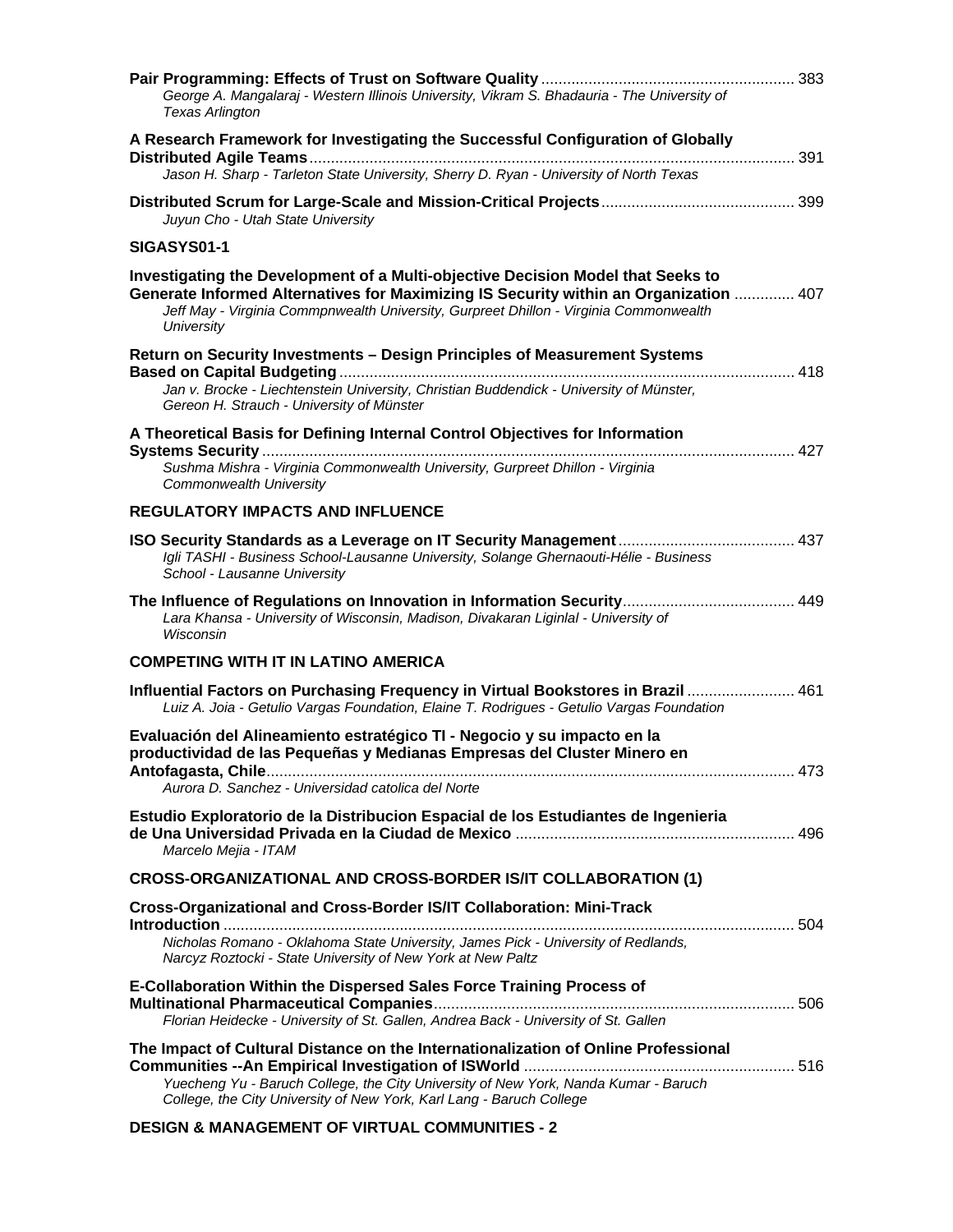| George A. Mangalaraj - Western Illinois University, Vikram S. Bhadauria - The University of<br><b>Texas Arlington</b>                                                                                                                                                           |     |
|---------------------------------------------------------------------------------------------------------------------------------------------------------------------------------------------------------------------------------------------------------------------------------|-----|
| A Research Framework for Investigating the Successful Configuration of Globally                                                                                                                                                                                                 |     |
| Jason H. Sharp - Tarleton State University, Sherry D. Ryan - University of North Texas                                                                                                                                                                                          |     |
| Juyun Cho - Utah State University                                                                                                                                                                                                                                               |     |
| SIGASYS01-1                                                                                                                                                                                                                                                                     |     |
| Investigating the Development of a Multi-objective Decision Model that Seeks to<br>Generate Informed Alternatives for Maximizing IS Security within an Organization  407<br>Jeff May - Virginia Commpnwealth University, Gurpreet Dhillon - Virginia Commonwealth<br>University |     |
| Return on Security Investments - Design Principles of Measurement Systems                                                                                                                                                                                                       |     |
| Jan v. Brocke - Liechtenstein University, Christian Buddendick - University of Münster,<br>Gereon H. Strauch - University of Münster                                                                                                                                            |     |
| A Theoretical Basis for Defining Internal Control Objectives for Information                                                                                                                                                                                                    |     |
| Sushma Mishra - Virginia Commonwealth University, Gurpreet Dhillon - Virginia<br>Commonwealth University                                                                                                                                                                        |     |
| <b>REGULATORY IMPACTS AND INFLUENCE</b>                                                                                                                                                                                                                                         |     |
| Igli TASHI - Business School-Lausanne University, Solange Ghernaouti-Hélie - Business<br>School - Lausanne University                                                                                                                                                           |     |
| Lara Khansa - University of Wisconsin, Madison, Divakaran Liginlal - University of<br>Wisconsin                                                                                                                                                                                 |     |
| <b>COMPETING WITH IT IN LATINO AMERICA</b>                                                                                                                                                                                                                                      |     |
| Influential Factors on Purchasing Frequency in Virtual Bookstores in Brazil  461<br>Luiz A. Joia - Getulio Vargas Foundation, Elaine T. Rodrigues - Getulio Vargas Foundation                                                                                                   |     |
| Evaluación del Alineamiento estratégico TI - Negocio y su impacto en la<br>productividad de las Pequeñas y Medianas Empresas del Cluster Minero en                                                                                                                              | 473 |
| Aurora D. Sanchez - Universidad catolica del Norte                                                                                                                                                                                                                              |     |
| Estudio Exploratorio de la Distribucion Espacial de los Estudiantes de Ingenieria<br>Marcelo Mejia - ITAM                                                                                                                                                                       |     |
| <b>CROSS-ORGANIZATIONAL AND CROSS-BORDER IS/IT COLLABORATION (1)</b>                                                                                                                                                                                                            |     |
| Cross-Organizational and Cross-Border IS/IT Collaboration: Mini-Track<br>Nicholas Romano - Oklahoma State University, James Pick - University of Redlands,                                                                                                                      |     |
| Narcyz Roztocki - State University of New York at New Paltz                                                                                                                                                                                                                     |     |
| E-Collaboration Within the Dispersed Sales Force Training Process of<br>Florian Heidecke - University of St. Gallen, Andrea Back - University of St. Gallen                                                                                                                     |     |
| The Impact of Cultural Distance on the Internationalization of Online Professional<br>Yuecheng Yu - Baruch College, the City University of New York, Nanda Kumar - Baruch<br>College, the City University of New York, Karl Lang - Baruch College                               |     |

#### **DESIGN & MANAGEMENT OF VIRTUAL COMMUNITIES - 2**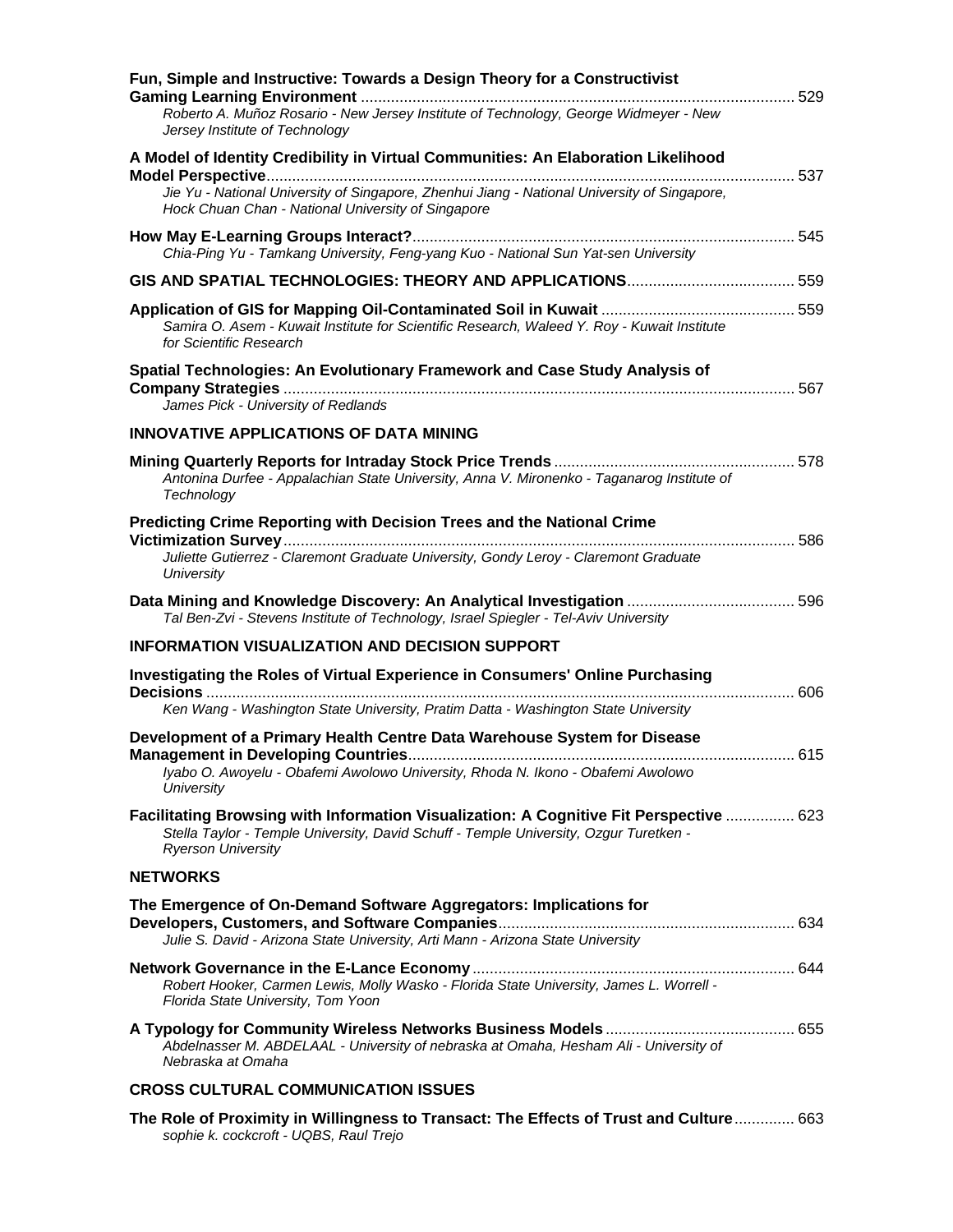| Fun, Simple and Instructive: Towards a Design Theory for a Constructivist                                                                                                                                    |  |
|--------------------------------------------------------------------------------------------------------------------------------------------------------------------------------------------------------------|--|
| Roberto A. Muñoz Rosario - New Jersey Institute of Technology, George Widmeyer - New<br>Jersey Institute of Technology                                                                                       |  |
| A Model of Identity Credibility in Virtual Communities: An Elaboration Likelihood                                                                                                                            |  |
| Jie Yu - National University of Singapore, Zhenhui Jiang - National University of Singapore,<br>Hock Chuan Chan - National University of Singapore                                                           |  |
| Chia-Ping Yu - Tamkang University, Feng-yang Kuo - National Sun Yat-sen University                                                                                                                           |  |
|                                                                                                                                                                                                              |  |
| Samira O. Asem - Kuwait Institute for Scientific Research, Waleed Y. Roy - Kuwait Institute<br>for Scientific Research                                                                                       |  |
| Spatial Technologies: An Evolutionary Framework and Case Study Analysis of<br>James Pick - University of Redlands                                                                                            |  |
| <b>INNOVATIVE APPLICATIONS OF DATA MINING</b>                                                                                                                                                                |  |
| Antonina Durfee - Appalachian State University, Anna V. Mironenko - Taganarog Institute of<br>Technology                                                                                                     |  |
| Predicting Crime Reporting with Decision Trees and the National Crime<br>Juliette Gutierrez - Claremont Graduate University, Gondy Leroy - Claremont Graduate<br>University                                  |  |
| Tal Ben-Zvi - Stevens Institute of Technology, Israel Spiegler - Tel-Aviv University                                                                                                                         |  |
| <b>INFORMATION VISUALIZATION AND DECISION SUPPORT</b>                                                                                                                                                        |  |
| Investigating the Roles of Virtual Experience in Consumers' Online Purchasing                                                                                                                                |  |
| Ken Wang - Washington State University, Pratim Datta - Washington State University                                                                                                                           |  |
| Development of a Primary Health Centre Data Warehouse System for Disease                                                                                                                                     |  |
| Iyabo O. Awoyelu - Obafemi Awolowo University, Rhoda N. Ikono - Obafemi Awolowo<br>University                                                                                                                |  |
| Facilitating Browsing with Information Visualization: A Cognitive Fit Perspective  623<br>Stella Taylor - Temple University, David Schuff - Temple University, Ozgur Turetken -<br><b>Ryerson University</b> |  |
| <b>NETWORKS</b>                                                                                                                                                                                              |  |
| The Emergence of On-Demand Software Aggregators: Implications for<br>Julie S. David - Arizona State University, Arti Mann - Arizona State University                                                         |  |
| Robert Hooker, Carmen Lewis, Molly Wasko - Florida State University, James L. Worrell -<br>Florida State University, Tom Yoon                                                                                |  |
| Abdelnasser M. ABDELAAL - University of nebraska at Omaha, Hesham Ali - University of<br>Nebraska at Omaha                                                                                                   |  |
| <b>CROSS CULTURAL COMMUNICATION ISSUES</b>                                                                                                                                                                   |  |
| The Role of Proximity in Willingness to Transact: The Effects of Trust and Culture 663<br>sophie k. cockcroft - UQBS, Raul Trejo                                                                             |  |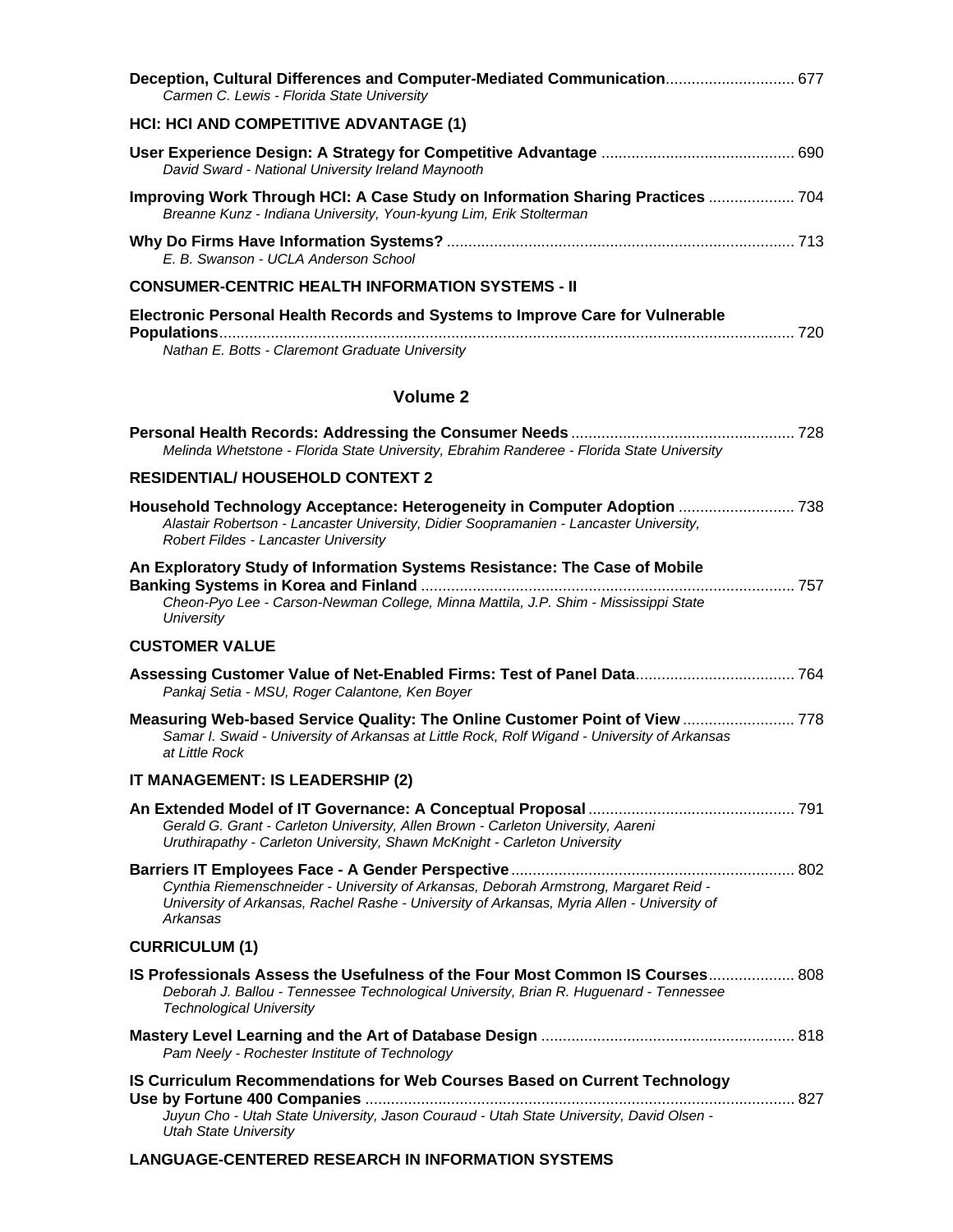| Deception, Cultural Differences and Computer-Mediated Communication 677<br>Carmen C. Lewis - Florida State University                                                                                      |  |
|------------------------------------------------------------------------------------------------------------------------------------------------------------------------------------------------------------|--|
| <b>HCI: HCI AND COMPETITIVE ADVANTAGE (1)</b>                                                                                                                                                              |  |
| David Sward - National University Ireland Maynooth                                                                                                                                                         |  |
| Improving Work Through HCI: A Case Study on Information Sharing Practices  704<br>Breanne Kunz - Indiana University, Youn-kyung Lim, Erik Stolterman                                                       |  |
| E. B. Swanson - UCLA Anderson School                                                                                                                                                                       |  |
| <b>CONSUMER-CENTRIC HEALTH INFORMATION SYSTEMS - II</b>                                                                                                                                                    |  |
| Electronic Personal Health Records and Systems to Improve Care for Vulnerable<br>Nathan E. Botts - Claremont Graduate University                                                                           |  |
| <b>Volume 2</b>                                                                                                                                                                                            |  |
| Melinda Whetstone - Florida State University, Ebrahim Randeree - Florida State University                                                                                                                  |  |
| <b>RESIDENTIAL/ HOUSEHOLD CONTEXT 2</b>                                                                                                                                                                    |  |
| Alastair Robertson - Lancaster University, Didier Soopramanien - Lancaster University,<br>Robert Fildes - Lancaster University                                                                             |  |
| An Exploratory Study of Information Systems Resistance: The Case of Mobile<br>Cheon-Pyo Lee - Carson-Newman College, Minna Mattila, J.P. Shim - Mississippi State<br>University                            |  |
| <b>CUSTOMER VALUE</b>                                                                                                                                                                                      |  |
| Pankaj Setia - MSU, Roger Calantone, Ken Boyer                                                                                                                                                             |  |
| Measuring Web-based Service Quality: The Online Customer Point of View  778<br>Samar I. Swaid - University of Arkansas at Little Rock, Rolf Wigand - University of Arkansas<br>at Little Rock              |  |
| IT MANAGEMENT: IS LEADERSHIP (2)                                                                                                                                                                           |  |
| Gerald G. Grant - Carleton University, Allen Brown - Carleton University, Aareni<br>Uruthirapathy - Carleton University, Shawn McKnight - Carleton University                                              |  |
| Cynthia Riemenschneider - University of Arkansas, Deborah Armstrong, Margaret Reid -<br>University of Arkansas, Rachel Rashe - University of Arkansas, Myria Allen - University of<br>Arkansas             |  |
| <b>CURRICULUM (1)</b>                                                                                                                                                                                      |  |
| IS Professionals Assess the Usefulness of the Four Most Common IS Courses 808<br>Deborah J. Ballou - Tennessee Technological University, Brian R. Huguenard - Tennessee<br><b>Technological University</b> |  |
| Pam Neely - Rochester Institute of Technology                                                                                                                                                              |  |
| IS Curriculum Recommendations for Web Courses Based on Current Technology<br>Juyun Cho - Utah State University, Jason Couraud - Utah State University, David Olsen -<br><b>Utah State University</b>       |  |

#### **LANGUAGE-CENTERED RESEARCH IN INFORMATION SYSTEMS**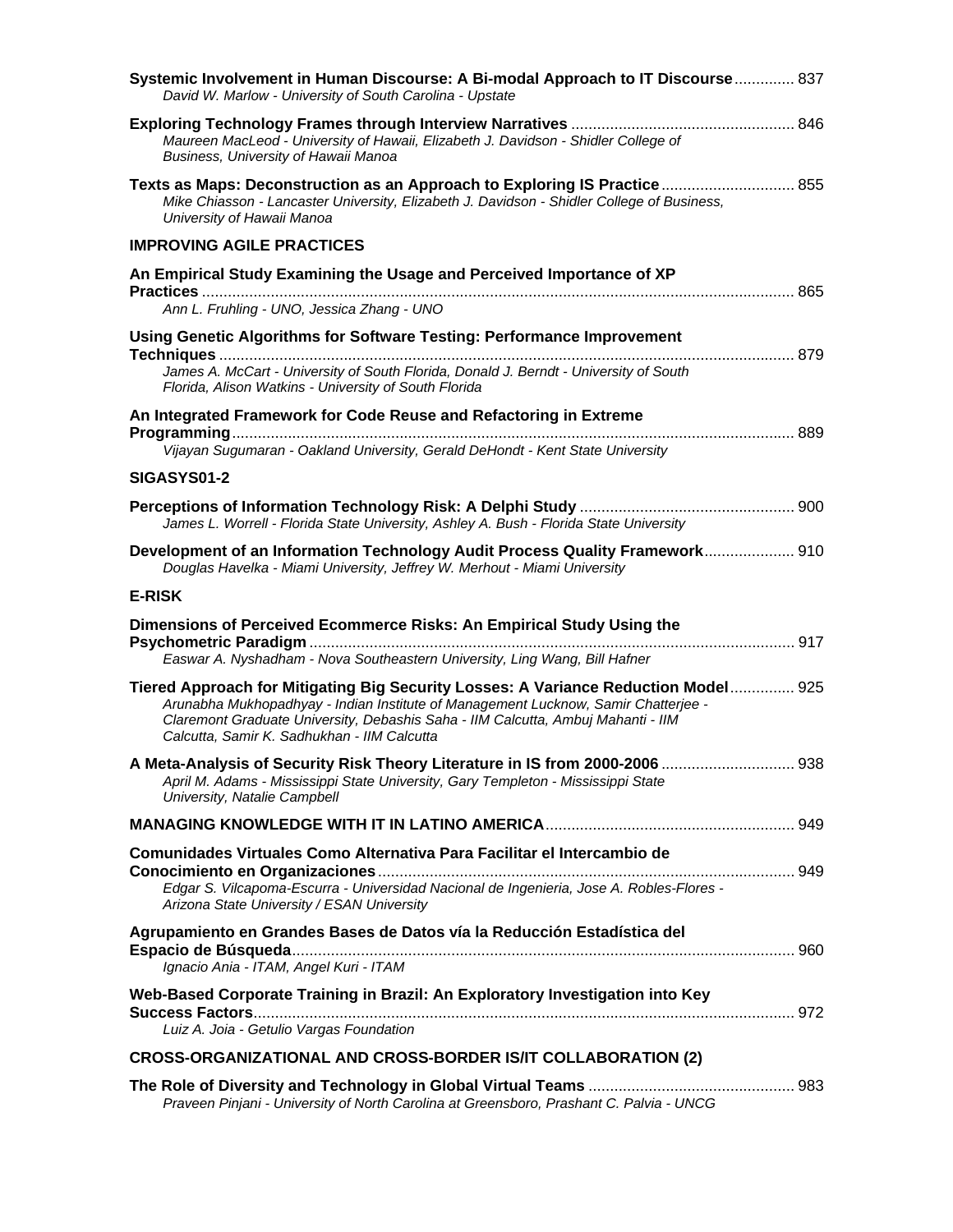| Systemic Involvement in Human Discourse: A Bi-modal Approach to IT Discourse 837<br>David W. Marlow - University of South Carolina - Upstate                                                                                                                                                                |  |
|-------------------------------------------------------------------------------------------------------------------------------------------------------------------------------------------------------------------------------------------------------------------------------------------------------------|--|
| Maureen MacLeod - University of Hawaii, Elizabeth J. Davidson - Shidler College of<br>Business, University of Hawaii Manoa                                                                                                                                                                                  |  |
| Texts as Maps: Deconstruction as an Approach to Exploring IS Practice 855<br>Mike Chiasson - Lancaster University, Elizabeth J. Davidson - Shidler College of Business,<br>University of Hawaii Manoa                                                                                                       |  |
| <b>IMPROVING AGILE PRACTICES</b>                                                                                                                                                                                                                                                                            |  |
| An Empirical Study Examining the Usage and Perceived Importance of XP                                                                                                                                                                                                                                       |  |
| Ann L. Fruhling - UNO, Jessica Zhang - UNO                                                                                                                                                                                                                                                                  |  |
| Using Genetic Algorithms for Software Testing: Performance Improvement                                                                                                                                                                                                                                      |  |
| James A. McCart - University of South Florida, Donald J. Berndt - University of South<br>Florida, Alison Watkins - University of South Florida                                                                                                                                                              |  |
| An Integrated Framework for Code Reuse and Refactoring in Extreme                                                                                                                                                                                                                                           |  |
| Vijayan Sugumaran - Oakland University, Gerald DeHondt - Kent State University                                                                                                                                                                                                                              |  |
| SIGASYS01-2                                                                                                                                                                                                                                                                                                 |  |
| James L. Worrell - Florida State University, Ashley A. Bush - Florida State University                                                                                                                                                                                                                      |  |
| Development of an Information Technology Audit Process Quality Framework 910<br>Douglas Havelka - Miami University, Jeffrey W. Merhout - Miami University                                                                                                                                                   |  |
| <b>E-RISK</b>                                                                                                                                                                                                                                                                                               |  |
| Dimensions of Perceived Ecommerce Risks: An Empirical Study Using the<br>Easwar A. Nyshadham - Nova Southeastern University, Ling Wang, Bill Hafner                                                                                                                                                         |  |
| Tiered Approach for Mitigating Big Security Losses: A Variance Reduction Model 925<br>Arunabha Mukhopadhyay - Indian Institute of Management Lucknow, Samir Chatterjee -<br>Claremont Graduate University, Debashis Saha - IIM Calcutta, Ambuj Mahanti - IIM<br>Calcutta, Samir K. Sadhukhan - IIM Calcutta |  |
| A Meta-Analysis of Security Risk Theory Literature in IS from 2000-2006  938<br>April M. Adams - Mississippi State University, Gary Templeton - Mississippi State<br>University, Natalie Campbell                                                                                                           |  |
|                                                                                                                                                                                                                                                                                                             |  |
| Comunidades Virtuales Como Alternativa Para Facilitar el Intercambio de                                                                                                                                                                                                                                     |  |
| Edgar S. Vilcapoma-Escurra - Universidad Nacional de Ingenieria, Jose A. Robles-Flores -<br>Arizona State University / ESAN University                                                                                                                                                                      |  |
| Agrupamiento en Grandes Bases de Datos vía la Reducción Estadística del<br>Ignacio Ania - ITAM, Angel Kuri - ITAM                                                                                                                                                                                           |  |
| Web-Based Corporate Training in Brazil: An Exploratory Investigation into Key                                                                                                                                                                                                                               |  |
| Luiz A. Joia - Getulio Vargas Foundation                                                                                                                                                                                                                                                                    |  |
| <b>CROSS-ORGANIZATIONAL AND CROSS-BORDER IS/IT COLLABORATION (2)</b>                                                                                                                                                                                                                                        |  |
| Praveen Pinjani - University of North Carolina at Greensboro, Prashant C. Palvia - UNCG                                                                                                                                                                                                                     |  |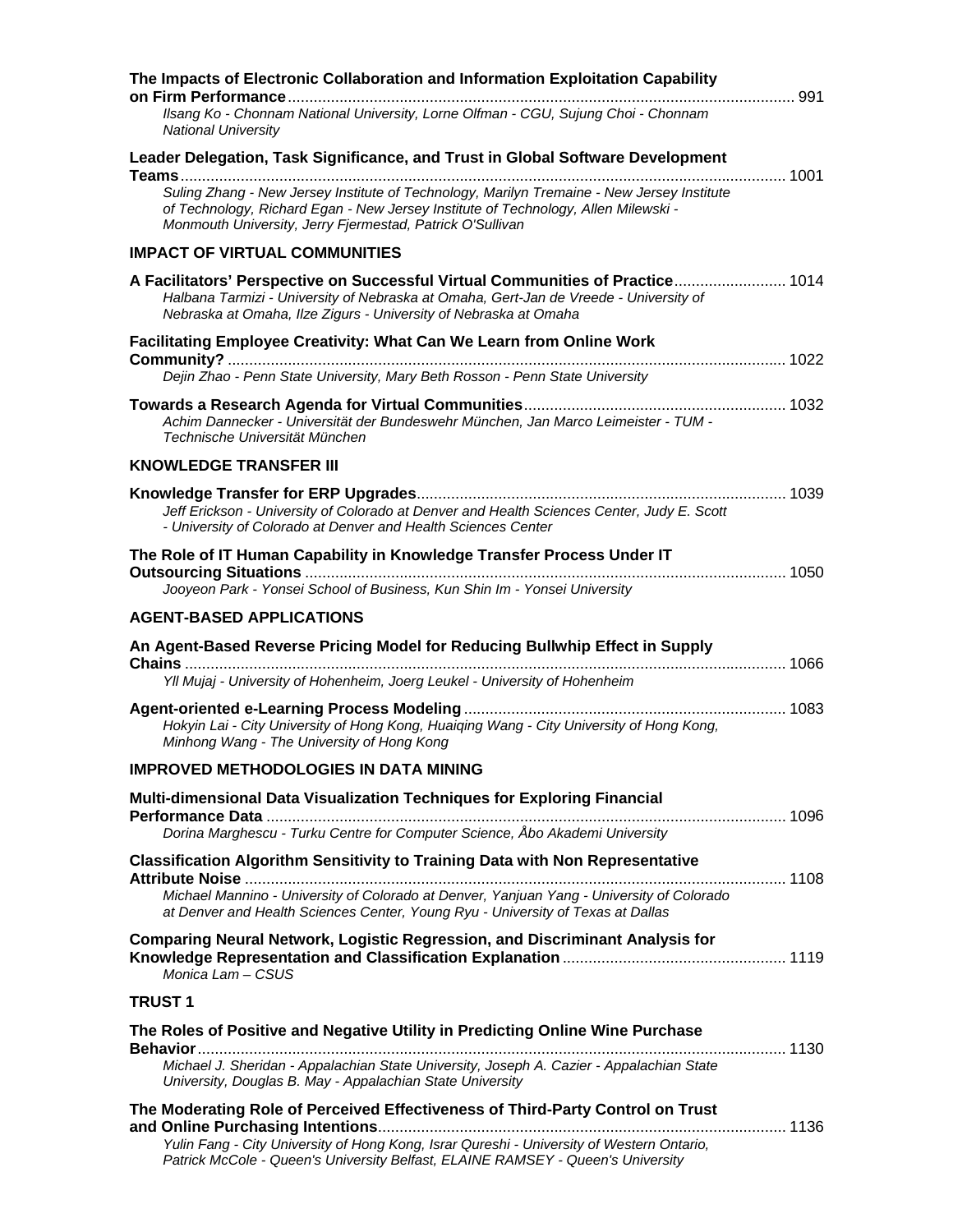| The Impacts of Electronic Collaboration and Information Exploitation Capability                                                                                                                                                               |  |
|-----------------------------------------------------------------------------------------------------------------------------------------------------------------------------------------------------------------------------------------------|--|
| Ilsang Ko - Chonnam National University, Lorne Olfman - CGU, Sujung Choi - Chonnam<br><b>National University</b>                                                                                                                              |  |
| Leader Delegation, Task Significance, and Trust in Global Software Development<br>1001                                                                                                                                                        |  |
| Suling Zhang - New Jersey Institute of Technology, Marilyn Tremaine - New Jersey Institute<br>of Technology, Richard Egan - New Jersey Institute of Technology, Allen Milewski -<br>Monmouth University, Jerry Fjermestad, Patrick O'Sullivan |  |
| <b>IMPACT OF VIRTUAL COMMUNITIES</b>                                                                                                                                                                                                          |  |
| A Facilitators' Perspective on Successful Virtual Communities of Practice 1014<br>Halbana Tarmizi - University of Nebraska at Omaha, Gert-Jan de Vreede - University of<br>Nebraska at Omaha, Ilze Zigurs - University of Nebraska at Omaha   |  |
| <b>Facilitating Employee Creativity: What Can We Learn from Online Work</b>                                                                                                                                                                   |  |
| Dejin Zhao - Penn State University, Mary Beth Rosson - Penn State University                                                                                                                                                                  |  |
| Achim Dannecker - Universität der Bundeswehr München, Jan Marco Leimeister - TUM -<br>Technische Universität München                                                                                                                          |  |
| <b>KNOWLEDGE TRANSFER III</b>                                                                                                                                                                                                                 |  |
| Jeff Erickson - University of Colorado at Denver and Health Sciences Center, Judy E. Scott<br>- University of Colorado at Denver and Health Sciences Center                                                                                   |  |
| The Role of IT Human Capability in Knowledge Transfer Process Under IT                                                                                                                                                                        |  |
| Jooyeon Park - Yonsei School of Business, Kun Shin Im - Yonsei University                                                                                                                                                                     |  |
| <b>AGENT-BASED APPLICATIONS</b>                                                                                                                                                                                                               |  |
| An Agent-Based Reverse Pricing Model for Reducing Bullwhip Effect in Supply                                                                                                                                                                   |  |
| Yll Mujaj - University of Hohenheim, Joerg Leukel - University of Hohenheim                                                                                                                                                                   |  |
| Hokyin Lai - City University of Hong Kong, Huaiqing Wang - City University of Hong Kong,<br>Minhong Wang - The University of Hong Kong                                                                                                        |  |
| <b>IMPROVED METHODOLOGIES IN DATA MINING</b>                                                                                                                                                                                                  |  |
| Multi-dimensional Data Visualization Techniques for Exploring Financial                                                                                                                                                                       |  |
|                                                                                                                                                                                                                                               |  |
| Dorina Marghescu - Turku Centre for Computer Science, Åbo Akademi University                                                                                                                                                                  |  |
| <b>Classification Algorithm Sensitivity to Training Data with Non Representative</b>                                                                                                                                                          |  |
| Michael Mannino - University of Colorado at Denver, Yanjuan Yang - University of Colorado<br>at Denver and Health Sciences Center, Young Ryu - University of Texas at Dallas                                                                  |  |
| <b>Comparing Neural Network, Logistic Regression, and Discriminant Analysis for</b><br>Monica Lam - CSUS                                                                                                                                      |  |
| <b>TRUST 1</b>                                                                                                                                                                                                                                |  |
| The Roles of Positive and Negative Utility in Predicting Online Wine Purchase                                                                                                                                                                 |  |
| Michael J. Sheridan - Appalachian State University, Joseph A. Cazier - Appalachian State<br>University, Douglas B. May - Appalachian State University                                                                                         |  |
| The Moderating Role of Perceived Effectiveness of Third-Party Control on Trust                                                                                                                                                                |  |
| Yulin Fang - City University of Hong Kong, Israr Qureshi - University of Western Ontario,<br>Patrick McCole - Queen's University Belfast, ELAINE RAMSEY - Queen's University                                                                  |  |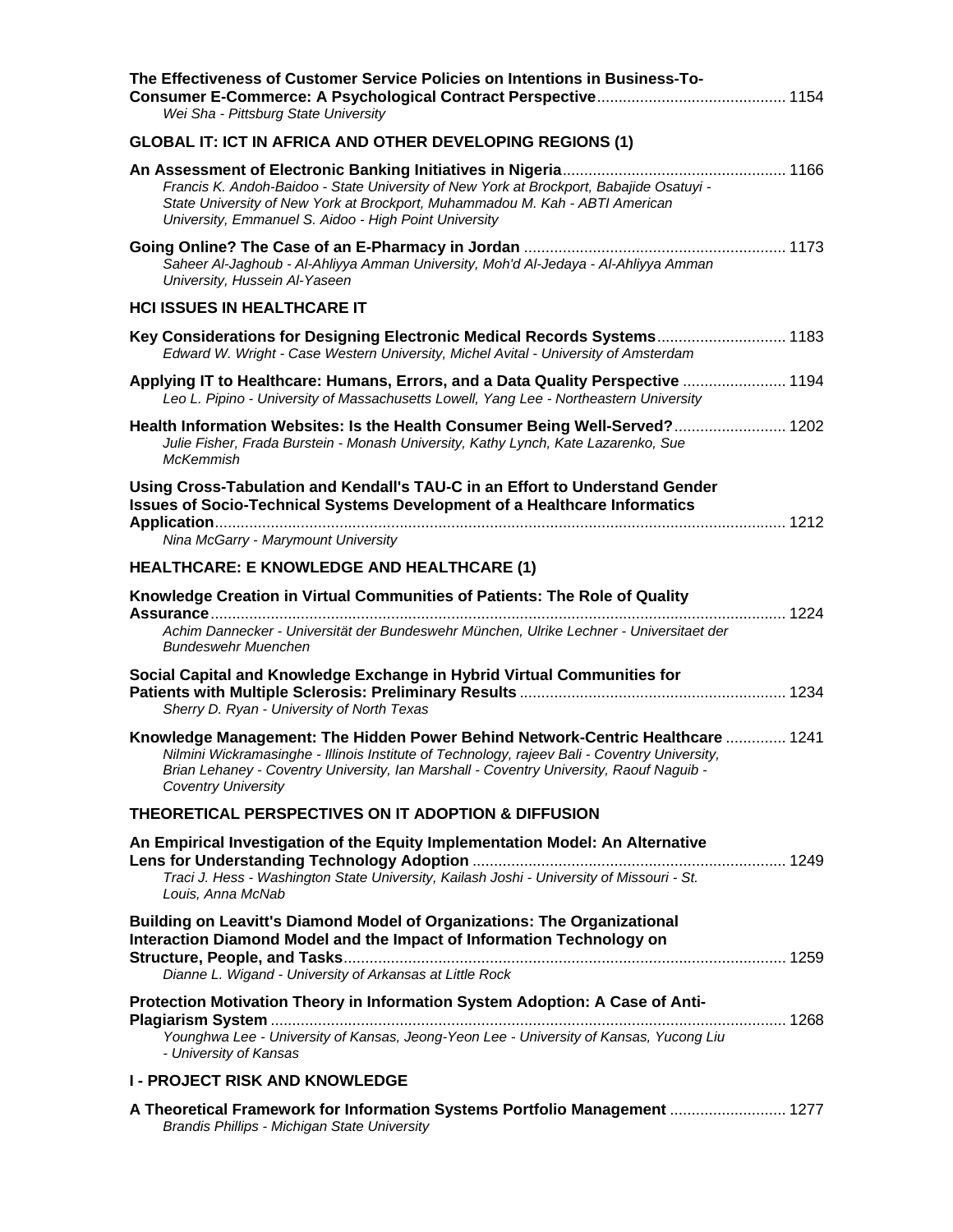| The Effectiveness of Customer Service Policies on Intentions in Business-To-<br>Wei Sha - Pittsburg State University                                                                                                                                                                                     |  |
|----------------------------------------------------------------------------------------------------------------------------------------------------------------------------------------------------------------------------------------------------------------------------------------------------------|--|
| <b>GLOBAL IT: ICT IN AFRICA AND OTHER DEVELOPING REGIONS (1)</b>                                                                                                                                                                                                                                         |  |
| Francis K. Andoh-Baidoo - State University of New York at Brockport, Babajide Osatuyi -<br>State University of New York at Brockport, Muhammadou M. Kah - ABTI American<br>University, Emmanuel S. Aidoo - High Point University                                                                         |  |
| Saheer Al-Jaghoub - Al-Ahliyya Amman University, Moh'd Al-Jedaya - Al-Ahliyya Amman<br>University, Hussein Al-Yaseen                                                                                                                                                                                     |  |
| <b>HCI ISSUES IN HEALTHCARE IT</b>                                                                                                                                                                                                                                                                       |  |
| Key Considerations for Designing Electronic Medical Records Systems 1183<br>Edward W. Wright - Case Western University, Michel Avital - University of Amsterdam                                                                                                                                          |  |
| Applying IT to Healthcare: Humans, Errors, and a Data Quality Perspective  1194<br>Leo L. Pipino - University of Massachusetts Lowell, Yang Lee - Northeastern University                                                                                                                                |  |
| Health Information Websites: Is the Health Consumer Being Well-Served? 1202<br>Julie Fisher, Frada Burstein - Monash University, Kathy Lynch, Kate Lazarenko, Sue<br><b>McKemmish</b>                                                                                                                    |  |
| Using Cross-Tabulation and Kendall's TAU-C in an Effort to Understand Gender<br><b>Issues of Socio-Technical Systems Development of a Healthcare Informatics</b><br>Nina McGarry - Marymount University                                                                                                  |  |
| <b>HEALTHCARE: E KNOWLEDGE AND HEALTHCARE (1)</b>                                                                                                                                                                                                                                                        |  |
| Knowledge Creation in Virtual Communities of Patients: The Role of Quality<br>Achim Dannecker - Universität der Bundeswehr München, Ulrike Lechner - Universitaet der<br><b>Bundeswehr Muenchen</b>                                                                                                      |  |
| Social Capital and Knowledge Exchange in Hybrid Virtual Communities for<br>Sherry D. Ryan - University of North Texas                                                                                                                                                                                    |  |
| Knowledge Management: The Hidden Power Behind Network-Centric Healthcare  1241<br>Nilmini Wickramasinghe - Illinois Institute of Technology, rajeev Bali - Coventry University,<br>Brian Lehaney - Coventry University, Ian Marshall - Coventry University, Raouf Naguib -<br><b>Coventry University</b> |  |
| THEORETICAL PERSPECTIVES ON IT ADOPTION & DIFFUSION                                                                                                                                                                                                                                                      |  |
| An Empirical Investigation of the Equity Implementation Model: An Alternative<br>Traci J. Hess - Washington State University, Kailash Joshi - University of Missouri - St.<br>Louis, Anna McNab                                                                                                          |  |
| <b>Building on Leavitt's Diamond Model of Organizations: The Organizational</b><br>Interaction Diamond Model and the Impact of Information Technology on<br>Dianne L. Wigand - University of Arkansas at Little Rock                                                                                     |  |
| Protection Motivation Theory in Information System Adoption: A Case of Anti-<br>Younghwa Lee - University of Kansas, Jeong-Yeon Lee - University of Kansas, Yucong Liu<br>- University of Kansas                                                                                                         |  |
| <b>I- PROJECT RISK AND KNOWLEDGE</b>                                                                                                                                                                                                                                                                     |  |
| A Theoretical Framework for Information Systems Portfolio Management  1277<br><b>Brandis Phillips - Michigan State University</b>                                                                                                                                                                        |  |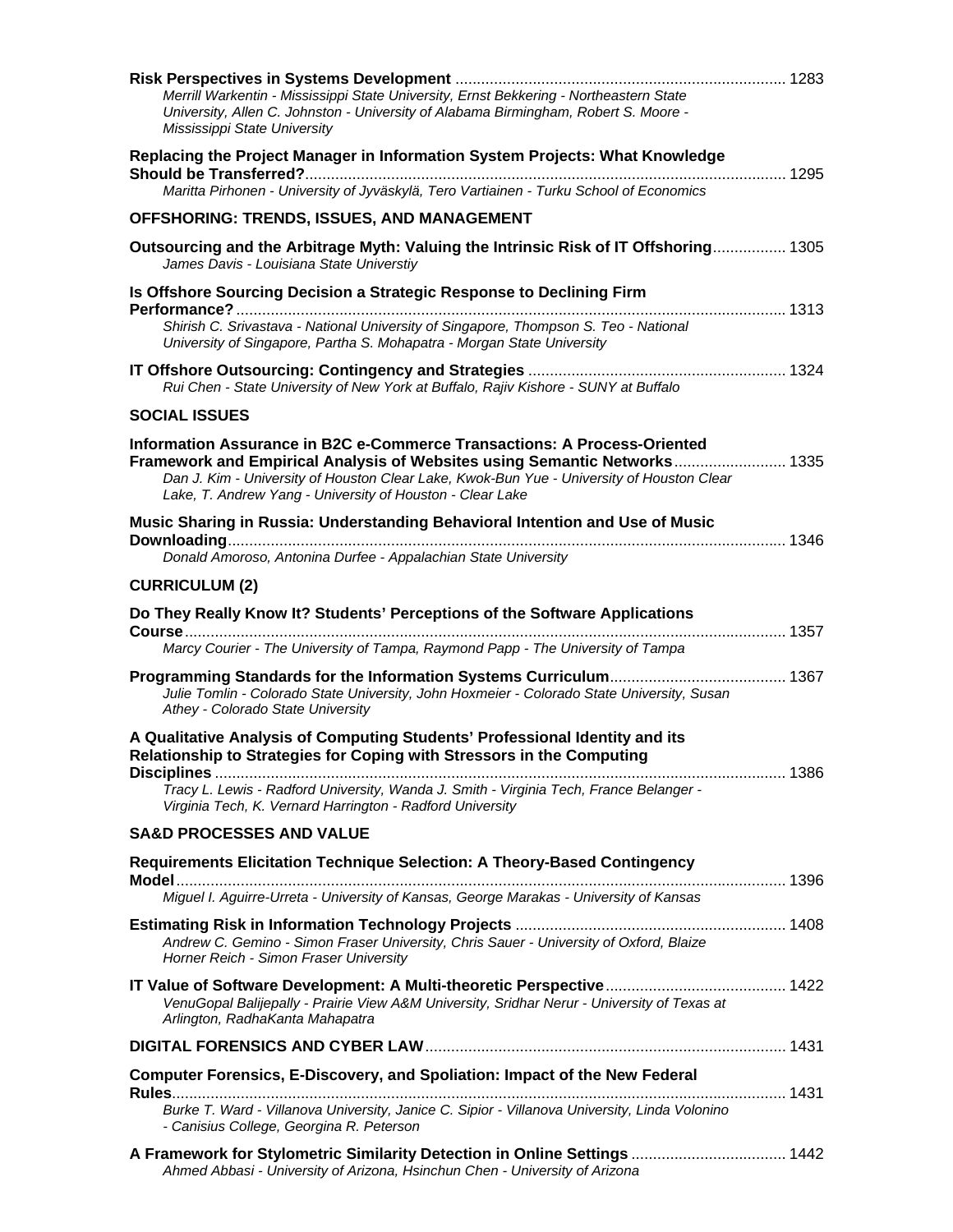| Merrill Warkentin - Mississippi State University, Ernst Bekkering - Northeastern State                                                                                                                                                                                                                          |  |
|-----------------------------------------------------------------------------------------------------------------------------------------------------------------------------------------------------------------------------------------------------------------------------------------------------------------|--|
| University, Allen C. Johnston - University of Alabama Birmingham, Robert S. Moore -<br>Mississippi State University                                                                                                                                                                                             |  |
| Replacing the Project Manager in Information System Projects: What Knowledge                                                                                                                                                                                                                                    |  |
| Maritta Pirhonen - University of Jyväskylä, Tero Vartiainen - Turku School of Economics                                                                                                                                                                                                                         |  |
| OFFSHORING: TRENDS, ISSUES, AND MANAGEMENT                                                                                                                                                                                                                                                                      |  |
| Outsourcing and the Arbitrage Myth: Valuing the Intrinsic Risk of IT Offshoring 1305<br>James Davis - Louisiana State Universtiy                                                                                                                                                                                |  |
| Is Offshore Sourcing Decision a Strategic Response to Declining Firm                                                                                                                                                                                                                                            |  |
| Shirish C. Srivastava - National University of Singapore, Thompson S. Teo - National<br>University of Singapore, Partha S. Mohapatra - Morgan State University                                                                                                                                                  |  |
| Rui Chen - State University of New York at Buffalo, Rajiv Kishore - SUNY at Buffalo                                                                                                                                                                                                                             |  |
| <b>SOCIAL ISSUES</b>                                                                                                                                                                                                                                                                                            |  |
| Information Assurance in B2C e-Commerce Transactions: A Process-Oriented<br>Framework and Empirical Analysis of Websites using Semantic Networks 1335<br>Dan J. Kim - University of Houston Clear Lake, Kwok-Bun Yue - University of Houston Clear<br>Lake, T. Andrew Yang - University of Houston - Clear Lake |  |
| Music Sharing in Russia: Understanding Behavioral Intention and Use of Music<br>Donald Amoroso, Antonina Durfee - Appalachian State University                                                                                                                                                                  |  |
| <b>CURRICULUM (2)</b>                                                                                                                                                                                                                                                                                           |  |
| Do They Really Know It? Students' Perceptions of the Software Applications<br>Marcy Courier - The University of Tampa, Raymond Papp - The University of Tampa                                                                                                                                                   |  |
|                                                                                                                                                                                                                                                                                                                 |  |
| Julie Tomlin - Colorado State University, John Hoxmeier - Colorado State University, Susan<br>Athey - Colorado State University                                                                                                                                                                                 |  |
| A Qualitative Analysis of Computing Students' Professional Identity and its<br>Relationship to Strategies for Coping with Stressors in the Computing                                                                                                                                                            |  |
| Tracy L. Lewis - Radford University, Wanda J. Smith - Virginia Tech, France Belanger -<br>Virginia Tech, K. Vernard Harrington - Radford University                                                                                                                                                             |  |
| <b>SA&amp;D PROCESSES AND VALUE</b>                                                                                                                                                                                                                                                                             |  |
| <b>Requirements Elicitation Technique Selection: A Theory-Based Contingency</b>                                                                                                                                                                                                                                 |  |
| Miguel I. Aguirre-Urreta - University of Kansas, George Marakas - University of Kansas                                                                                                                                                                                                                          |  |
| Andrew C. Gemino - Simon Fraser University, Chris Sauer - University of Oxford, Blaize                                                                                                                                                                                                                          |  |
| Horner Reich - Simon Fraser University                                                                                                                                                                                                                                                                          |  |
|                                                                                                                                                                                                                                                                                                                 |  |
| VenuGopal Balijepally - Prairie View A&M University, Sridhar Nerur - University of Texas at<br>Arlington, RadhaKanta Mahapatra                                                                                                                                                                                  |  |
|                                                                                                                                                                                                                                                                                                                 |  |
| Computer Forensics, E-Discovery, and Spoliation: Impact of the New Federal                                                                                                                                                                                                                                      |  |
| Burke T. Ward - Villanova University, Janice C. Sipior - Villanova University, Linda Volonino<br>- Canisius College, Georgina R. Peterson                                                                                                                                                                       |  |
| A Framework for Stylometric Similarity Detection in Online Settings  1442<br>Ahmed Abbasi - University of Arizona, Hsinchun Chen - University of Arizona                                                                                                                                                        |  |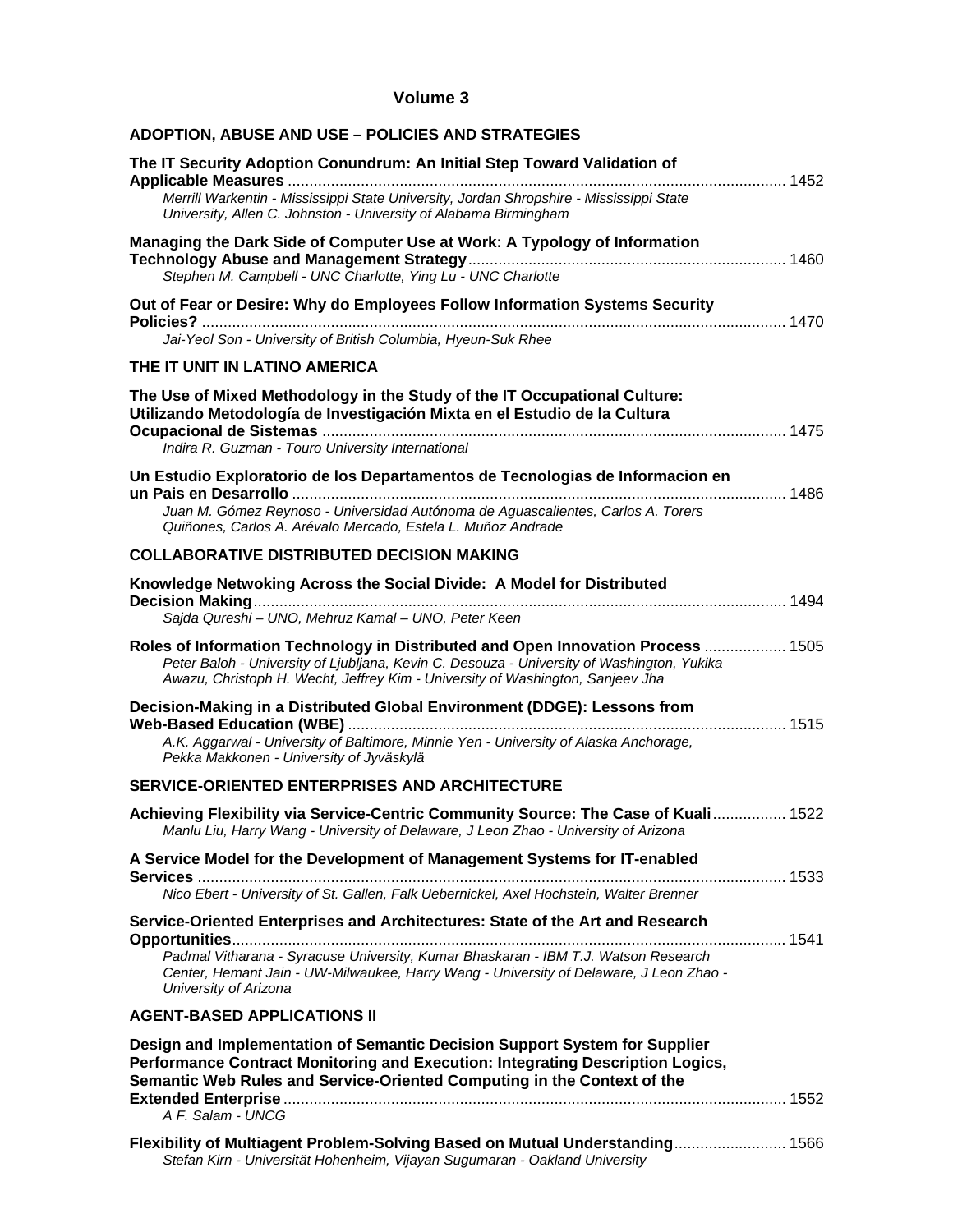#### **Volume 3**

| <b>ADOPTION, ABUSE AND USE - POLICIES AND STRATEGIES</b>                                                                                                                                                                                                                               |
|----------------------------------------------------------------------------------------------------------------------------------------------------------------------------------------------------------------------------------------------------------------------------------------|
| The IT Security Adoption Conundrum: An Initial Step Toward Validation of<br>Merrill Warkentin - Mississippi State University, Jordan Shropshire - Mississippi State<br>University, Allen C. Johnston - University of Alabama Birmingham                                                |
| Managing the Dark Side of Computer Use at Work: A Typology of Information<br>Stephen M. Campbell - UNC Charlotte, Ying Lu - UNC Charlotte                                                                                                                                              |
| Out of Fear or Desire: Why do Employees Follow Information Systems Security<br>Jai-Yeol Son - University of British Columbia, Hyeun-Suk Rhee                                                                                                                                           |
| THE IT UNIT IN LATINO AMERICA                                                                                                                                                                                                                                                          |
| The Use of Mixed Methodology in the Study of the IT Occupational Culture:<br>Utilizando Metodología de Investigación Mixta en el Estudio de la Cultura<br>Indira R. Guzman - Touro University International                                                                            |
| Un Estudio Exploratorio de los Departamentos de Tecnologias de Informacion en<br>Juan M. Gómez Reynoso - Universidad Autónoma de Aguascalientes, Carlos A. Torers<br>Quiñones, Carlos A. Arévalo Mercado, Estela L. Muñoz Andrade                                                      |
| <b>COLLABORATIVE DISTRIBUTED DECISION MAKING</b>                                                                                                                                                                                                                                       |
| Knowledge Netwoking Across the Social Divide: A Model for Distributed<br>Sajda Qureshi - UNO, Mehruz Kamal - UNO, Peter Keen                                                                                                                                                           |
| Roles of Information Technology in Distributed and Open Innovation Process  1505<br>Peter Baloh - University of Ljubljana, Kevin C. Desouza - University of Washington, Yukika<br>Awazu, Christoph H. Wecht, Jeffrey Kim - University of Washington, Sanjeev Jha                       |
| Decision-Making in a Distributed Global Environment (DDGE): Lessons from<br>A.K. Aggarwal - University of Baltimore, Minnie Yen - University of Alaska Anchorage,<br>Pekka Makkonen - University of Jyväskylä                                                                          |
| <b>SERVICE-ORIENTED ENTERPRISES AND ARCHITECTURE</b>                                                                                                                                                                                                                                   |
| Achieving Flexibility via Service-Centric Community Source: The Case of Kuali 1522<br>Manlu Liu, Harry Wang - University of Delaware, J Leon Zhao - University of Arizona                                                                                                              |
| A Service Model for the Development of Management Systems for IT-enabled<br>Nico Ebert - University of St. Gallen, Falk Uebernickel, Axel Hochstein, Walter Brenner                                                                                                                    |
| Service-Oriented Enterprises and Architectures: State of the Art and Research<br>Padmal Vitharana - Syracuse University, Kumar Bhaskaran - IBM T.J. Watson Research<br>Center, Hemant Jain - UW-Milwaukee, Harry Wang - University of Delaware, J Leon Zhao -<br>University of Arizona |
| <b>AGENT-BASED APPLICATIONS II</b>                                                                                                                                                                                                                                                     |
| Design and Implementation of Semantic Decision Support System for Supplier<br>Performance Contract Monitoring and Execution: Integrating Description Logics,<br>Semantic Web Rules and Service-Oriented Computing in the Context of the                                                |
| A F. Salam - UNCG                                                                                                                                                                                                                                                                      |
| Flexibility of Multiagent Problem-Solving Based on Mutual Understanding 1566<br>Stefan Kirn - Universität Hohenheim, Vijayan Sugumaran - Oakland University                                                                                                                            |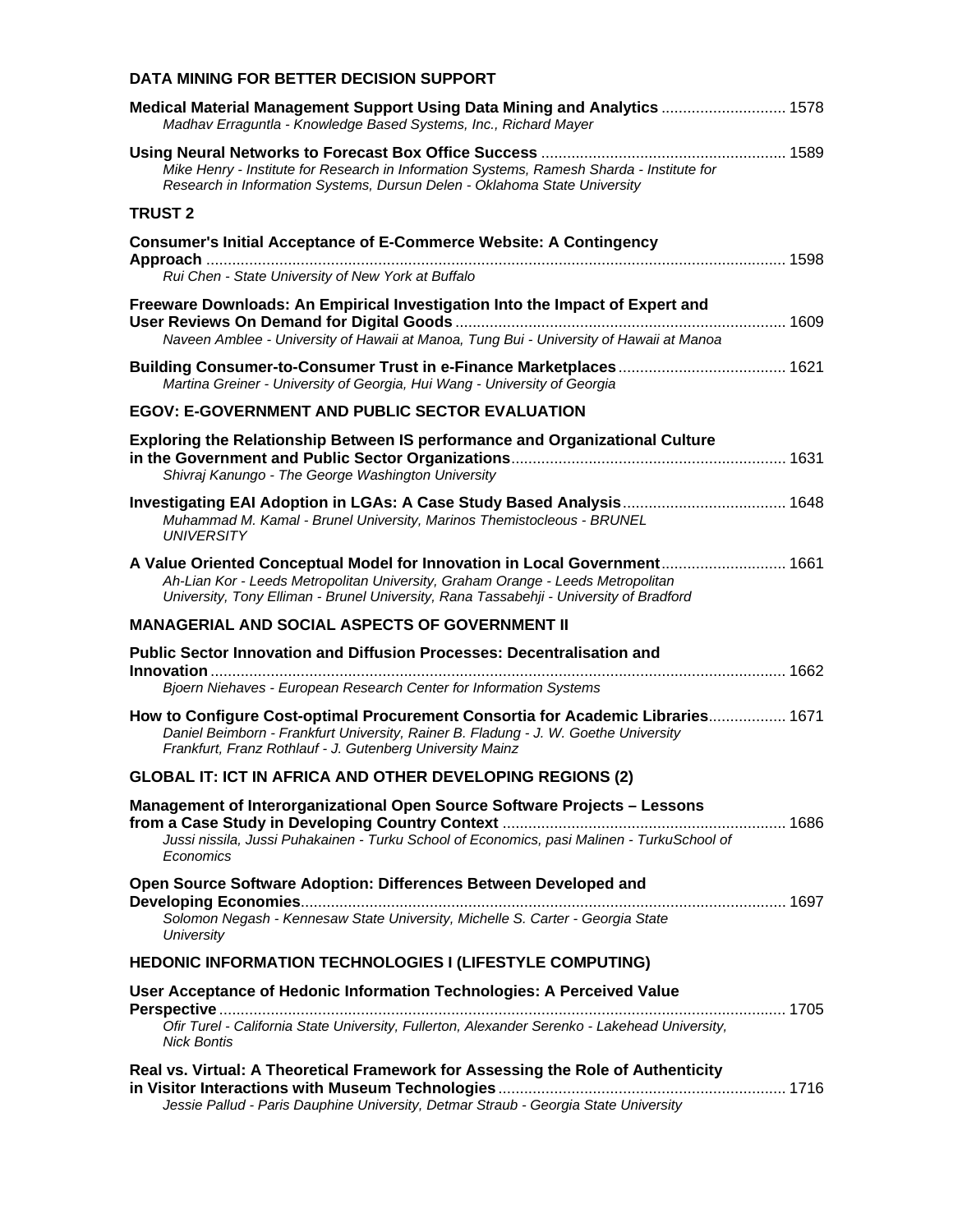#### **DATA MINING FOR BETTER DECISION SUPPORT**

| Medical Material Management Support Using Data Mining and Analytics  1578<br>Madhav Erraguntla - Knowledge Based Systems, Inc., Richard Mayer                                                                                                          |  |
|--------------------------------------------------------------------------------------------------------------------------------------------------------------------------------------------------------------------------------------------------------|--|
| Mike Henry - Institute for Research in Information Systems, Ramesh Sharda - Institute for<br>Research in Information Systems, Dursun Delen - Oklahoma State University                                                                                 |  |
| <b>TRUST 2</b>                                                                                                                                                                                                                                         |  |
| <b>Consumer's Initial Acceptance of E-Commerce Website: A Contingency</b>                                                                                                                                                                              |  |
| Rui Chen - State University of New York at Buffalo                                                                                                                                                                                                     |  |
| Freeware Downloads: An Empirical Investigation Into the Impact of Expert and<br>Naveen Amblee - University of Hawaii at Manoa, Tung Bui - University of Hawaii at Manoa                                                                                |  |
| Martina Greiner - University of Georgia, Hui Wang - University of Georgia                                                                                                                                                                              |  |
| <b>EGOV: E-GOVERNMENT AND PUBLIC SECTOR EVALUATION</b>                                                                                                                                                                                                 |  |
| <b>Exploring the Relationship Between IS performance and Organizational Culture</b><br>Shivraj Kanungo - The George Washington University                                                                                                              |  |
|                                                                                                                                                                                                                                                        |  |
| Muhammad M. Kamal - Brunel University, Marinos Themistocleous - BRUNEL<br><b>UNIVERSITY</b>                                                                                                                                                            |  |
| A Value Oriented Conceptual Model for Innovation in Local Government 1661<br>Ah-Lian Kor - Leeds Metropolitan University, Graham Orange - Leeds Metropolitan<br>University, Tony Elliman - Brunel University, Rana Tassabehji - University of Bradford |  |
| <b>MANAGERIAL AND SOCIAL ASPECTS OF GOVERNMENT II</b>                                                                                                                                                                                                  |  |
| Public Sector Innovation and Diffusion Processes: Decentralisation and                                                                                                                                                                                 |  |
| Bjoern Niehaves - European Research Center for Information Systems                                                                                                                                                                                     |  |
| How to Configure Cost-optimal Procurement Consortia for Academic Libraries 1671<br>Daniel Beimborn - Frankfurt University, Rainer B. Fladung - J. W. Goethe University<br>Frankfurt, Franz Rothlauf - J. Gutenberg University Mainz                    |  |
| <b>GLOBAL IT: ICT IN AFRICA AND OTHER DEVELOPING REGIONS (2)</b>                                                                                                                                                                                       |  |
| Management of Interorganizational Open Source Software Projects - Lessons                                                                                                                                                                              |  |
| Jussi nissila, Jussi Puhakainen - Turku School of Economics, pasi Malinen - TurkuSchool of<br>Economics                                                                                                                                                |  |
| Open Source Software Adoption: Differences Between Developed and                                                                                                                                                                                       |  |
| Solomon Negash - Kennesaw State University, Michelle S. Carter - Georgia State<br><b>University</b>                                                                                                                                                    |  |
| <b>HEDONIC INFORMATION TECHNOLOGIES I (LIFESTYLE COMPUTING)</b>                                                                                                                                                                                        |  |
| User Acceptance of Hedonic Information Technologies: A Perceived Value                                                                                                                                                                                 |  |
| Ofir Turel - California State University, Fullerton, Alexander Serenko - Lakehead University,<br>Nick Bontis                                                                                                                                           |  |
| Real vs. Virtual: A Theoretical Framework for Assessing the Role of Authenticity                                                                                                                                                                       |  |
| Jessie Pallud - Paris Dauphine University, Detmar Straub - Georgia State University                                                                                                                                                                    |  |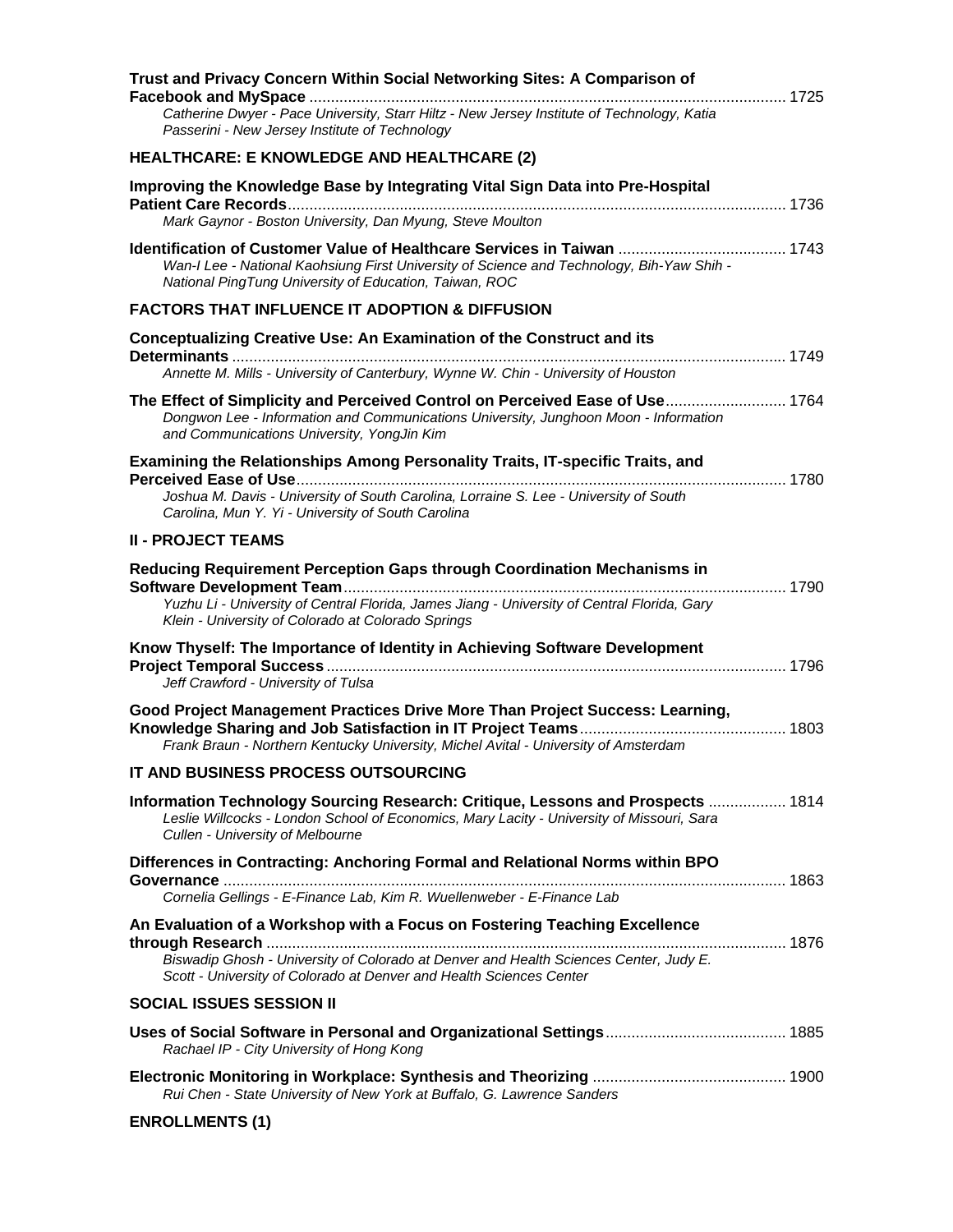| Trust and Privacy Concern Within Social Networking Sites: A Comparison of                                                                                                                                                    |
|------------------------------------------------------------------------------------------------------------------------------------------------------------------------------------------------------------------------------|
| Catherine Dwyer - Pace University, Starr Hiltz - New Jersey Institute of Technology, Katia<br>Passerini - New Jersey Institute of Technology                                                                                 |
| <b>HEALTHCARE: E KNOWLEDGE AND HEALTHCARE (2)</b>                                                                                                                                                                            |
| Improving the Knowledge Base by Integrating Vital Sign Data into Pre-Hospital                                                                                                                                                |
| Mark Gaynor - Boston University, Dan Myung, Steve Moulton                                                                                                                                                                    |
| Wan-I Lee - National Kaohsiung First University of Science and Technology, Bih-Yaw Shih -<br>National PingTung University of Education, Taiwan, ROC                                                                          |
| <b>FACTORS THAT INFLUENCE IT ADOPTION &amp; DIFFUSION</b>                                                                                                                                                                    |
| <b>Conceptualizing Creative Use: An Examination of the Construct and its</b>                                                                                                                                                 |
| Annette M. Mills - University of Canterbury, Wynne W. Chin - University of Houston                                                                                                                                           |
| The Effect of Simplicity and Perceived Control on Perceived Ease of Use 1764                                                                                                                                                 |
| Dongwon Lee - Information and Communications University, Junghoon Moon - Information<br>and Communications University, YongJin Kim                                                                                           |
| Examining the Relationships Among Personality Traits, IT-specific Traits, and                                                                                                                                                |
| Joshua M. Davis - University of South Carolina, Lorraine S. Lee - University of South<br>Carolina, Mun Y. Yi - University of South Carolina                                                                                  |
| <b>II - PROJECT TEAMS</b>                                                                                                                                                                                                    |
| Reducing Requirement Perception Gaps through Coordination Mechanisms in<br>Yuzhu Li - University of Central Florida, James Jiang - University of Central Florida, Gary<br>Klein - University of Colorado at Colorado Springs |
| Know Thyself: The Importance of Identity in Achieving Software Development                                                                                                                                                   |
| Jeff Crawford - University of Tulsa                                                                                                                                                                                          |
| Good Project Management Practices Drive More Than Project Success: Learning,<br>Frank Braun - Northern Kentucky University, Michel Avital - University of Amsterdam                                                          |
| IT AND BUSINESS PROCESS OUTSOURCING                                                                                                                                                                                          |
| Information Technology Sourcing Research: Critique, Lessons and Prospects  1814<br>Leslie Willcocks - London School of Economics, Mary Lacity - University of Missouri, Sara<br>Cullen - University of Melbourne             |
| Differences in Contracting: Anchoring Formal and Relational Norms within BPO                                                                                                                                                 |
| Cornelia Gellings - E-Finance Lab, Kim R. Wuellenweber - E-Finance Lab                                                                                                                                                       |
| An Evaluation of a Workshop with a Focus on Fostering Teaching Excellence<br>Biswadip Ghosh - University of Colorado at Denver and Health Sciences Center, Judy E.                                                           |
| Scott - University of Colorado at Denver and Health Sciences Center                                                                                                                                                          |
| <b>SOCIAL ISSUES SESSION II</b>                                                                                                                                                                                              |
| Rachael IP - City University of Hong Kong                                                                                                                                                                                    |
| Rui Chen - State University of New York at Buffalo, G. Lawrence Sanders                                                                                                                                                      |
| <b>ENROLLMENTS (1)</b>                                                                                                                                                                                                       |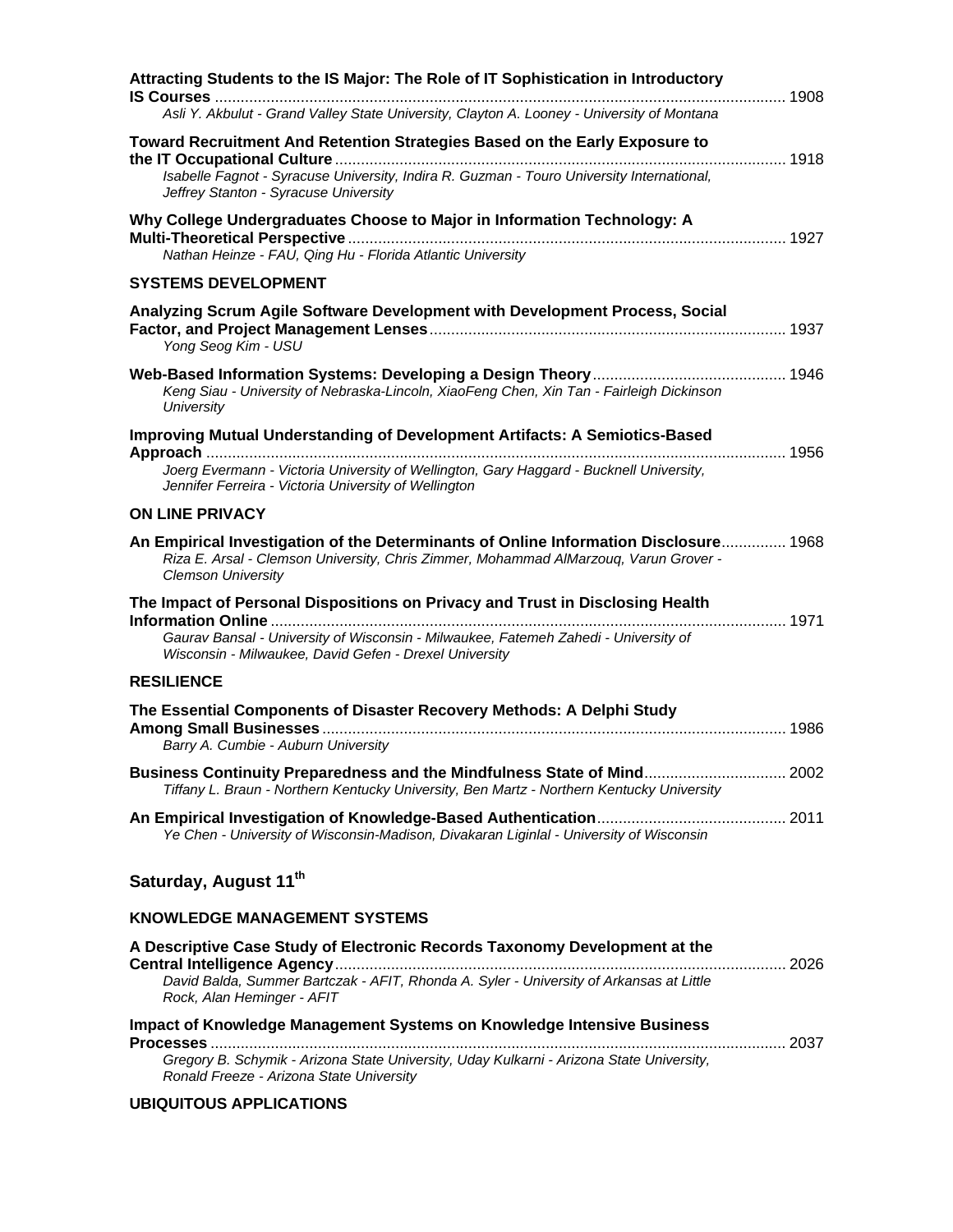| Attracting Students to the IS Major: The Role of IT Sophistication in Introductory<br>Asli Y. Akbulut - Grand Valley State University, Clayton A. Looney - University of Montana                                                      |  |
|---------------------------------------------------------------------------------------------------------------------------------------------------------------------------------------------------------------------------------------|--|
| Toward Recruitment And Retention Strategies Based on the Early Exposure to<br>Isabelle Fagnot - Syracuse University, Indira R. Guzman - Touro University International,<br>Jeffrey Stanton - Syracuse University                      |  |
| Why College Undergraduates Choose to Major in Information Technology: A<br>Nathan Heinze - FAU, Qing Hu - Florida Atlantic University                                                                                                 |  |
| <b>SYSTEMS DEVELOPMENT</b>                                                                                                                                                                                                            |  |
| Analyzing Scrum Agile Software Development with Development Process, Social<br>Yong Seog Kim - USU                                                                                                                                    |  |
| Keng Siau - University of Nebraska-Lincoln, XiaoFeng Chen, Xin Tan - Fairleigh Dickinson<br>University                                                                                                                                |  |
| <b>Improving Mutual Understanding of Development Artifacts: A Semiotics-Based</b><br>Joerg Evermann - Victoria University of Wellington, Gary Haggard - Bucknell University,<br>Jennifer Ferreira - Victoria University of Wellington |  |
| <b>ON LINE PRIVACY</b>                                                                                                                                                                                                                |  |
| An Empirical Investigation of the Determinants of Online Information Disclosure 1968<br>Riza E. Arsal - Clemson University, Chris Zimmer, Mohammad AlMarzouq, Varun Grover -<br><b>Clemson University</b>                             |  |
| The Impact of Personal Dispositions on Privacy and Trust in Disclosing Health<br>Gaurav Bansal - University of Wisconsin - Milwaukee, Fatemeh Zahedi - University of<br>Wisconsin - Milwaukee, David Gefen - Drexel University        |  |
| <b>RESILIENCE</b>                                                                                                                                                                                                                     |  |
| The Essential Components of Disaster Recovery Methods: A Delphi Study<br>Barry A. Cumbie - Auburn University                                                                                                                          |  |
| Business Continuity Preparedness and the Mindfulness State of Mind 2002<br>Tiffany L. Braun - Northern Kentucky University, Ben Martz - Northern Kentucky University                                                                  |  |
| Ye Chen - University of Wisconsin-Madison, Divakaran Liginlal - University of Wisconsin                                                                                                                                               |  |
| Saturday, August 11th                                                                                                                                                                                                                 |  |
| <b>KNOWLEDGE MANAGEMENT SYSTEMS</b>                                                                                                                                                                                                   |  |
| A Descriptive Case Study of Electronic Records Taxonomy Development at the<br>David Balda, Summer Bartczak - AFIT, Rhonda A. Syler - University of Arkansas at Little                                                                 |  |
| Rock, Alan Heminger - AFIT                                                                                                                                                                                                            |  |
| <b>Impact of Knowledge Management Systems on Knowledge Intensive Business</b>                                                                                                                                                         |  |

*Gregory B. Schymik - Arizona State University, Uday Kulkarni - Arizona State University, Ronald Freeze - Arizona State University* 

#### **UBIQUITOUS APPLICATIONS**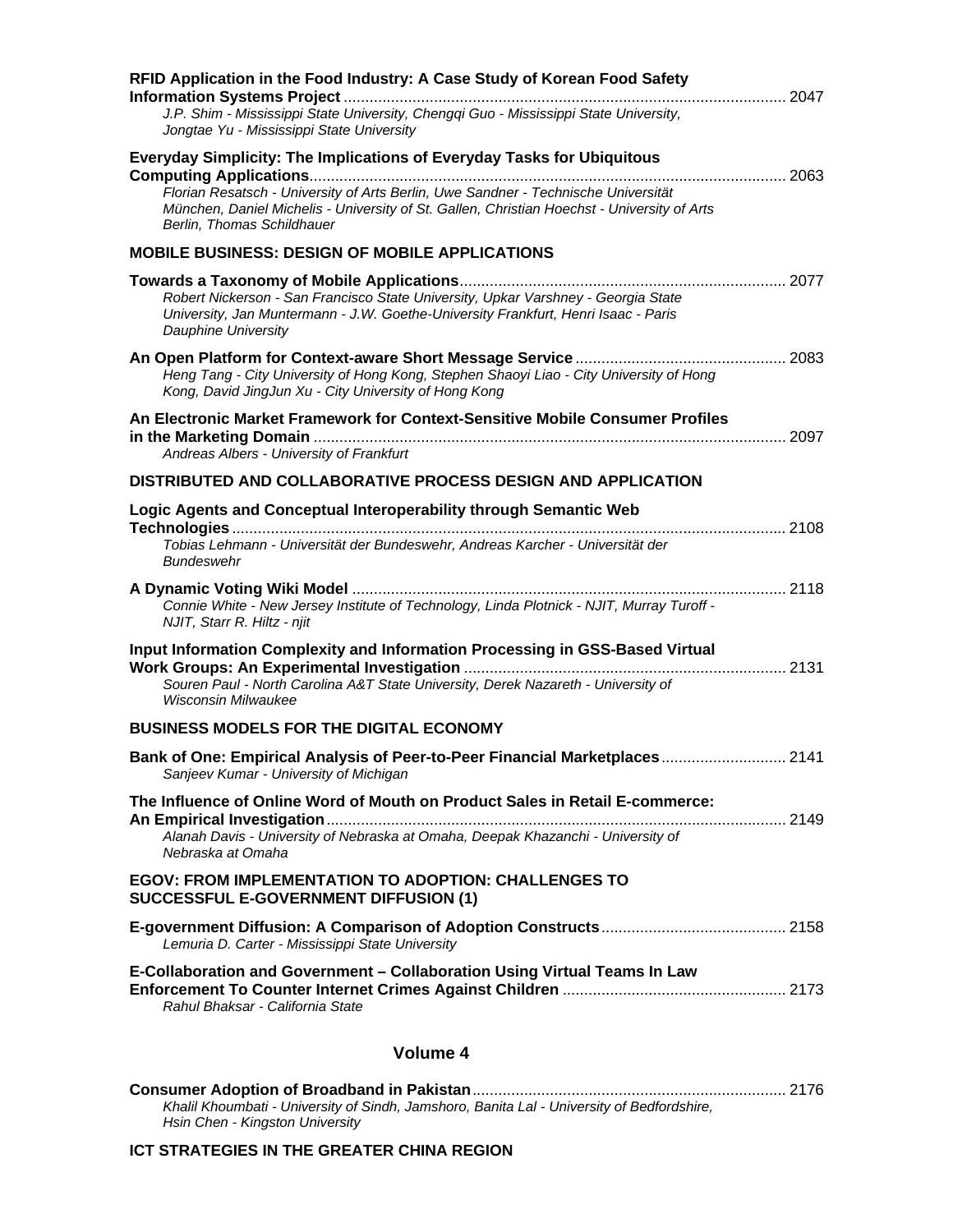| RFID Application in the Food Industry: A Case Study of Korean Food Safety                                                                                                                                       |  |
|-----------------------------------------------------------------------------------------------------------------------------------------------------------------------------------------------------------------|--|
| J.P. Shim - Mississippi State University, Chengqi Guo - Mississippi State University,<br>Jongtae Yu - Mississippi State University                                                                              |  |
| <b>Everyday Simplicity: The Implications of Everyday Tasks for Ubiquitous</b>                                                                                                                                   |  |
| Florian Resatsch - University of Arts Berlin, Uwe Sandner - Technische Universität<br>München, Daniel Michelis - University of St. Gallen, Christian Hoechst - University of Arts<br>Berlin, Thomas Schildhauer |  |
| <b>MOBILE BUSINESS: DESIGN OF MOBILE APPLICATIONS</b>                                                                                                                                                           |  |
| Robert Nickerson - San Francisco State University, Upkar Varshney - Georgia State<br>University, Jan Muntermann - J.W. Goethe-University Frankfurt, Henri Isaac - Paris<br>Dauphine University                  |  |
| Heng Tang - City University of Hong Kong, Stephen Shaoyi Liao - City University of Hong<br>Kong, David JingJun Xu - City University of Hong Kong                                                                |  |
| An Electronic Market Framework for Context-Sensitive Mobile Consumer Profiles                                                                                                                                   |  |
| Andreas Albers - University of Frankfurt                                                                                                                                                                        |  |
| DISTRIBUTED AND COLLABORATIVE PROCESS DESIGN AND APPLICATION                                                                                                                                                    |  |
| Logic Agents and Conceptual Interoperability through Semantic Web<br>Tobias Lehmann - Universität der Bundeswehr, Andreas Karcher - Universität der<br><b>Bundeswehr</b>                                        |  |
| Connie White - New Jersey Institute of Technology, Linda Plotnick - NJIT, Murray Turoff -<br>NJIT, Starr R. Hiltz - njit                                                                                        |  |
| Input Information Complexity and Information Processing in GSS-Based Virtual<br>Souren Paul - North Carolina A&T State University, Derek Nazareth - University of<br><b>Wisconsin Milwaukee</b>                 |  |
| <b>BUSINESS MODELS FOR THE DIGITAL ECONOMY</b>                                                                                                                                                                  |  |
| Bank of One: Empirical Analysis of Peer-to-Peer Financial Marketplaces 2141<br>Sanjeev Kumar - University of Michigan                                                                                           |  |
| The Influence of Online Word of Mouth on Product Sales in Retail E-commerce:<br>Alanah Davis - University of Nebraska at Omaha, Deepak Khazanchi - University of<br>Nebraska at Omaha                           |  |
| <b>EGOV: FROM IMPLEMENTATION TO ADOPTION: CHALLENGES TO</b><br><b>SUCCESSFUL E-GOVERNMENT DIFFUSION (1)</b>                                                                                                     |  |
| Lemuria D. Carter - Mississippi State University                                                                                                                                                                |  |
| E-Collaboration and Government – Collaboration Using Virtual Teams In Law<br>Rahul Bhaksar - California State                                                                                                   |  |
| Volume 4                                                                                                                                                                                                        |  |
|                                                                                                                                                                                                                 |  |

*Khalil Khoumbati - University of Sindh, Jamshoro, Banita Lal - University of Bedfordshire, Hsin Chen - Kingston University* 

#### **ICT STRATEGIES IN THE GREATER CHINA REGION**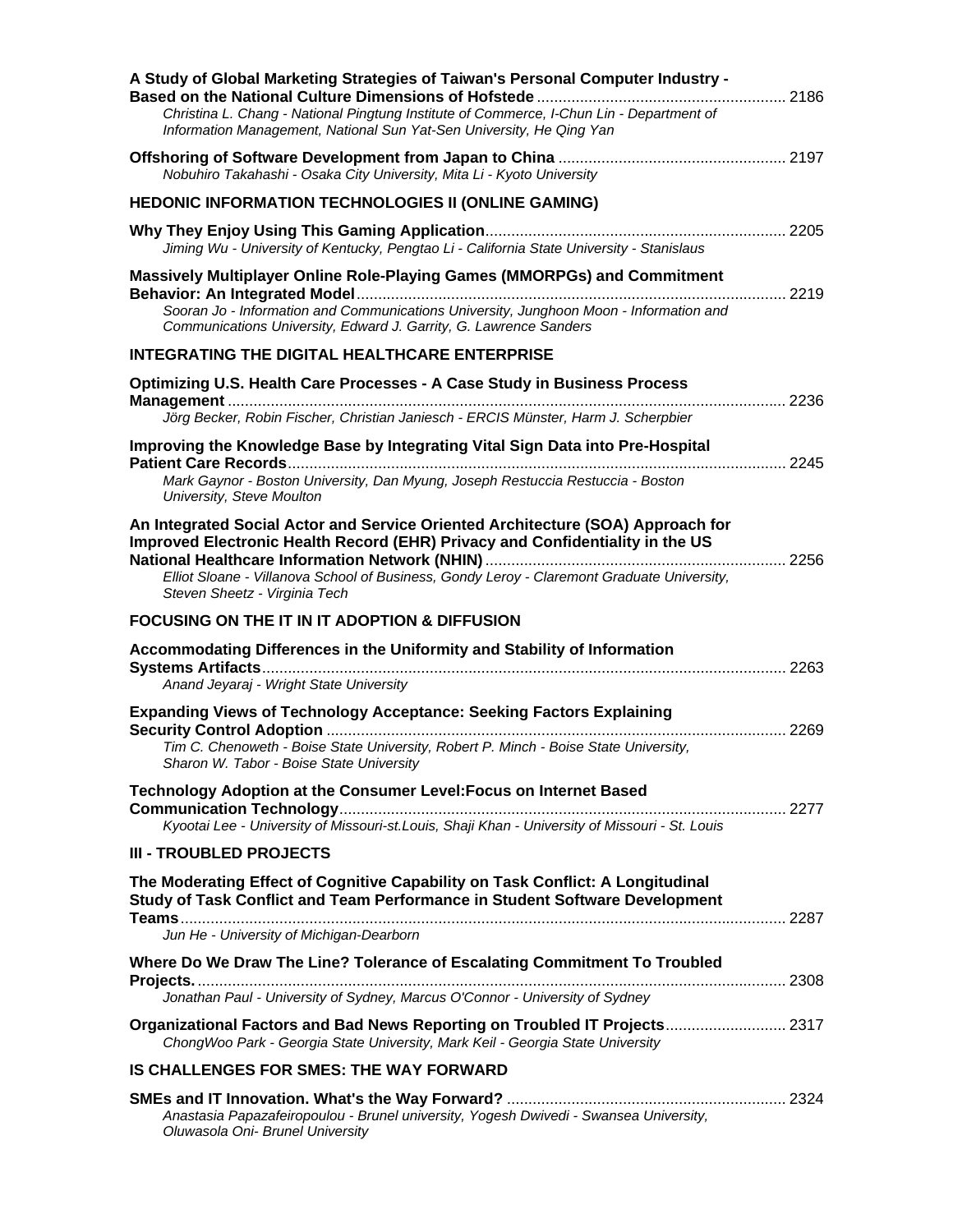| A Study of Global Marketing Strategies of Taiwan's Personal Computer Industry -                                                                                                                                                                                |  |
|----------------------------------------------------------------------------------------------------------------------------------------------------------------------------------------------------------------------------------------------------------------|--|
| Christina L. Chang - National Pingtung Institute of Commerce, I-Chun Lin - Department of<br>Information Management, National Sun Yat-Sen University, He Qing Yan                                                                                               |  |
| Nobuhiro Takahashi - Osaka City University, Mita Li - Kyoto University                                                                                                                                                                                         |  |
| <b>HEDONIC INFORMATION TECHNOLOGIES II (ONLINE GAMING)</b>                                                                                                                                                                                                     |  |
| Jiming Wu - University of Kentucky, Pengtao Li - California State University - Stanislaus                                                                                                                                                                      |  |
| <b>Massively Multiplayer Online Role-Playing Games (MMORPGs) and Commitment</b><br>Sooran Jo - Information and Communications University, Junghoon Moon - Information and<br>Communications University, Edward J. Garrity, G. Lawrence Sanders                 |  |
| <b>INTEGRATING THE DIGITAL HEALTHCARE ENTERPRISE</b>                                                                                                                                                                                                           |  |
| Optimizing U.S. Health Care Processes - A Case Study in Business Process                                                                                                                                                                                       |  |
| Jörg Becker, Robin Fischer, Christian Janiesch - ERCIS Münster, Harm J. Scherpbier                                                                                                                                                                             |  |
| Improving the Knowledge Base by Integrating Vital Sign Data into Pre-Hospital                                                                                                                                                                                  |  |
| Mark Gaynor - Boston University, Dan Myung, Joseph Restuccia Restuccia - Boston<br>University, Steve Moulton                                                                                                                                                   |  |
| An Integrated Social Actor and Service Oriented Architecture (SOA) Approach for<br>Improved Electronic Health Record (EHR) Privacy and Confidentiality in the US<br>Elliot Sloane - Villanova School of Business, Gondy Leroy - Claremont Graduate University, |  |
| Steven Sheetz - Virginia Tech                                                                                                                                                                                                                                  |  |
| <b>FOCUSING ON THE IT IN IT ADOPTION &amp; DIFFUSION</b>                                                                                                                                                                                                       |  |
| Accommodating Differences in the Uniformity and Stability of Information<br>Anand Jeyaraj - Wright State University                                                                                                                                            |  |
| <b>Expanding Views of Technology Acceptance: Seeking Factors Explaining</b>                                                                                                                                                                                    |  |
|                                                                                                                                                                                                                                                                |  |
| Tim C. Chenoweth - Boise State University, Robert P. Minch - Boise State University,<br>Sharon W. Tabor - Boise State University                                                                                                                               |  |
| Technology Adoption at the Consumer Level: Focus on Internet Based                                                                                                                                                                                             |  |
| Kyootai Lee - University of Missouri-st.Louis, Shaji Khan - University of Missouri - St. Louis                                                                                                                                                                 |  |
| <b>III - TROUBLED PROJECTS</b>                                                                                                                                                                                                                                 |  |
| The Moderating Effect of Cognitive Capability on Task Conflict: A Longitudinal<br>Study of Task Conflict and Team Performance in Student Software Development                                                                                                  |  |
| Jun He - University of Michigan-Dearborn                                                                                                                                                                                                                       |  |
| Where Do We Draw The Line? Tolerance of Escalating Commitment To Troubled                                                                                                                                                                                      |  |
| Jonathan Paul - University of Sydney, Marcus O'Connor - University of Sydney                                                                                                                                                                                   |  |
| Organizational Factors and Bad News Reporting on Troubled IT Projects 2317<br>ChongWoo Park - Georgia State University, Mark Keil - Georgia State University                                                                                                   |  |
| <b>IS CHALLENGES FOR SMES: THE WAY FORWARD</b>                                                                                                                                                                                                                 |  |
| Anastasia Papazafeiropoulou - Brunel university, Yogesh Dwivedi - Swansea University,<br>Oluwasola Oni- Brunel University                                                                                                                                      |  |
|                                                                                                                                                                                                                                                                |  |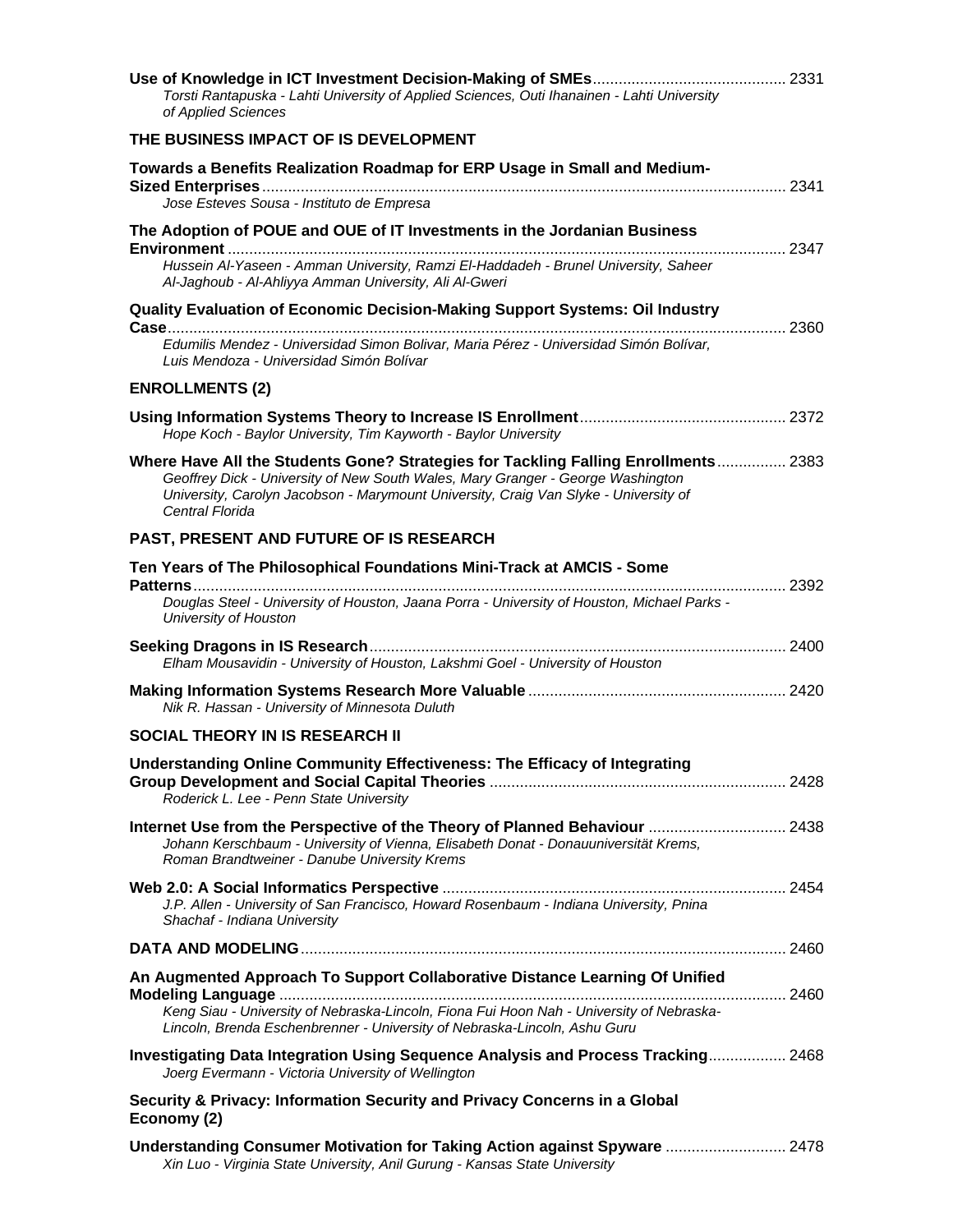| Torsti Rantapuska - Lahti University of Applied Sciences, Outi Ihanainen - Lahti University<br>of Applied Sciences                                                                                                                                                               |  |
|----------------------------------------------------------------------------------------------------------------------------------------------------------------------------------------------------------------------------------------------------------------------------------|--|
| THE BUSINESS IMPACT OF IS DEVELOPMENT                                                                                                                                                                                                                                            |  |
| Towards a Benefits Realization Roadmap for ERP Usage in Small and Medium-                                                                                                                                                                                                        |  |
| Jose Esteves Sousa - Instituto de Empresa                                                                                                                                                                                                                                        |  |
| The Adoption of POUE and OUE of IT Investments in the Jordanian Business                                                                                                                                                                                                         |  |
| Hussein Al-Yaseen - Amman University, Ramzi El-Haddadeh - Brunel University, Saheer<br>Al-Jaghoub - Al-Ahliyya Amman University, Ali Al-Gweri                                                                                                                                    |  |
| <b>Quality Evaluation of Economic Decision-Making Support Systems: Oil Industry</b>                                                                                                                                                                                              |  |
| Edumilis Mendez - Universidad Simon Bolivar, Maria Pérez - Universidad Simón Bolívar,<br>Luis Mendoza - Universidad Simón Bolívar                                                                                                                                                |  |
| <b>ENROLLMENTS (2)</b>                                                                                                                                                                                                                                                           |  |
| Hope Koch - Baylor University, Tim Kayworth - Baylor University                                                                                                                                                                                                                  |  |
| Where Have All the Students Gone? Strategies for Tackling Falling Enrollments 2383<br>Geoffrey Dick - University of New South Wales, Mary Granger - George Washington<br>University, Carolyn Jacobson - Marymount University, Craig Van Slyke - University of<br>Central Florida |  |
| PAST, PRESENT AND FUTURE OF IS RESEARCH                                                                                                                                                                                                                                          |  |
| Ten Years of The Philosophical Foundations Mini-Track at AMCIS - Some                                                                                                                                                                                                            |  |
| Douglas Steel - University of Houston, Jaana Porra - University of Houston, Michael Parks -<br>University of Houston                                                                                                                                                             |  |
| Elham Mousavidin - University of Houston, Lakshmi Goel - University of Houston                                                                                                                                                                                                   |  |
| Nik R. Hassan - University of Minnesota Duluth                                                                                                                                                                                                                                   |  |
| <b>SOCIAL THEORY IN IS RESEARCH II</b>                                                                                                                                                                                                                                           |  |
| Understanding Online Community Effectiveness: The Efficacy of Integrating<br>Roderick L. Lee - Penn State University                                                                                                                                                             |  |
| Internet Use from the Perspective of the Theory of Planned Behaviour  2438<br>Johann Kerschbaum - University of Vienna, Elisabeth Donat - Donauuniversität Krems,<br>Roman Brandtweiner - Danube University Krems                                                                |  |
| J.P. Allen - University of San Francisco, Howard Rosenbaum - Indiana University, Pnina<br>Shachaf - Indiana University                                                                                                                                                           |  |
|                                                                                                                                                                                                                                                                                  |  |
| An Augmented Approach To Support Collaborative Distance Learning Of Unified                                                                                                                                                                                                      |  |
| Keng Siau - University of Nebraska-Lincoln, Fiona Fui Hoon Nah - University of Nebraska-<br>Lincoln, Brenda Eschenbrenner - University of Nebraska-Lincoln, Ashu Guru                                                                                                            |  |
| Investigating Data Integration Using Sequence Analysis and Process Tracking 2468<br>Joerg Evermann - Victoria University of Wellington                                                                                                                                           |  |
| Security & Privacy: Information Security and Privacy Concerns in a Global<br>Economy (2)                                                                                                                                                                                         |  |
| Understanding Consumer Motivation for Taking Action against Spyware  2478<br>Xin Luo - Virginia State University, Anil Gurung - Kansas State University                                                                                                                          |  |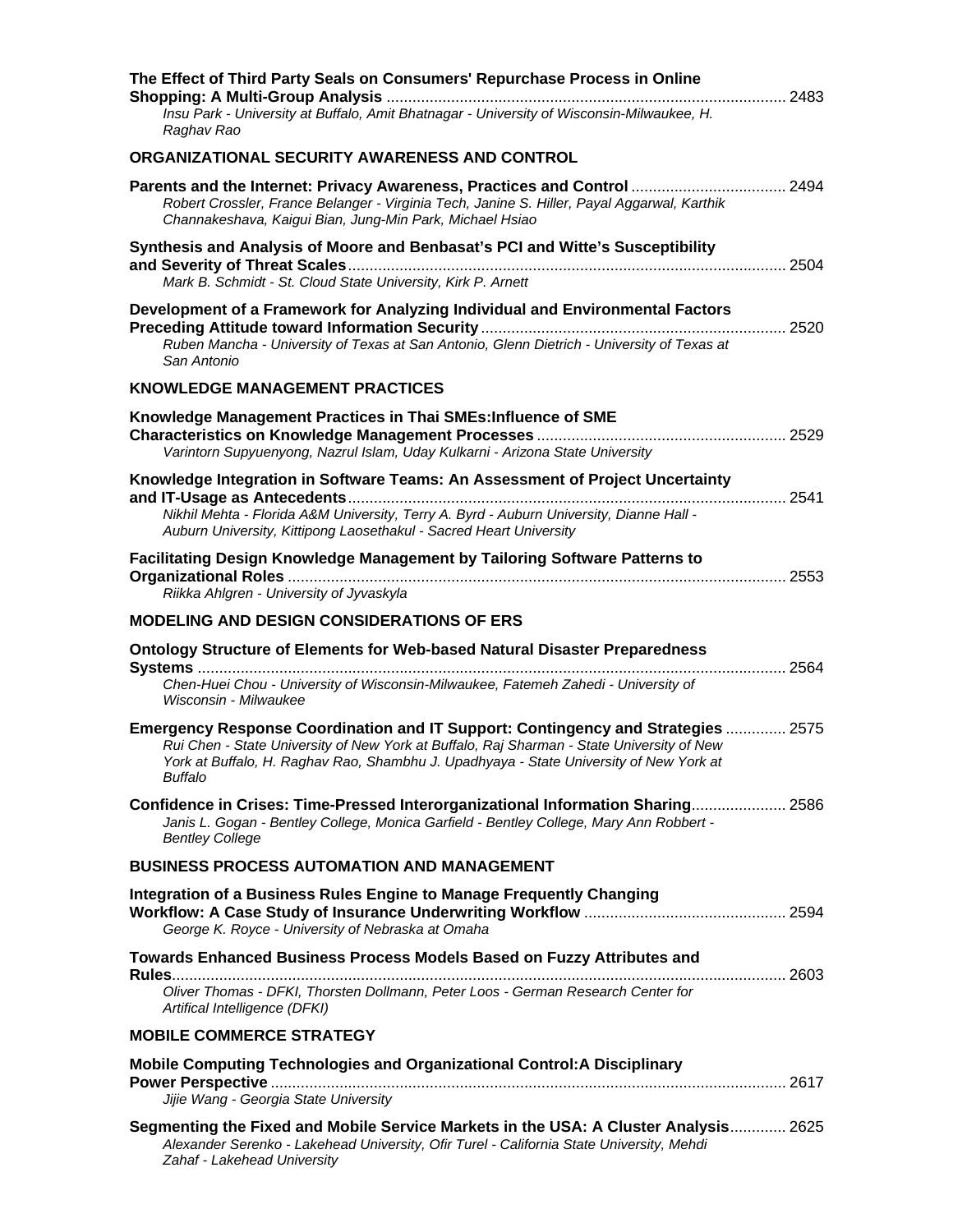| The Effect of Third Party Seals on Consumers' Repurchase Process in Online                                                                                                                                                                                                         |  |
|------------------------------------------------------------------------------------------------------------------------------------------------------------------------------------------------------------------------------------------------------------------------------------|--|
| Insu Park - University at Buffalo, Amit Bhatnagar - University of Wisconsin-Milwaukee, H.<br>Raghav Rao                                                                                                                                                                            |  |
| ORGANIZATIONAL SECURITY AWARENESS AND CONTROL                                                                                                                                                                                                                                      |  |
| Parents and the Internet: Privacy Awareness, Practices and Control  2494<br>Robert Crossler, France Belanger - Virginia Tech, Janine S. Hiller, Payal Aggarwal, Karthik<br>Channakeshava, Kaigui Bian, Jung-Min Park, Michael Hsiao                                                |  |
| Synthesis and Analysis of Moore and Benbasat's PCI and Witte's Susceptibility<br>Mark B. Schmidt - St. Cloud State University, Kirk P. Arnett                                                                                                                                      |  |
| Development of a Framework for Analyzing Individual and Environmental Factors<br>Ruben Mancha - University of Texas at San Antonio, Glenn Dietrich - University of Texas at<br>San Antonio                                                                                         |  |
| <b>KNOWLEDGE MANAGEMENT PRACTICES</b>                                                                                                                                                                                                                                              |  |
| Knowledge Management Practices in Thai SMEs: Influence of SME<br>Varintorn Supyuenyong, Nazrul Islam, Uday Kulkarni - Arizona State University                                                                                                                                     |  |
| Knowledge Integration in Software Teams: An Assessment of Project Uncertainty<br>Nikhil Mehta - Florida A&M University, Terry A. Byrd - Auburn University, Dianne Hall -<br>Auburn University, Kittipong Laosethakul - Sacred Heart University                                     |  |
| Facilitating Design Knowledge Management by Tailoring Software Patterns to<br>Riikka Ahlgren - University of Jyvaskyla                                                                                                                                                             |  |
| <b>MODELING AND DESIGN CONSIDERATIONS OF ERS</b>                                                                                                                                                                                                                                   |  |
| Ontology Structure of Elements for Web-based Natural Disaster Preparedness                                                                                                                                                                                                         |  |
| Chen-Huei Chou - University of Wisconsin-Milwaukee, Fatemeh Zahedi - University of<br>Wisconsin - Milwaukee                                                                                                                                                                        |  |
| Emergency Response Coordination and IT Support: Contingency and Strategies  2575<br>Rui Chen - State University of New York at Buffalo, Raj Sharman - State University of New<br>York at Buffalo, H. Raghav Rao, Shambhu J. Upadhyaya - State University of New York at<br>Buffalo |  |
| Confidence in Crises: Time-Pressed Interorganizational Information Sharing 2586<br>Janis L. Gogan - Bentley College, Monica Garfield - Bentley College, Mary Ann Robbert -<br><b>Bentley College</b>                                                                               |  |
| <b>BUSINESS PROCESS AUTOMATION AND MANAGEMENT</b>                                                                                                                                                                                                                                  |  |
| Integration of a Business Rules Engine to Manage Frequently Changing<br>George K. Royce - University of Nebraska at Omaha                                                                                                                                                          |  |
| Towards Enhanced Business Process Models Based on Fuzzy Attributes and                                                                                                                                                                                                             |  |
| Oliver Thomas - DFKI, Thorsten Dollmann, Peter Loos - German Research Center for<br>Artifical Intelligence (DFKI)                                                                                                                                                                  |  |
| <b>MOBILE COMMERCE STRATEGY</b>                                                                                                                                                                                                                                                    |  |
| <b>Mobile Computing Technologies and Organizational Control: A Disciplinary</b>                                                                                                                                                                                                    |  |
| Jijie Wang - Georgia State University                                                                                                                                                                                                                                              |  |
| Segmenting the Fixed and Mobile Service Markets in the USA: A Cluster Analysis 2625<br>Alexander Serenko - Lakehead University, Ofir Turel - California State University, Mehdi<br>Zahaf - Lakehead University                                                                     |  |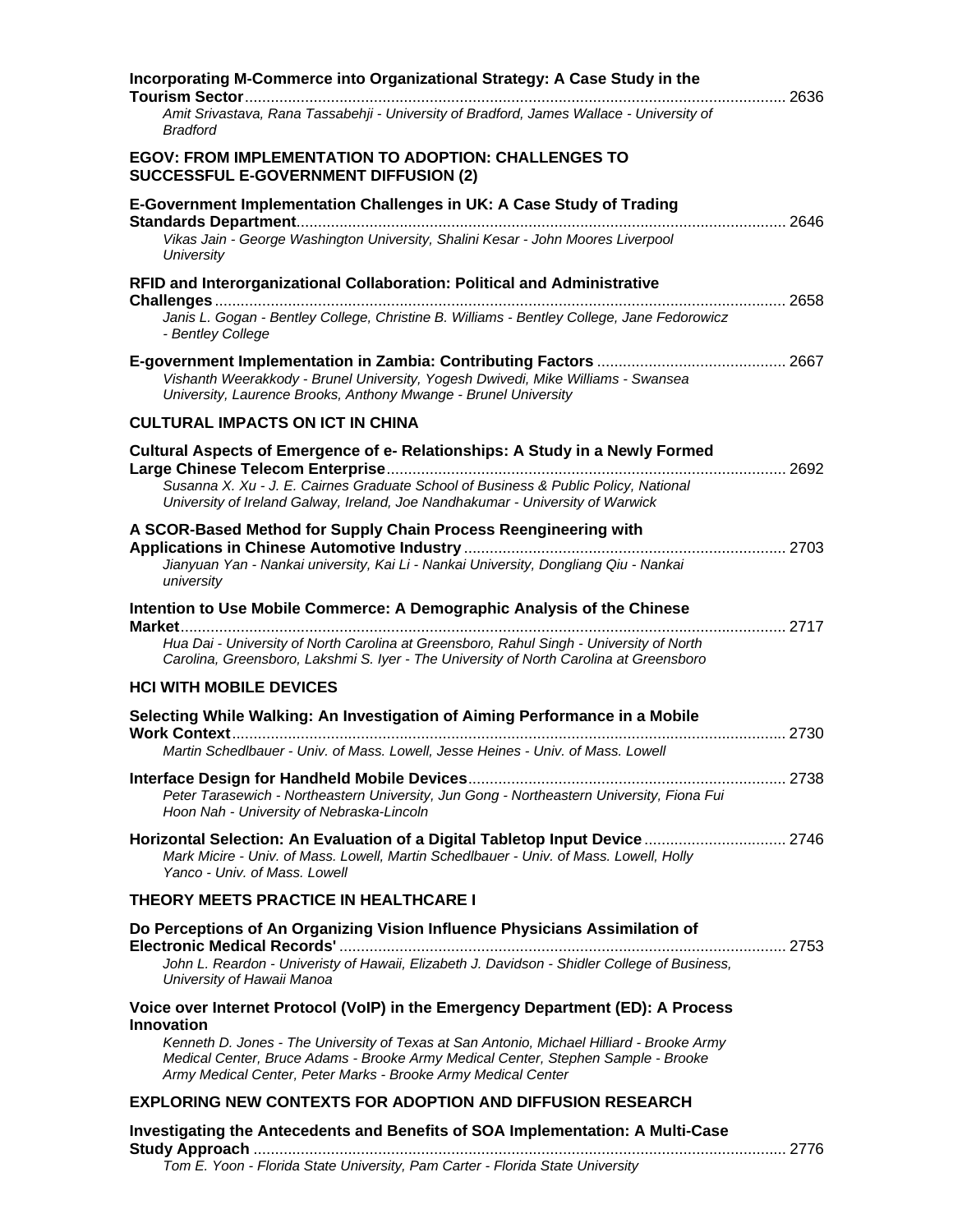| Incorporating M-Commerce into Organizational Strategy: A Case Study in the                                                                                                                                                                                           |  |
|----------------------------------------------------------------------------------------------------------------------------------------------------------------------------------------------------------------------------------------------------------------------|--|
| Amit Srivastava, Rana Tassabehji - University of Bradford, James Wallace - University of<br><b>Bradford</b>                                                                                                                                                          |  |
| <b>EGOV: FROM IMPLEMENTATION TO ADOPTION: CHALLENGES TO</b><br><b>SUCCESSFUL E-GOVERNMENT DIFFUSION (2)</b>                                                                                                                                                          |  |
| E-Government Implementation Challenges in UK: A Case Study of Trading                                                                                                                                                                                                |  |
| Vikas Jain - George Washington University, Shalini Kesar - John Moores Liverpool<br>University                                                                                                                                                                       |  |
| RFID and Interorganizational Collaboration: Political and Administrative                                                                                                                                                                                             |  |
| Janis L. Gogan - Bentley College, Christine B. Williams - Bentley College, Jane Fedorowicz<br>- Bentley College                                                                                                                                                      |  |
| Vishanth Weerakkody - Brunel University, Yogesh Dwivedi, Mike Williams - Swansea<br>University, Laurence Brooks, Anthony Mwange - Brunel University                                                                                                                  |  |
| <b>CULTURAL IMPACTS ON ICT IN CHINA</b>                                                                                                                                                                                                                              |  |
| Cultural Aspects of Emergence of e- Relationships: A Study in a Newly Formed                                                                                                                                                                                         |  |
| Susanna X. Xu - J. E. Cairnes Graduate School of Business & Public Policy, National<br>University of Ireland Galway, Ireland, Joe Nandhakumar - University of Warwick                                                                                                |  |
| A SCOR-Based Method for Supply Chain Process Reengineering with                                                                                                                                                                                                      |  |
| Jianyuan Yan - Nankai university, Kai Li - Nankai University, Dongliang Qiu - Nankai<br>university                                                                                                                                                                   |  |
| Intention to Use Mobile Commerce: A Demographic Analysis of the Chinese                                                                                                                                                                                              |  |
| <b>Market</b><br>Hua Dai - University of North Carolina at Greensboro, Rahul Singh - University of North<br>Carolina, Greensboro, Lakshmi S. Iyer - The University of North Carolina at Greensboro                                                                   |  |
| <b>HCI WITH MOBILE DEVICES</b>                                                                                                                                                                                                                                       |  |
| Selecting While Walking: An Investigation of Aiming Performance in a Mobile                                                                                                                                                                                          |  |
| Martin Schedlbauer - Univ. of Mass. Lowell, Jesse Heines - Univ. of Mass. Lowell                                                                                                                                                                                     |  |
| Peter Tarasewich - Northeastern University, Jun Gong - Northeastern University, Fiona Fui<br>Hoon Nah - University of Nebraska-Lincoln                                                                                                                               |  |
| Horizontal Selection: An Evaluation of a Digital Tabletop Input Device  2746<br>Mark Micire - Univ. of Mass. Lowell, Martin Schedlbauer - Univ. of Mass. Lowell, Holly<br>Yanco - Univ. of Mass. Lowell                                                              |  |
| THEORY MEETS PRACTICE IN HEALTHCARE I                                                                                                                                                                                                                                |  |
| Do Perceptions of An Organizing Vision Influence Physicians Assimilation of                                                                                                                                                                                          |  |
| John L. Reardon - Univeristy of Hawaii, Elizabeth J. Davidson - Shidler College of Business,<br>University of Hawaii Manoa                                                                                                                                           |  |
| Voice over Internet Protocol (VoIP) in the Emergency Department (ED): A Process                                                                                                                                                                                      |  |
| <b>Innovation</b><br>Kenneth D. Jones - The University of Texas at San Antonio, Michael Hilliard - Brooke Army<br>Medical Center, Bruce Adams - Brooke Army Medical Center, Stephen Sample - Brooke<br>Army Medical Center, Peter Marks - Brooke Army Medical Center |  |
| <b>EXPLORING NEW CONTEXTS FOR ADOPTION AND DIFFUSION RESEARCH</b>                                                                                                                                                                                                    |  |
| Investigating the Antecedents and Benefits of SOA Implementation: A Multi-Case                                                                                                                                                                                       |  |
| Tom E. Yoon - Florida State University, Pam Carter - Florida State University                                                                                                                                                                                        |  |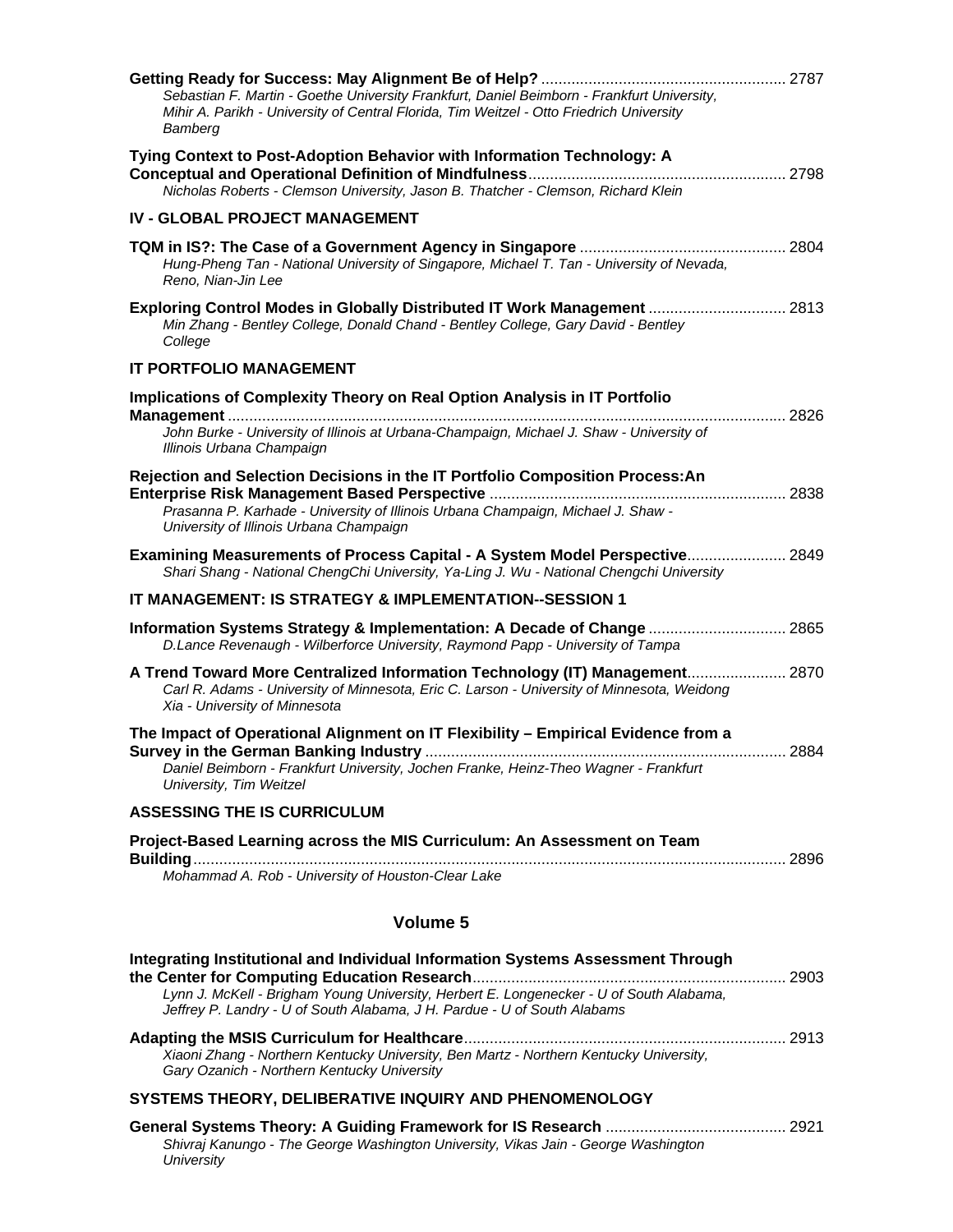| Sebastian F. Martin - Goethe University Frankfurt, Daniel Beimborn - Frankfurt University,<br>Mihir A. Parikh - University of Central Florida, Tim Weitzel - Otto Friedrich University<br>Bamberg                                                      |  |
|--------------------------------------------------------------------------------------------------------------------------------------------------------------------------------------------------------------------------------------------------------|--|
| Tying Context to Post-Adoption Behavior with Information Technology: A<br>Nicholas Roberts - Clemson University, Jason B. Thatcher - Clemson, Richard Klein                                                                                            |  |
| <b>IV - GLOBAL PROJECT MANAGEMENT</b>                                                                                                                                                                                                                  |  |
| Hung-Pheng Tan - National University of Singapore, Michael T. Tan - University of Nevada,<br>Reno, Nian-Jin Lee                                                                                                                                        |  |
| Exploring Control Modes in Globally Distributed IT Work Management  2813<br>Min Zhang - Bentley College, Donald Chand - Bentley College, Gary David - Bentley<br>College                                                                               |  |
| <b>IT PORTFOLIO MANAGEMENT</b>                                                                                                                                                                                                                         |  |
| <b>Implications of Complexity Theory on Real Option Analysis in IT Portfolio</b>                                                                                                                                                                       |  |
| John Burke - University of Illinois at Urbana-Champaign, Michael J. Shaw - University of<br>Illinois Urbana Champaign                                                                                                                                  |  |
| Rejection and Selection Decisions in the IT Portfolio Composition Process: An<br>Prasanna P. Karhade - University of Illinois Urbana Champaign, Michael J. Shaw -<br>University of Illinois Urbana Champaign                                           |  |
| Examining Measurements of Process Capital - A System Model Perspective 2849<br>Shari Shang - National ChengChi University, Ya-Ling J. Wu - National Chengchi University                                                                                |  |
| IT MANAGEMENT: IS STRATEGY & IMPLEMENTATION--SESSION 1                                                                                                                                                                                                 |  |
| Information Systems Strategy & Implementation: A Decade of Change  2865<br>D.Lance Revenaugh - Wilberforce University, Raymond Papp - University of Tampa                                                                                              |  |
| A Trend Toward More Centralized Information Technology (IT) Management 2870<br>Carl R. Adams - University of Minnesota, Eric C. Larson - University of Minnesota, Weidong<br>Xia - University of Minnesota                                             |  |
| The Impact of Operational Alignment on IT Flexibility - Empirical Evidence from a<br>Daniel Beimborn - Frankfurt University, Jochen Franke, Heinz-Theo Wagner - Frankfurt<br>University, Tim Weitzel                                                   |  |
| <b>ASSESSING THE IS CURRICULUM</b>                                                                                                                                                                                                                     |  |
| Project-Based Learning across the MIS Curriculum: An Assessment on Team                                                                                                                                                                                |  |
| Mohammad A. Rob - University of Houston-Clear Lake                                                                                                                                                                                                     |  |
| Volume 5                                                                                                                                                                                                                                               |  |
| Integrating Institutional and Individual Information Systems Assessment Through<br>Lynn J. McKell - Brigham Young University, Herbert E. Longenecker - U of South Alabama,<br>Jeffrey P. Landry - U of South Alabama, J H. Pardue - U of South Alabams |  |
| Xiaoni Zhang - Northern Kentucky University, Ben Martz - Northern Kentucky University,<br>Gary Ozanich - Northern Kentucky University                                                                                                                  |  |
| SYSTEMS THEORY, DELIBERATIVE INQUIRY AND PHENOMENOLOGY                                                                                                                                                                                                 |  |
| Shivraj Kanungo - The George Washington University, Vikas Jain - George Washington<br>University                                                                                                                                                       |  |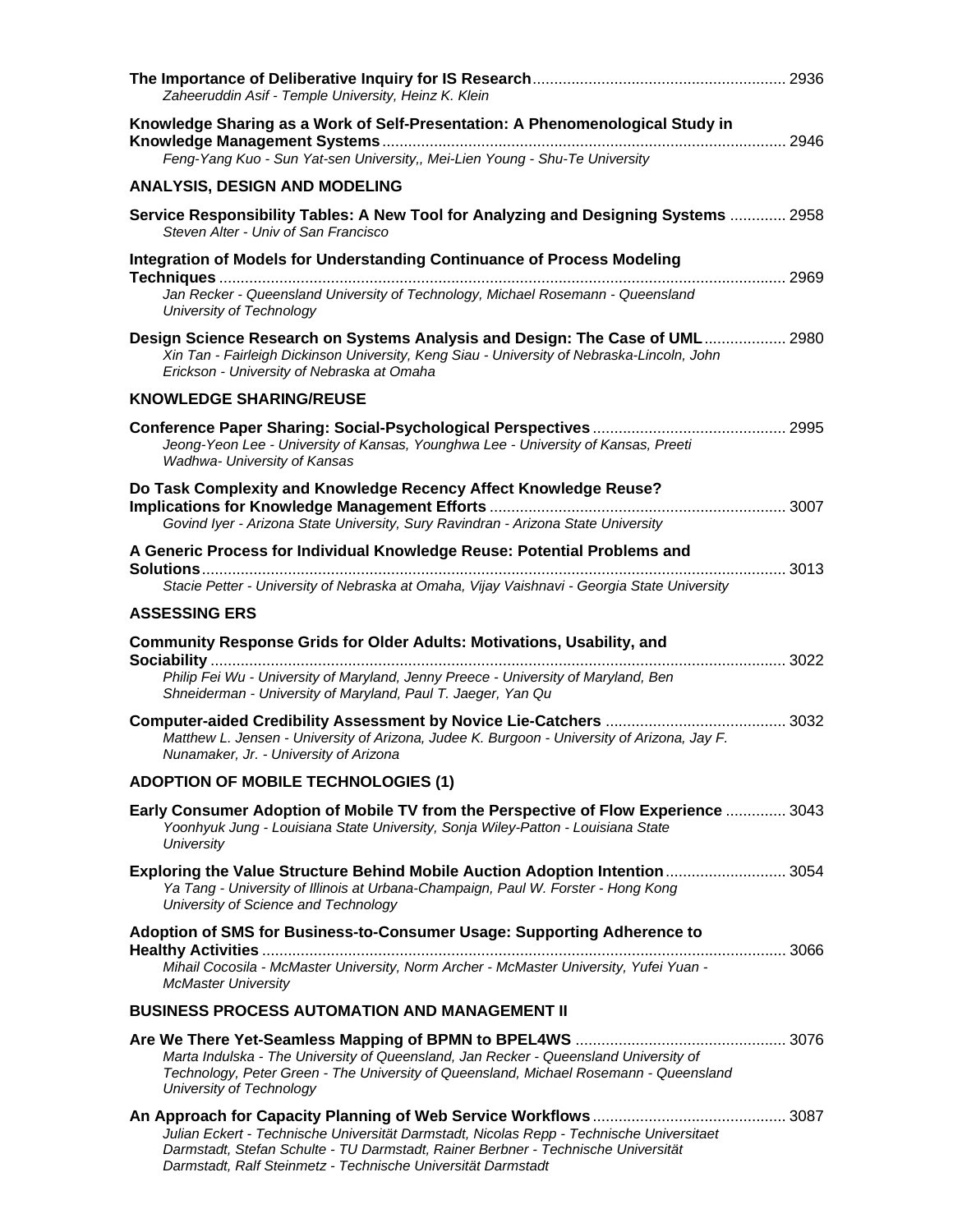| Zaheeruddin Asif - Temple University, Heinz K. Klein                                                                                                                                                                     |  |
|--------------------------------------------------------------------------------------------------------------------------------------------------------------------------------------------------------------------------|--|
| Knowledge Sharing as a Work of Self-Presentation: A Phenomenological Study in<br>Feng-Yang Kuo - Sun Yat-sen University,, Mei-Lien Young - Shu-Te University                                                             |  |
| <b>ANALYSIS, DESIGN AND MODELING</b>                                                                                                                                                                                     |  |
| Service Responsibility Tables: A New Tool for Analyzing and Designing Systems  2958<br>Steven Alter - Univ of San Francisco                                                                                              |  |
| Integration of Models for Understanding Continuance of Process Modeling<br>2969<br>Jan Recker - Queensland University of Technology, Michael Rosemann - Queensland<br>University of Technology                           |  |
| Design Science Research on Systems Analysis and Design: The Case of UML 2980<br>Xin Tan - Fairleigh Dickinson University, Keng Siau - University of Nebraska-Lincoln, John<br>Erickson - University of Nebraska at Omaha |  |
| <b>KNOWLEDGE SHARING/REUSE</b>                                                                                                                                                                                           |  |
| Jeong-Yeon Lee - University of Kansas, Younghwa Lee - University of Kansas, Preeti<br>Wadhwa- University of Kansas                                                                                                       |  |
| Do Task Complexity and Knowledge Recency Affect Knowledge Reuse?<br>Govind Iyer - Arizona State University, Sury Ravindran - Arizona State University                                                                    |  |
| A Generic Process for Individual Knowledge Reuse: Potential Problems and<br>Stacie Petter - University of Nebraska at Omaha, Vijay Vaishnavi - Georgia State University                                                  |  |
| <b>ASSESSING ERS</b>                                                                                                                                                                                                     |  |
| Community Response Grids for Older Adults: Motivations, Usability, and<br>Philip Fei Wu - University of Maryland, Jenny Preece - University of Maryland, Ben                                                             |  |
| Shneiderman - University of Maryland, Paul T. Jaeger, Yan Qu<br>Matthew L. Jensen - University of Arizona, Judee K. Burgoon - University of Arizona, Jay F.<br>Nunamaker, Jr. - University of Arizona                    |  |
| <b>ADOPTION OF MOBILE TECHNOLOGIES (1)</b>                                                                                                                                                                               |  |
| Early Consumer Adoption of Mobile TV from the Perspective of Flow Experience  3043                                                                                                                                       |  |
| Yoonhyuk Jung - Louisiana State University, Sonja Wiley-Patton - Louisiana State<br><b>University</b>                                                                                                                    |  |
| Exploring the Value Structure Behind Mobile Auction Adoption Intention  3054<br>Ya Tang - University of Illinois at Urbana-Champaign, Paul W. Forster - Hong Kong<br>University of Science and Technology                |  |
| Adoption of SMS for Business-to-Consumer Usage: Supporting Adherence to<br>Mihail Cocosila - McMaster University, Norm Archer - McMaster University, Yufei Yuan -<br><b>McMaster University</b>                          |  |
| <b>BUSINESS PROCESS AUTOMATION AND MANAGEMENT II</b>                                                                                                                                                                     |  |
| Marta Indulska - The University of Queensland, Jan Recker - Queensland University of<br>Technology, Peter Green - The University of Queensland, Michael Rosemann - Queensland<br>University of Technology                |  |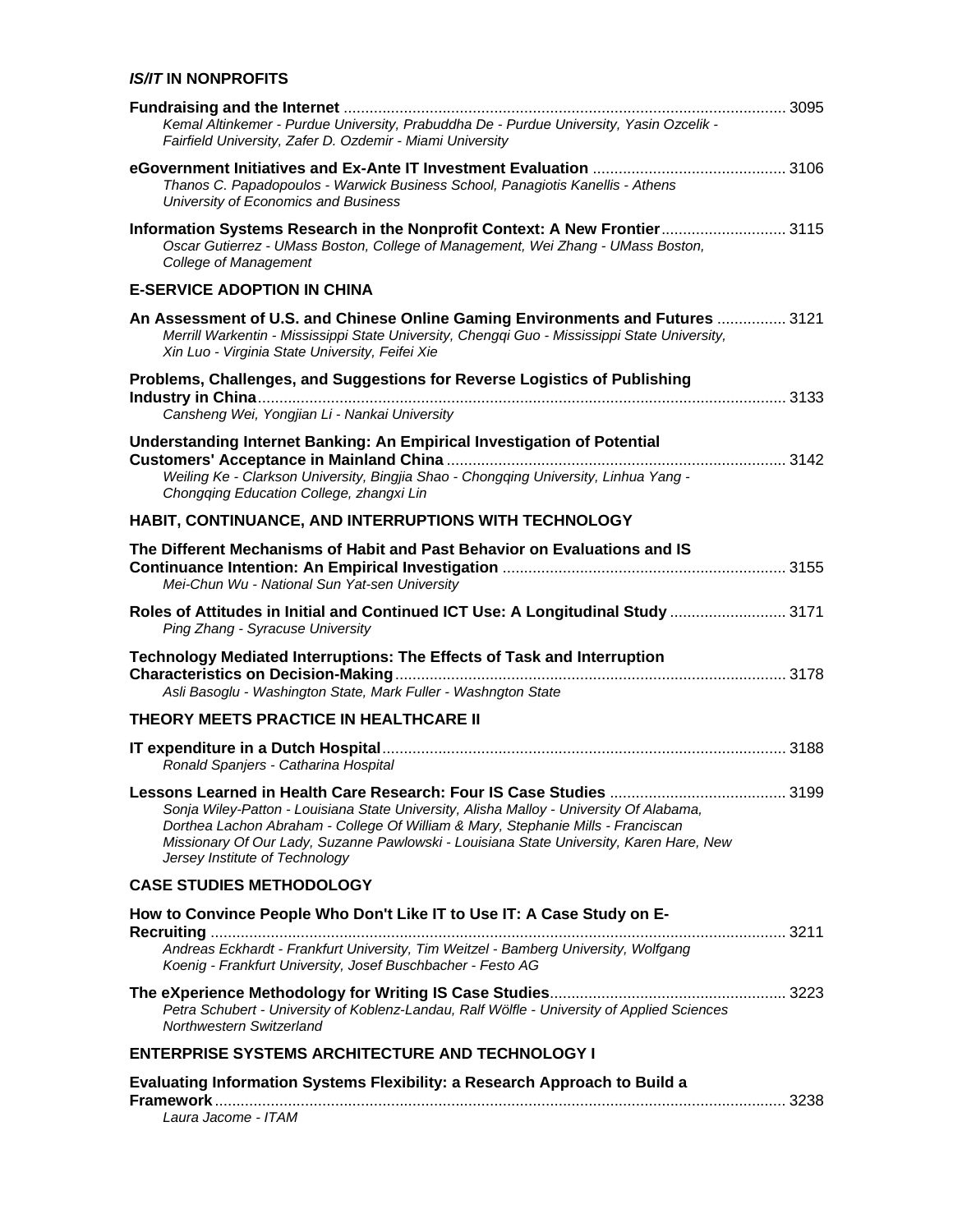#### *IS/IT* **IN NONPROFITS**

| Kemal Altinkemer - Purdue University, Prabuddha De - Purdue University, Yasin Ozcelik -<br>Fairfield University, Zafer D. Ozdemir - Miami University                                                                                                                                                                                                                      |      |
|---------------------------------------------------------------------------------------------------------------------------------------------------------------------------------------------------------------------------------------------------------------------------------------------------------------------------------------------------------------------------|------|
| Thanos C. Papadopoulos - Warwick Business School, Panagiotis Kanellis - Athens<br>University of Economics and Business                                                                                                                                                                                                                                                    |      |
| Information Systems Research in the Nonprofit Context: A New Frontier 3115<br>Oscar Gutierrez - UMass Boston, College of Management, Wei Zhang - UMass Boston,<br>College of Management                                                                                                                                                                                   |      |
| <b>E-SERVICE ADOPTION IN CHINA</b>                                                                                                                                                                                                                                                                                                                                        |      |
| An Assessment of U.S. and Chinese Online Gaming Environments and Futures  3121<br>Merrill Warkentin - Mississippi State University, Chengqi Guo - Mississippi State University,<br>Xin Luo - Virginia State University, Feifei Xie                                                                                                                                        |      |
| Problems, Challenges, and Suggestions for Reverse Logistics of Publishing                                                                                                                                                                                                                                                                                                 |      |
| Cansheng Wei, Yongjian Li - Nankai University                                                                                                                                                                                                                                                                                                                             |      |
| Understanding Internet Banking: An Empirical Investigation of Potential                                                                                                                                                                                                                                                                                                   |      |
| Weiling Ke - Clarkson University, Bingjia Shao - Chongqing University, Linhua Yang -<br>Chongqing Education College, zhangxi Lin                                                                                                                                                                                                                                          |      |
| HABIT, CONTINUANCE, AND INTERRUPTIONS WITH TECHNOLOGY                                                                                                                                                                                                                                                                                                                     |      |
| The Different Mechanisms of Habit and Past Behavior on Evaluations and IS<br>Mei-Chun Wu - National Sun Yat-sen University                                                                                                                                                                                                                                                |      |
| Roles of Attitudes in Initial and Continued ICT Use: A Longitudinal Study  3171<br>Ping Zhang - Syracuse University                                                                                                                                                                                                                                                       |      |
| Technology Mediated Interruptions: The Effects of Task and Interruption<br>Asli Basoglu - Washington State, Mark Fuller - Washngton State                                                                                                                                                                                                                                 |      |
| THEORY MEETS PRACTICE IN HEALTHCARE II                                                                                                                                                                                                                                                                                                                                    |      |
| Ronald Spanjers - Catharina Hospital                                                                                                                                                                                                                                                                                                                                      |      |
| Lessons Learned in Health Care Research: Four IS Case Studies<br>Sonja Wiley-Patton - Louisiana State University, Alisha Malloy - University Of Alabama,<br>Dorthea Lachon Abraham - College Of William & Mary, Stephanie Mills - Franciscan<br>Missionary Of Our Lady, Suzanne Pawlowski - Louisiana State University, Karen Hare, New<br>Jersey Institute of Technology | 3199 |
| <b>CASE STUDIES METHODOLOGY</b>                                                                                                                                                                                                                                                                                                                                           |      |
| How to Convince People Who Don't Like IT to Use IT: A Case Study on E-                                                                                                                                                                                                                                                                                                    |      |
| Andreas Eckhardt - Frankfurt University, Tim Weitzel - Bamberg University, Wolfgang<br>Koenig - Frankfurt University, Josef Buschbacher - Festo AG                                                                                                                                                                                                                        |      |
| Petra Schubert - University of Koblenz-Landau, Ralf Wölfle - University of Applied Sciences<br>Northwestern Switzerland                                                                                                                                                                                                                                                   |      |
| <b>ENTERPRISE SYSTEMS ARCHITECTURE AND TECHNOLOGY I</b>                                                                                                                                                                                                                                                                                                                   |      |
| Evaluating Information Systems Flexibility: a Research Approach to Build a<br>Laura Jacome - ITAM                                                                                                                                                                                                                                                                         |      |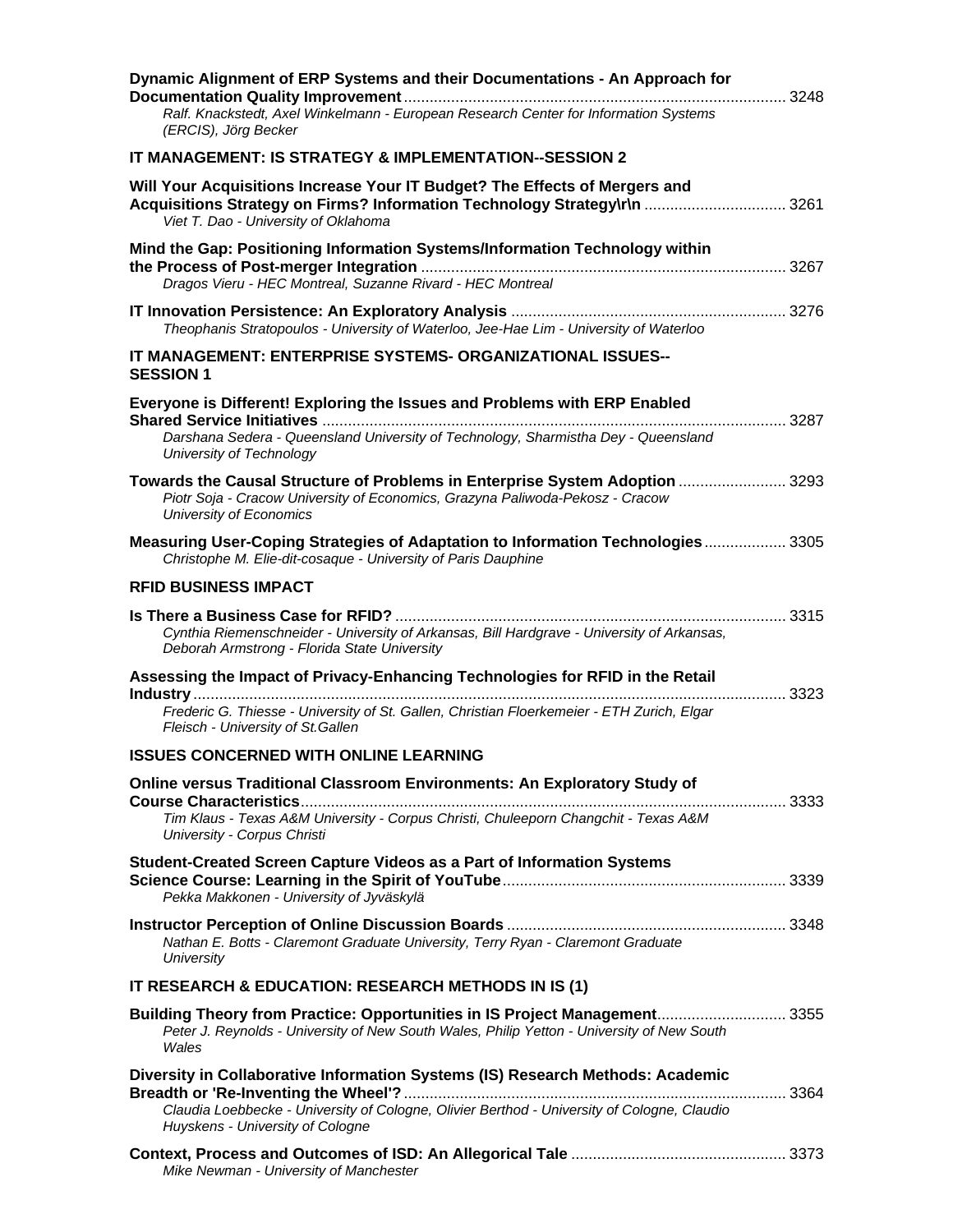| Dynamic Alignment of ERP Systems and their Documentations - An Approach for                                                                                                                     |      |
|-------------------------------------------------------------------------------------------------------------------------------------------------------------------------------------------------|------|
| Ralf. Knackstedt, Axel Winkelmann - European Research Center for Information Systems<br>(ERCIS), Jörg Becker                                                                                    |      |
| IT MANAGEMENT: IS STRATEGY & IMPLEMENTATION--SESSION 2                                                                                                                                          |      |
| Will Your Acquisitions Increase Your IT Budget? The Effects of Mergers and<br>Acquisitions Strategy on Firms? Information Technology Strategy\r\n  3261<br>Viet T. Dao - University of Oklahoma |      |
| Mind the Gap: Positioning Information Systems/Information Technology within<br>Dragos Vieru - HEC Montreal, Suzanne Rivard - HEC Montreal                                                       |      |
| Theophanis Stratopoulos - University of Waterloo, Jee-Hae Lim - University of Waterloo                                                                                                          |      |
| IT MANAGEMENT: ENTERPRISE SYSTEMS- ORGANIZATIONAL ISSUES--<br><b>SESSION 1</b>                                                                                                                  |      |
| Everyone is Different! Exploring the Issues and Problems with ERP Enabled                                                                                                                       |      |
| Darshana Sedera - Queensland University of Technology, Sharmistha Dey - Queensland<br>University of Technology                                                                                  |      |
| Towards the Causal Structure of Problems in Enterprise System Adoption  3293<br>Piotr Soja - Cracow University of Economics, Grazyna Paliwoda-Pekosz - Cracow<br>University of Economics        |      |
| Measuring User-Coping Strategies of Adaptation to Information Technologies 3305<br>Christophe M. Elie-dit-cosaque - University of Paris Dauphine                                                |      |
| <b>RFID BUSINESS IMPACT</b>                                                                                                                                                                     |      |
| Cynthia Riemenschneider - University of Arkansas, Bill Hardgrave - University of Arkansas,<br>Deborah Armstrong - Florida State University                                                      |      |
| Assessing the Impact of Privacy-Enhancing Technologies for RFID in the Retail                                                                                                                   |      |
| Frederic G. Thiesse - University of St. Gallen, Christian Floerkemeier - ETH Zurich, Elgar<br>Fleisch - University of St. Gallen                                                                | 3323 |
| <b>ISSUES CONCERNED WITH ONLINE LEARNING</b>                                                                                                                                                    |      |
| Online versus Traditional Classroom Environments: An Exploratory Study of                                                                                                                       |      |
| Tim Klaus - Texas A&M University - Corpus Christi, Chuleeporn Changchit - Texas A&M<br>University - Corpus Christi                                                                              |      |
| Student-Created Screen Capture Videos as a Part of Information Systems<br>Pekka Makkonen - University of Jyväskylä                                                                              |      |
| Nathan E. Botts - Claremont Graduate University, Terry Ryan - Claremont Graduate<br>University                                                                                                  |      |
| IT RESEARCH & EDUCATION: RESEARCH METHODS IN IS (1)                                                                                                                                             |      |
| Building Theory from Practice: Opportunities in IS Project Management 3355<br>Peter J. Reynolds - University of New South Wales, Philip Yetton - University of New South<br>Wales               |      |
| Diversity in Collaborative Information Systems (IS) Research Methods: Academic                                                                                                                  |      |
| Claudia Loebbecke - University of Cologne, Olivier Berthod - University of Cologne, Claudio<br>Huyskens - University of Cologne                                                                 |      |
| Mike Newman - University of Manchester                                                                                                                                                          |      |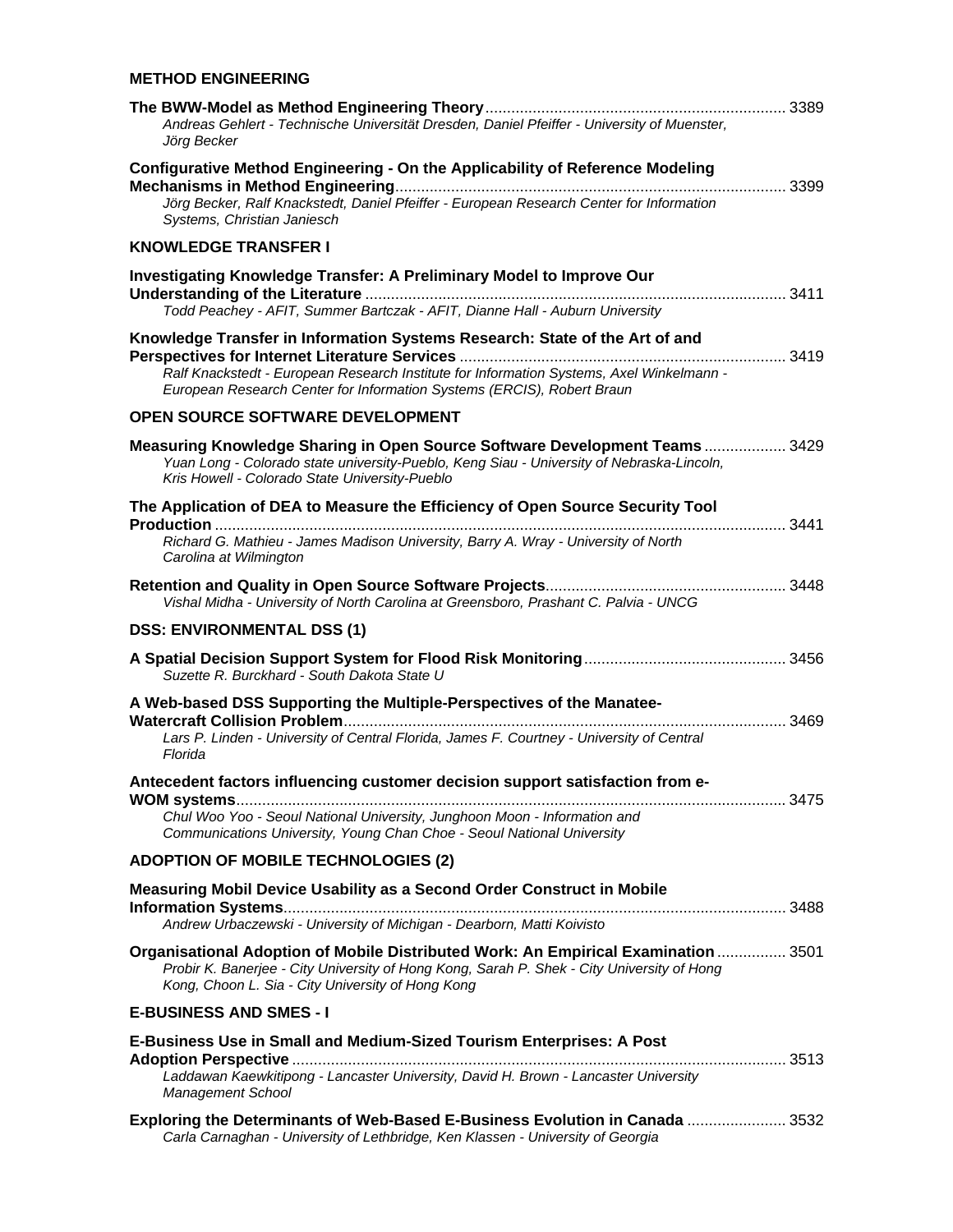| <b>METHOD ENGINEERING</b>                                                                                                                                                                                                                         |
|---------------------------------------------------------------------------------------------------------------------------------------------------------------------------------------------------------------------------------------------------|
| Andreas Gehlert - Technische Universität Dresden, Daniel Pfeiffer - University of Muenster,<br>Jörg Becker                                                                                                                                        |
| Configurative Method Engineering - On the Applicability of Reference Modeling<br>Jörg Becker, Ralf Knackstedt, Daniel Pfeiffer - European Research Center for Information<br>Systems, Christian Janiesch                                          |
| <b>KNOWLEDGE TRANSFER I</b>                                                                                                                                                                                                                       |
| <b>Investigating Knowledge Transfer: A Preliminary Model to Improve Our</b><br>Todd Peachey - AFIT, Summer Bartczak - AFIT, Dianne Hall - Auburn University                                                                                       |
| Knowledge Transfer in Information Systems Research: State of the Art of and<br>Ralf Knackstedt - European Research Institute for Information Systems, Axel Winkelmann -<br>European Research Center for Information Systems (ERCIS), Robert Braun |
| OPEN SOURCE SOFTWARE DEVELOPMENT                                                                                                                                                                                                                  |
| Measuring Knowledge Sharing in Open Source Software Development Teams  3429<br>Yuan Long - Colorado state university-Pueblo, Keng Siau - University of Nebraska-Lincoln,<br>Kris Howell - Colorado State University-Pueblo                        |
| The Application of DEA to Measure the Efficiency of Open Source Security Tool<br>3441<br>Richard G. Mathieu - James Madison University, Barry A. Wray - University of North<br>Carolina at Wilmington                                             |
| Vishal Midha - University of North Carolina at Greensboro, Prashant C. Palvia - UNCG                                                                                                                                                              |
| <b>DSS: ENVIRONMENTAL DSS (1)</b>                                                                                                                                                                                                                 |
| Suzette R. Burckhard - South Dakota State U                                                                                                                                                                                                       |
| A Web-based DSS Supporting the Multiple-Perspectives of the Manatee-<br>3469<br>Lars P. Linden - University of Central Florida, James F. Courtney - University of Central<br>Florida                                                              |
| Antecedent factors influencing customer decision support satisfaction from e-<br>Chul Woo Yoo - Seoul National University, Junghoon Moon - Information and<br>Communications University, Young Chan Choe - Seoul National University              |
| <b>ADOPTION OF MOBILE TECHNOLOGIES (2)</b>                                                                                                                                                                                                        |
| Measuring Mobil Device Usability as a Second Order Construct in Mobile<br>Andrew Urbaczewski - University of Michigan - Dearborn, Matti Koivisto                                                                                                  |
| Organisational Adoption of Mobile Distributed Work: An Empirical Examination  3501<br>Probir K. Banerjee - City University of Hong Kong, Sarah P. Shek - City University of Hong<br>Kong, Choon L. Sia - City University of Hong Kong             |
| <b>E-BUSINESS AND SMES - I</b>                                                                                                                                                                                                                    |
| E-Business Use in Small and Medium-Sized Tourism Enterprises: A Post                                                                                                                                                                              |
| Laddawan Kaewkitipong - Lancaster University, David H. Brown - Lancaster University<br><b>Management School</b>                                                                                                                                   |
| Exploring the Determinants of Web-Based E-Business Evolution in Canada  3532<br>Carla Carnaghan - University of Lethbridge, Ken Klassen - University of Georgia                                                                                   |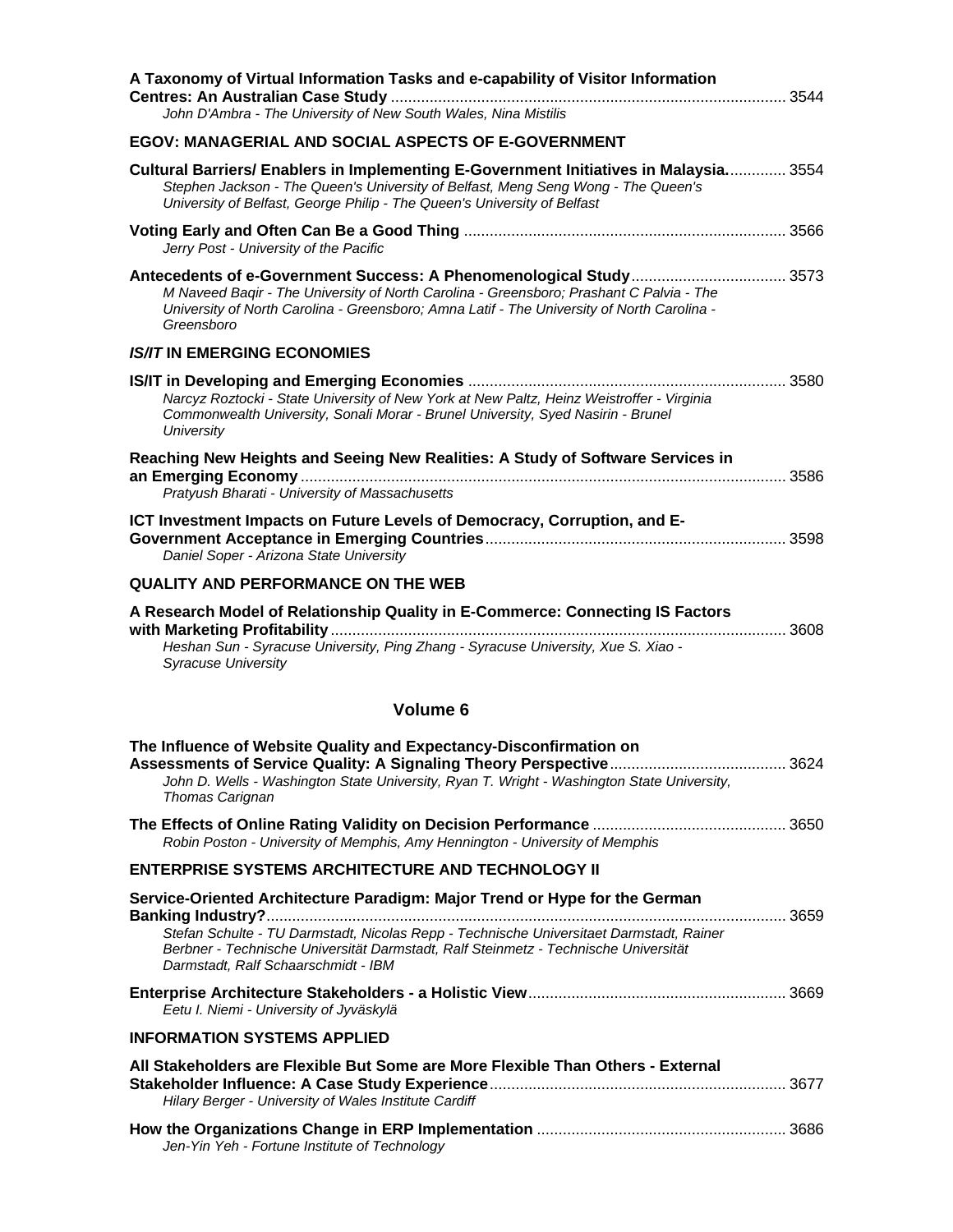| A Taxonomy of Virtual Information Tasks and e-capability of Visitor Information<br>John D'Ambra - The University of New South Wales, Nina Mistilis                                                                                                                                                  |  |
|-----------------------------------------------------------------------------------------------------------------------------------------------------------------------------------------------------------------------------------------------------------------------------------------------------|--|
| EGOV: MANAGERIAL AND SOCIAL ASPECTS OF E-GOVERNMENT                                                                                                                                                                                                                                                 |  |
| Cultural Barriers/ Enablers in Implementing E-Government Initiatives in Malaysia 3554<br>Stephen Jackson - The Queen's University of Belfast, Meng Seng Wong - The Queen's<br>University of Belfast, George Philip - The Queen's University of Belfast                                              |  |
| Jerry Post - University of the Pacific                                                                                                                                                                                                                                                              |  |
| M Naveed Bagir - The University of North Carolina - Greensboro; Prashant C Palvia - The<br>University of North Carolina - Greensboro; Amna Latif - The University of North Carolina -<br>Greensboro                                                                                                 |  |
| <b>IS/IT IN EMERGING ECONOMIES</b>                                                                                                                                                                                                                                                                  |  |
| Narcyz Roztocki - State University of New York at New Paltz, Heinz Weistroffer - Virginia<br>Commonwealth University, Sonali Morar - Brunel University, Syed Nasirin - Brunel<br>University                                                                                                         |  |
| Reaching New Heights and Seeing New Realities: A Study of Software Services in                                                                                                                                                                                                                      |  |
| Pratyush Bharati - University of Massachusetts                                                                                                                                                                                                                                                      |  |
| ICT Investment Impacts on Future Levels of Democracy, Corruption, and E-<br>Daniel Soper - Arizona State University                                                                                                                                                                                 |  |
| <b>QUALITY AND PERFORMANCE ON THE WEB</b>                                                                                                                                                                                                                                                           |  |
| A Research Model of Relationship Quality in E-Commerce: Connecting IS Factors<br>Heshan Sun - Syracuse University, Ping Zhang - Syracuse University, Xue S. Xiao -<br><b>Syracuse University</b>                                                                                                    |  |
| Volume 6                                                                                                                                                                                                                                                                                            |  |
| The Influence of Website Quality and Expectancy-Disconfirmation on<br>John D. Wells - Washington State University, Ryan T. Wright - Washington State University,<br>Thomas Carignan                                                                                                                 |  |
| Robin Poston - University of Memphis, Amy Hennington - University of Memphis                                                                                                                                                                                                                        |  |
| <b>ENTERPRISE SYSTEMS ARCHITECTURE AND TECHNOLOGY II</b>                                                                                                                                                                                                                                            |  |
| Service-Oriented Architecture Paradigm: Major Trend or Hype for the German<br>Stefan Schulte - TU Darmstadt, Nicolas Repp - Technische Universitaet Darmstadt, Rainer<br>Berbner - Technische Universität Darmstadt, Ralf Steinmetz - Technische Universität<br>Darmstadt, Ralf Schaarschmidt - IBM |  |
| Eetu I. Niemi - University of Jyväskylä                                                                                                                                                                                                                                                             |  |
| <b>INFORMATION SYSTEMS APPLIED</b>                                                                                                                                                                                                                                                                  |  |
| All Stakeholders are Flexible But Some are More Flexible Than Others - External<br>Hilary Berger - University of Wales Institute Cardiff                                                                                                                                                            |  |
| Jen-Yin Yeh - Fortune Institute of Technology                                                                                                                                                                                                                                                       |  |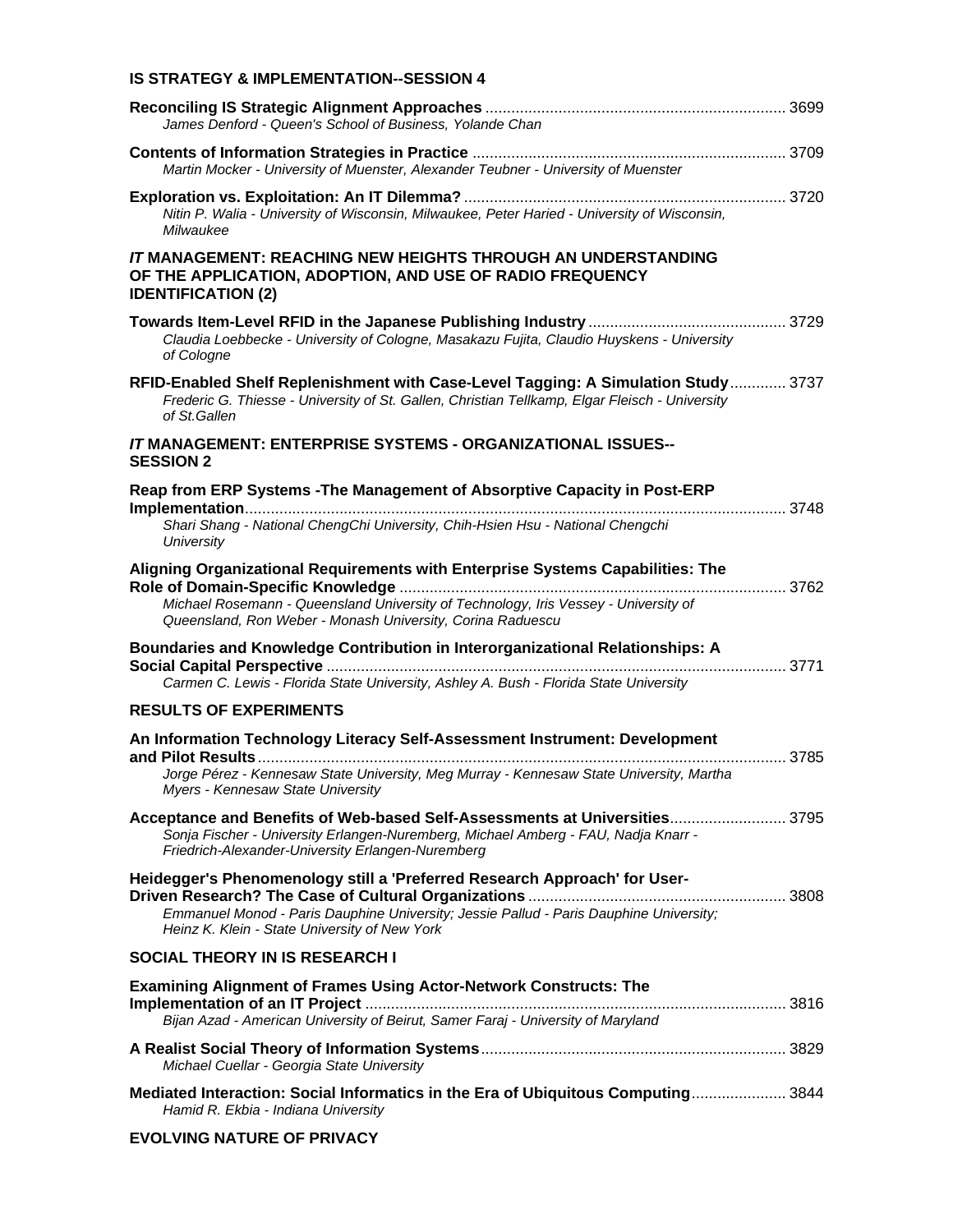#### **IS STRATEGY & IMPLEMENTATION--SESSION 4**

| James Denford - Queen's School of Business, Yolande Chan                                                                                                                                            |  |
|-----------------------------------------------------------------------------------------------------------------------------------------------------------------------------------------------------|--|
| Martin Mocker - University of Muenster, Alexander Teubner - University of Muenster                                                                                                                  |  |
| Nitin P. Walia - University of Wisconsin, Milwaukee, Peter Haried - University of Wisconsin,<br>Milwaukee                                                                                           |  |
| <b>IT MANAGEMENT: REACHING NEW HEIGHTS THROUGH AN UNDERSTANDING</b><br>OF THE APPLICATION, ADOPTION, AND USE OF RADIO FREQUENCY<br><b>IDENTIFICATION (2)</b>                                        |  |
| Claudia Loebbecke - University of Cologne, Masakazu Fujita, Claudio Huyskens - University<br>of Cologne                                                                                             |  |
| RFID-Enabled Shelf Replenishment with Case-Level Tagging: A Simulation Study 3737<br>Frederic G. Thiesse - University of St. Gallen, Christian Tellkamp, Elgar Fleisch - University<br>of St Gallen |  |
| <b>IT MANAGEMENT: ENTERPRISE SYSTEMS - ORGANIZATIONAL ISSUES--</b><br><b>SESSION 2</b>                                                                                                              |  |
| Reap from ERP Systems - The Management of Absorptive Capacity in Post-ERP                                                                                                                           |  |
| Shari Shang - National ChengChi University, Chih-Hsien Hsu - National Chengchi<br><b>University</b>                                                                                                 |  |
| Aligning Organizational Requirements with Enterprise Systems Capabilities: The                                                                                                                      |  |
| Michael Rosemann - Queensland University of Technology, Iris Vessey - University of<br>Queensland, Ron Weber - Monash University, Corina Raduescu                                                   |  |
| Boundaries and Knowledge Contribution in Interorganizational Relationships: A<br>Carmen C. Lewis - Florida State University, Ashley A. Bush - Florida State University                              |  |
| <b>RESULTS OF EXPERIMENTS</b>                                                                                                                                                                       |  |
| An Information Technology Literacy Self-Assessment Instrument: Development                                                                                                                          |  |
| Jorge Pérez - Kennesaw State University, Meg Murray - Kennesaw State University, Martha<br>Myers - Kennesaw State University                                                                        |  |
| Acceptance and Benefits of Web-based Self-Assessments at Universities 3795                                                                                                                          |  |
| Sonja Fischer - University Erlangen-Nuremberg, Michael Amberg - FAU, Nadja Knarr -<br>Friedrich-Alexander-University Erlangen-Nuremberg                                                             |  |
| Heidegger's Phenomenology still a 'Preferred Research Approach' for User-                                                                                                                           |  |
| Emmanuel Monod - Paris Dauphine University; Jessie Pallud - Paris Dauphine University;<br>Heinz K. Klein - State University of New York                                                             |  |
| <b>SOCIAL THEORY IN IS RESEARCH I</b>                                                                                                                                                               |  |
| <b>Examining Alignment of Frames Using Actor-Network Constructs: The</b><br>Bijan Azad - American University of Beirut, Samer Faraj - University of Maryland                                        |  |
|                                                                                                                                                                                                     |  |
| Michael Cuellar - Georgia State University                                                                                                                                                          |  |
| Mediated Interaction: Social Informatics in the Era of Ubiquitous Computing 3844<br>Hamid R. Ekbia - Indiana University                                                                             |  |

#### **EVOLVING NATURE OF PRIVACY**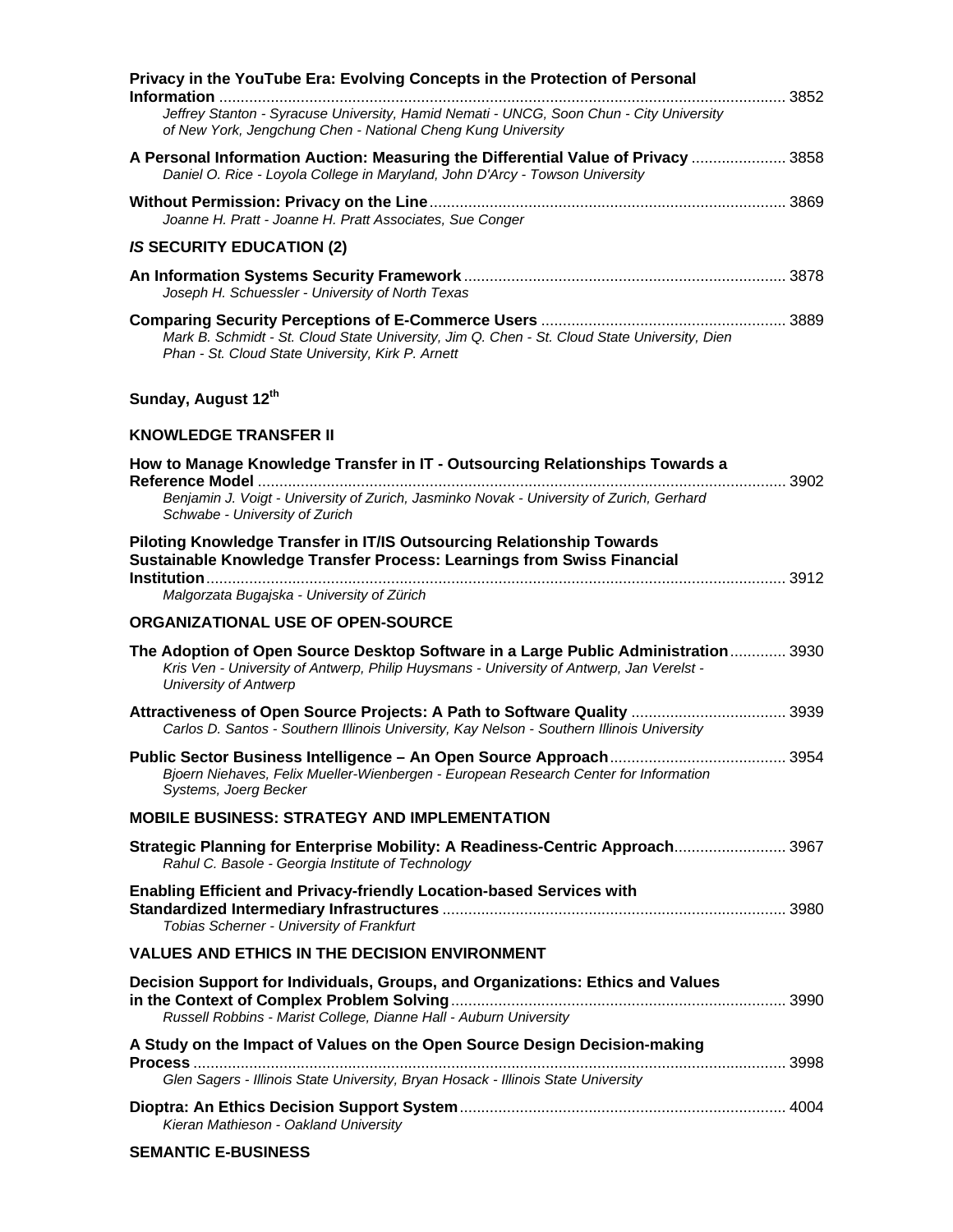| Privacy in the YouTube Era: Evolving Concepts in the Protection of Personal                                                                                                                                    |  |
|----------------------------------------------------------------------------------------------------------------------------------------------------------------------------------------------------------------|--|
| Jeffrey Stanton - Syracuse University, Hamid Nemati - UNCG, Soon Chun - City University<br>of New York, Jengchung Chen - National Cheng Kung University                                                        |  |
| A Personal Information Auction: Measuring the Differential Value of Privacy  3858<br>Daniel O. Rice - Loyola College in Maryland, John D'Arcy - Towson University                                              |  |
| Joanne H. Pratt - Joanne H. Pratt Associates, Sue Conger                                                                                                                                                       |  |
| <b>IS SECURITY EDUCATION (2)</b>                                                                                                                                                                               |  |
| Joseph H. Schuessler - University of North Texas                                                                                                                                                               |  |
| Mark B. Schmidt - St. Cloud State University, Jim Q. Chen - St. Cloud State University, Dien<br>Phan - St. Cloud State University, Kirk P. Arnett                                                              |  |
| Sunday, August 12th                                                                                                                                                                                            |  |
| <b>KNOWLEDGE TRANSFER II</b>                                                                                                                                                                                   |  |
| How to Manage Knowledge Transfer in IT - Outsourcing Relationships Towards a                                                                                                                                   |  |
| Benjamin J. Voigt - University of Zurich, Jasminko Novak - University of Zurich, Gerhard<br>Schwabe - University of Zurich                                                                                     |  |
| Piloting Knowledge Transfer in IT/IS Outsourcing Relationship Towards<br>Sustainable Knowledge Transfer Process: Learnings from Swiss Financial                                                                |  |
| Malgorzata Bugajska - University of Zürich                                                                                                                                                                     |  |
| ORGANIZATIONAL USE OF OPEN-SOURCE                                                                                                                                                                              |  |
| The Adoption of Open Source Desktop Software in a Large Public Administration 3930<br>Kris Ven - University of Antwerp, Philip Huysmans - University of Antwerp, Jan Verelst -<br><b>University of Antwerp</b> |  |
| Attractiveness of Open Source Projects: A Path to Software Quality  3939<br>Carlos D. Santos - Southern Illinois University, Kay Nelson - Southern Illinois University                                         |  |
| Bjoern Niehaves, Felix Mueller-Wienbergen - European Research Center for Information<br>Systems, Joerg Becker                                                                                                  |  |
| <b>MOBILE BUSINESS: STRATEGY AND IMPLEMENTATION</b>                                                                                                                                                            |  |
| Strategic Planning for Enterprise Mobility: A Readiness-Centric Approach 3967<br>Rahul C. Basole - Georgia Institute of Technology                                                                             |  |
| <b>Enabling Efficient and Privacy-friendly Location-based Services with</b><br>Tobias Scherner - University of Frankfurt                                                                                       |  |
| <b>VALUES AND ETHICS IN THE DECISION ENVIRONMENT</b>                                                                                                                                                           |  |
| Decision Support for Individuals, Groups, and Organizations: Ethics and Values<br>Russell Robbins - Marist College, Dianne Hall - Auburn University                                                            |  |
| A Study on the Impact of Values on the Open Source Design Decision-making<br>Glen Sagers - Illinois State University, Bryan Hosack - Illinois State University                                                 |  |
| Kieran Mathieson - Oakland University                                                                                                                                                                          |  |

#### **SEMANTIC E-BUSINESS**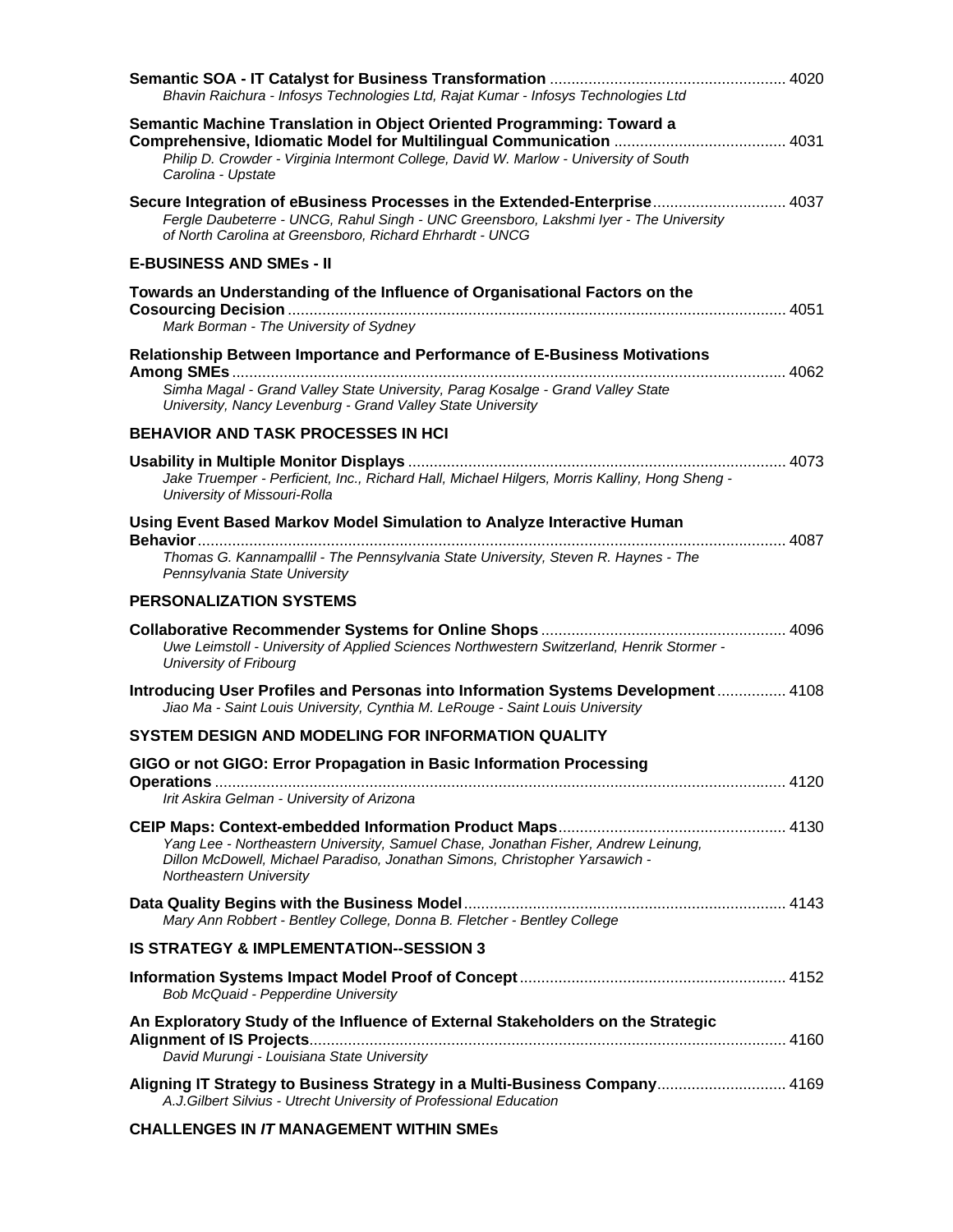| Bhavin Raichura - Infosys Technologies Ltd, Rajat Kumar - Infosys Technologies Ltd                                                                                                                                             |  |
|--------------------------------------------------------------------------------------------------------------------------------------------------------------------------------------------------------------------------------|--|
| Semantic Machine Translation in Object Oriented Programming: Toward a<br>Philip D. Crowder - Virginia Intermont College, David W. Marlow - University of South<br>Carolina - Upstate                                           |  |
| Secure Integration of eBusiness Processes in the Extended-Enterprise 4037<br>Fergle Daubeterre - UNCG, Rahul Singh - UNC Greensboro, Lakshmi Iyer - The University<br>of North Carolina at Greensboro, Richard Ehrhardt - UNCG |  |
| <b>E-BUSINESS AND SMES - II</b>                                                                                                                                                                                                |  |
| Towards an Understanding of the Influence of Organisational Factors on the<br>Mark Borman - The University of Sydney                                                                                                           |  |
| Relationship Between Importance and Performance of E-Business Motivations                                                                                                                                                      |  |
| Simha Magal - Grand Valley State University, Parag Kosalge - Grand Valley State<br>University, Nancy Levenburg - Grand Valley State University                                                                                 |  |
| <b>BEHAVIOR AND TASK PROCESSES IN HCI</b>                                                                                                                                                                                      |  |
| Jake Truemper - Perficient, Inc., Richard Hall, Michael Hilgers, Morris Kalliny, Hong Sheng -<br>University of Missouri-Rolla                                                                                                  |  |
| Using Event Based Markov Model Simulation to Analyze Interactive Human<br>Thomas G. Kannampallil - The Pennsylvania State University, Steven R. Haynes - The                                                                   |  |
| Pennsylvania State University                                                                                                                                                                                                  |  |
| <b>PERSONALIZATION SYSTEMS</b>                                                                                                                                                                                                 |  |
| Uwe Leimstoll - University of Applied Sciences Northwestern Switzerland, Henrik Stormer -<br>University of Fribourg                                                                                                            |  |
| Introducing User Profiles and Personas into Information Systems Development  4108<br>Jiao Ma - Saint Louis University, Cynthia M. LeRouge - Saint Louis University                                                             |  |
| SYSTEM DESIGN AND MODELING FOR INFORMATION QUALITY                                                                                                                                                                             |  |
| GIGO or not GIGO: Error Propagation in Basic Information Processing                                                                                                                                                            |  |
| Irit Askira Gelman - University of Arizona                                                                                                                                                                                     |  |
|                                                                                                                                                                                                                                |  |
| Yang Lee - Northeastern University, Samuel Chase, Jonathan Fisher, Andrew Leinung,<br>Dillon McDowell, Michael Paradiso, Jonathan Simons, Christopher Yarsawich -<br>Northeastern University                                   |  |
| Mary Ann Robbert - Bentley College, Donna B. Fletcher - Bentley College                                                                                                                                                        |  |
| <b>IS STRATEGY &amp; IMPLEMENTATION--SESSION 3</b>                                                                                                                                                                             |  |
| Bob McQuaid - Pepperdine University                                                                                                                                                                                            |  |
| An Exploratory Study of the Influence of External Stakeholders on the Strategic<br>David Murungi - Louisiana State University                                                                                                  |  |
|                                                                                                                                                                                                                                |  |
| Aligning IT Strategy to Business Strategy in a Multi-Business Company 4169<br>A.J.Gilbert Silvius - Utrecht University of Professional Education                                                                               |  |
| <b>CHALLENGES IN /T MANAGEMENT WITHIN SMEs</b>                                                                                                                                                                                 |  |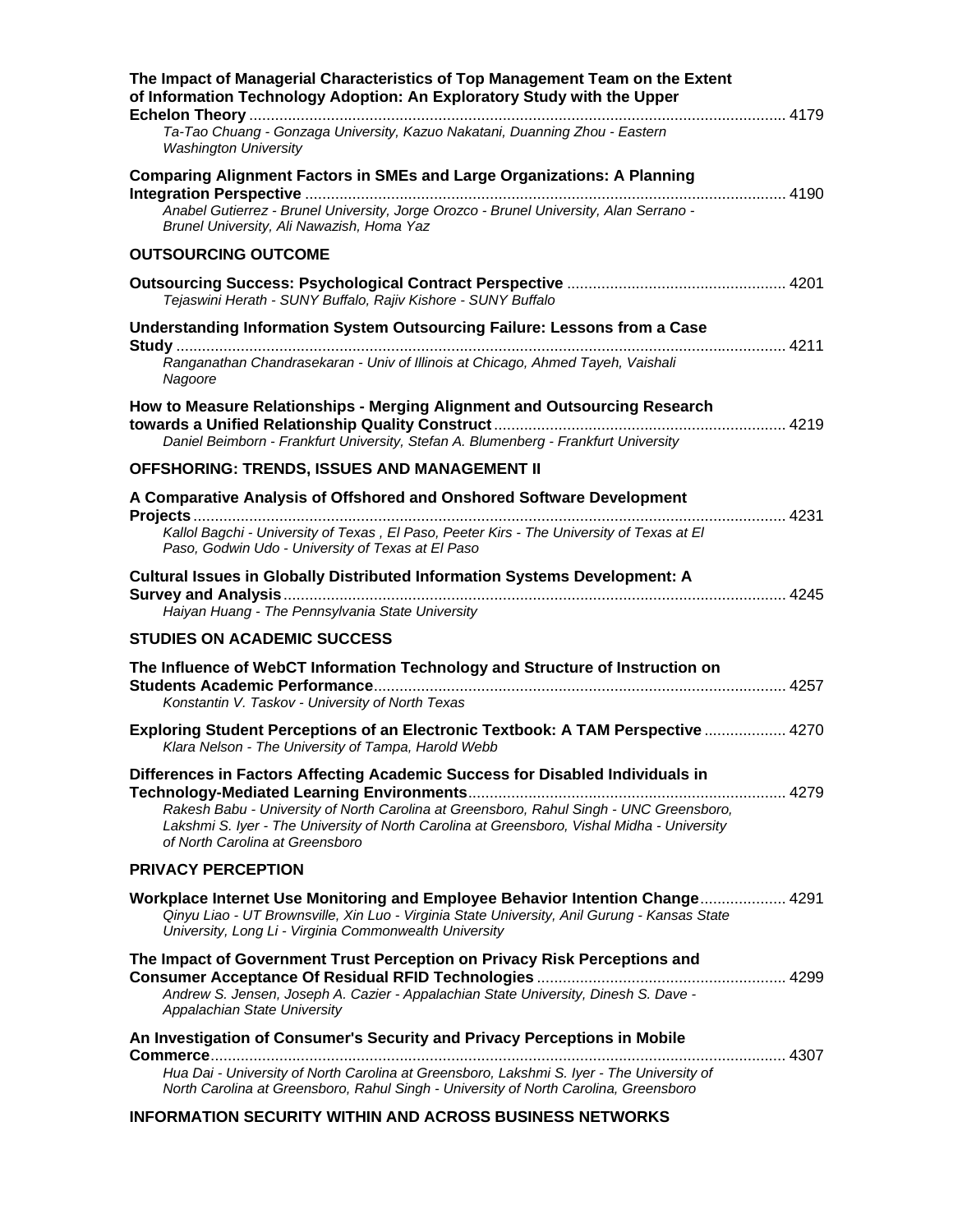| The Impact of Managerial Characteristics of Top Management Team on the Extent<br>of Information Technology Adoption: An Exploratory Study with the Upper                                                                                                                                                   |
|------------------------------------------------------------------------------------------------------------------------------------------------------------------------------------------------------------------------------------------------------------------------------------------------------------|
| Ta-Tao Chuang - Gonzaga University, Kazuo Nakatani, Duanning Zhou - Eastern<br><b>Washington University</b>                                                                                                                                                                                                |
| <b>Comparing Alignment Factors in SMEs and Large Organizations: A Planning</b><br>-<br>Anabel Gutierrez - Brunel University, Jorge Orozco - Brunel University, Alan Serrano -<br>Brunel University, Ali Nawazish, Homa Yaz                                                                                 |
| <b>OUTSOURCING OUTCOME</b>                                                                                                                                                                                                                                                                                 |
| Tejaswini Herath - SUNY Buffalo, Rajiv Kishore - SUNY Buffalo                                                                                                                                                                                                                                              |
| Understanding Information System Outsourcing Failure: Lessons from a Case<br>Ranganathan Chandrasekaran - Univ of Illinois at Chicago, Ahmed Tayeh, Vaishali                                                                                                                                               |
| Nagoore                                                                                                                                                                                                                                                                                                    |
| How to Measure Relationships - Merging Alignment and Outsourcing Research                                                                                                                                                                                                                                  |
| Daniel Beimborn - Frankfurt University, Stefan A. Blumenberg - Frankfurt University                                                                                                                                                                                                                        |
| OFFSHORING: TRENDS, ISSUES AND MANAGEMENT II                                                                                                                                                                                                                                                               |
| A Comparative Analysis of Offshored and Onshored Software Development<br>Kallol Bagchi - University of Texas, El Paso, Peeter Kirs - The University of Texas at El<br>Paso, Godwin Udo - University of Texas at El Paso                                                                                    |
| <b>Cultural Issues in Globally Distributed Information Systems Development: A</b><br>Haiyan Huang - The Pennsylvania State University                                                                                                                                                                      |
| <b>STUDIES ON ACADEMIC SUCCESS</b>                                                                                                                                                                                                                                                                         |
| The Influence of WebCT Information Technology and Structure of Instruction on<br>Konstantin V. Taskov - University of North Texas                                                                                                                                                                          |
| Exploring Student Perceptions of an Electronic Textbook: A TAM Perspective  4270<br>Klara Nelson - The University of Tampa, Harold Webb                                                                                                                                                                    |
| Differences in Factors Affecting Academic Success for Disabled Individuals in<br>Rakesh Babu - University of North Carolina at Greensboro, Rahul Singh - UNC Greensboro,<br>Lakshmi S. Iyer - The University of North Carolina at Greensboro, Vishal Midha - University<br>of North Carolina at Greensboro |
| <b>PRIVACY PERCEPTION</b>                                                                                                                                                                                                                                                                                  |
| Workplace Internet Use Monitoring and Employee Behavior Intention Change 4291<br>Qinyu Liao - UT Brownsville, Xin Luo - Virginia State University, Anil Gurung - Kansas State<br>University, Long Li - Virginia Commonwealth University                                                                    |
| The Impact of Government Trust Perception on Privacy Risk Perceptions and<br>Andrew S. Jensen, Joseph A. Cazier - Appalachian State University, Dinesh S. Dave -<br>Appalachian State University                                                                                                           |
| An Investigation of Consumer's Security and Privacy Perceptions in Mobile<br>Hua Dai - University of North Carolina at Greensboro, Lakshmi S. Iyer - The University of                                                                                                                                     |
| North Carolina at Greensboro, Rahul Singh - University of North Carolina, Greensboro<br><b>INFORMATION SECURITY WITHIN AND ACROSS BUSINESS NETWORKS</b>                                                                                                                                                    |
|                                                                                                                                                                                                                                                                                                            |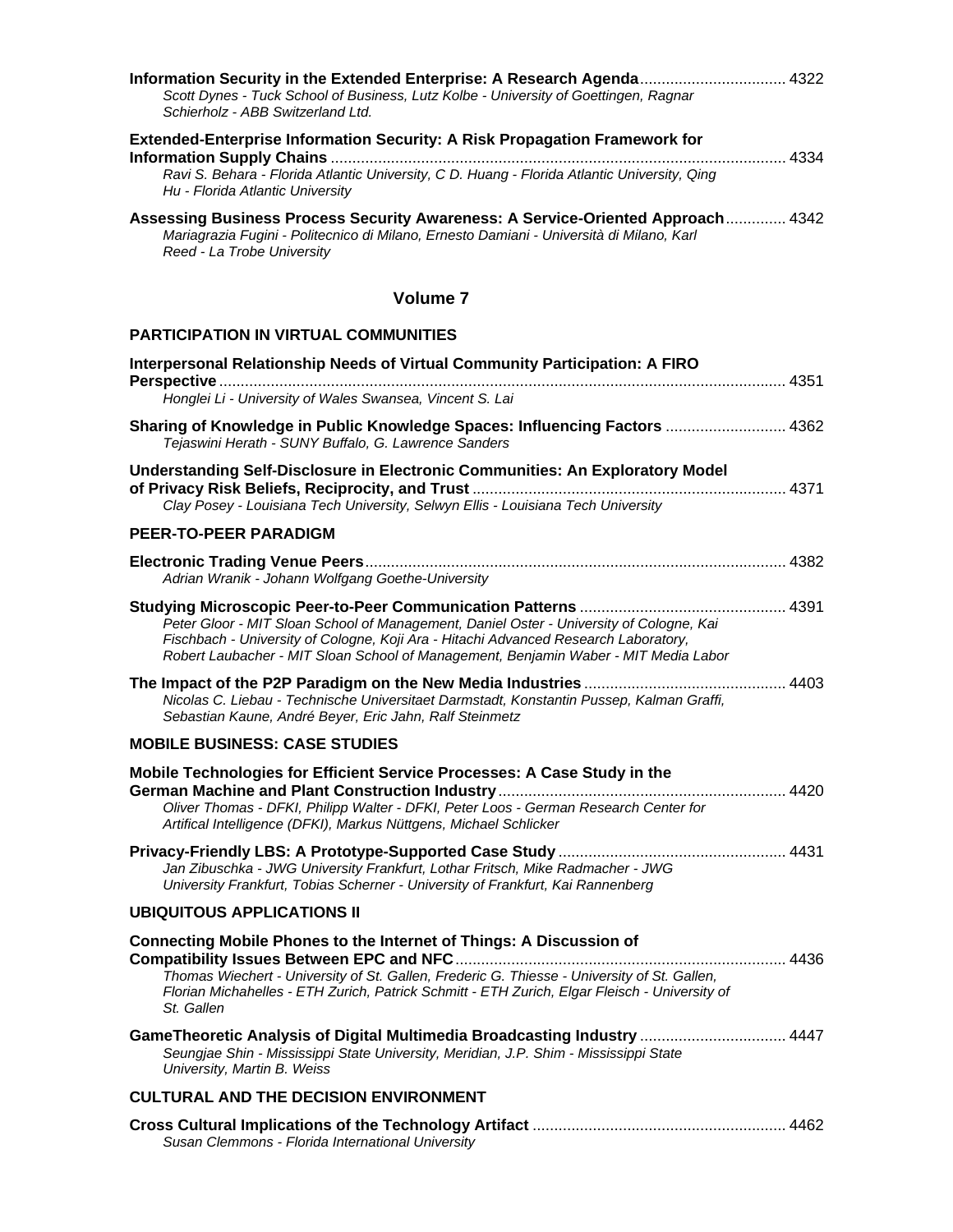| <b>Extended-Enterprise Information Security: A Risk Propagation Framework for</b><br>4334<br>Ravi S. Behara - Florida Atlantic University, C D. Huang - Florida Atlantic University, Qing<br>Hu - Florida Atlantic University<br>Assessing Business Process Security Awareness: A Service-Oriented Approach 4342<br>Mariagrazia Fugini - Politecnico di Milano, Ernesto Damiani - Università di Milano, Karl<br>Reed - La Trobe University<br><b>Volume 7</b><br><b>PARTICIPATION IN VIRTUAL COMMUNITIES</b><br>Interpersonal Relationship Needs of Virtual Community Participation: A FIRO<br>Honglei Li - University of Wales Swansea, Vincent S. Lai<br>Sharing of Knowledge in Public Knowledge Spaces: Influencing Factors  4362<br>Tejaswini Herath - SUNY Buffalo, G. Lawrence Sanders<br>Understanding Self-Disclosure in Electronic Communities: An Exploratory Model<br>Clay Posey - Louisiana Tech University, Selwyn Ellis - Louisiana Tech University<br><b>PEER-TO-PEER PARADIGM</b><br>Adrian Wranik - Johann Wolfgang Goethe-University<br>Peter Gloor - MIT Sloan School of Management, Daniel Oster - University of Cologne, Kai<br>Fischbach - University of Cologne, Koji Ara - Hitachi Advanced Research Laboratory,<br>Robert Laubacher - MIT Sloan School of Management, Benjamin Waber - MIT Media Labor<br>Nicolas C. Liebau - Technische Universitaet Darmstadt, Konstantin Pussep, Kalman Graffi,<br>Sebastian Kaune, André Beyer, Eric Jahn, Ralf Steinmetz<br><b>MOBILE BUSINESS: CASE STUDIES</b><br>Mobile Technologies for Efficient Service Processes: A Case Study in the<br>Oliver Thomas - DFKI, Philipp Walter - DFKI, Peter Loos - German Research Center for<br>Artifical Intelligence (DFKI), Markus Nüttgens, Michael Schlicker<br>Jan Zibuschka - JWG University Frankfurt, Lothar Fritsch, Mike Radmacher - JWG<br>University Frankfurt, Tobias Scherner - University of Frankfurt, Kai Rannenberg<br><b>UBIQUITOUS APPLICATIONS II</b><br><b>Connecting Mobile Phones to the Internet of Things: A Discussion of</b><br>Thomas Wiechert - University of St. Gallen, Frederic G. Thiesse - University of St. Gallen,<br>Florian Michahelles - ETH Zurich, Patrick Schmitt - ETH Zurich, Elgar Fleisch - University of<br>St. Gallen<br>GameTheoretic Analysis of Digital Multimedia Broadcasting Industry  4447<br>Seungjae Shin - Mississippi State University, Meridian, J.P. Shim - Mississippi State<br>University, Martin B. Weiss<br><b>CULTURAL AND THE DECISION ENVIRONMENT</b><br>Susan Clemmons - Florida International University | Information Security in the Extended Enterprise: A Research Agenda 4322<br>Scott Dynes - Tuck School of Business, Lutz Kolbe - University of Goettingen, Ragnar<br>Schierholz - ABB Switzerland Ltd. |  |
|-----------------------------------------------------------------------------------------------------------------------------------------------------------------------------------------------------------------------------------------------------------------------------------------------------------------------------------------------------------------------------------------------------------------------------------------------------------------------------------------------------------------------------------------------------------------------------------------------------------------------------------------------------------------------------------------------------------------------------------------------------------------------------------------------------------------------------------------------------------------------------------------------------------------------------------------------------------------------------------------------------------------------------------------------------------------------------------------------------------------------------------------------------------------------------------------------------------------------------------------------------------------------------------------------------------------------------------------------------------------------------------------------------------------------------------------------------------------------------------------------------------------------------------------------------------------------------------------------------------------------------------------------------------------------------------------------------------------------------------------------------------------------------------------------------------------------------------------------------------------------------------------------------------------------------------------------------------------------------------------------------------------------------------------------------------------------------------------------------------------------------------------------------------------------------------------------------------------------------------------------------------------------------------------------------------------------------------------------------------------------------------------------------------------------------------------------------------------------------------------------------------------------------------------------------------------------------------------|------------------------------------------------------------------------------------------------------------------------------------------------------------------------------------------------------|--|
|                                                                                                                                                                                                                                                                                                                                                                                                                                                                                                                                                                                                                                                                                                                                                                                                                                                                                                                                                                                                                                                                                                                                                                                                                                                                                                                                                                                                                                                                                                                                                                                                                                                                                                                                                                                                                                                                                                                                                                                                                                                                                                                                                                                                                                                                                                                                                                                                                                                                                                                                                                                         |                                                                                                                                                                                                      |  |
|                                                                                                                                                                                                                                                                                                                                                                                                                                                                                                                                                                                                                                                                                                                                                                                                                                                                                                                                                                                                                                                                                                                                                                                                                                                                                                                                                                                                                                                                                                                                                                                                                                                                                                                                                                                                                                                                                                                                                                                                                                                                                                                                                                                                                                                                                                                                                                                                                                                                                                                                                                                         |                                                                                                                                                                                                      |  |
|                                                                                                                                                                                                                                                                                                                                                                                                                                                                                                                                                                                                                                                                                                                                                                                                                                                                                                                                                                                                                                                                                                                                                                                                                                                                                                                                                                                                                                                                                                                                                                                                                                                                                                                                                                                                                                                                                                                                                                                                                                                                                                                                                                                                                                                                                                                                                                                                                                                                                                                                                                                         |                                                                                                                                                                                                      |  |
|                                                                                                                                                                                                                                                                                                                                                                                                                                                                                                                                                                                                                                                                                                                                                                                                                                                                                                                                                                                                                                                                                                                                                                                                                                                                                                                                                                                                                                                                                                                                                                                                                                                                                                                                                                                                                                                                                                                                                                                                                                                                                                                                                                                                                                                                                                                                                                                                                                                                                                                                                                                         |                                                                                                                                                                                                      |  |
|                                                                                                                                                                                                                                                                                                                                                                                                                                                                                                                                                                                                                                                                                                                                                                                                                                                                                                                                                                                                                                                                                                                                                                                                                                                                                                                                                                                                                                                                                                                                                                                                                                                                                                                                                                                                                                                                                                                                                                                                                                                                                                                                                                                                                                                                                                                                                                                                                                                                                                                                                                                         |                                                                                                                                                                                                      |  |
|                                                                                                                                                                                                                                                                                                                                                                                                                                                                                                                                                                                                                                                                                                                                                                                                                                                                                                                                                                                                                                                                                                                                                                                                                                                                                                                                                                                                                                                                                                                                                                                                                                                                                                                                                                                                                                                                                                                                                                                                                                                                                                                                                                                                                                                                                                                                                                                                                                                                                                                                                                                         |                                                                                                                                                                                                      |  |
|                                                                                                                                                                                                                                                                                                                                                                                                                                                                                                                                                                                                                                                                                                                                                                                                                                                                                                                                                                                                                                                                                                                                                                                                                                                                                                                                                                                                                                                                                                                                                                                                                                                                                                                                                                                                                                                                                                                                                                                                                                                                                                                                                                                                                                                                                                                                                                                                                                                                                                                                                                                         |                                                                                                                                                                                                      |  |
|                                                                                                                                                                                                                                                                                                                                                                                                                                                                                                                                                                                                                                                                                                                                                                                                                                                                                                                                                                                                                                                                                                                                                                                                                                                                                                                                                                                                                                                                                                                                                                                                                                                                                                                                                                                                                                                                                                                                                                                                                                                                                                                                                                                                                                                                                                                                                                                                                                                                                                                                                                                         |                                                                                                                                                                                                      |  |
|                                                                                                                                                                                                                                                                                                                                                                                                                                                                                                                                                                                                                                                                                                                                                                                                                                                                                                                                                                                                                                                                                                                                                                                                                                                                                                                                                                                                                                                                                                                                                                                                                                                                                                                                                                                                                                                                                                                                                                                                                                                                                                                                                                                                                                                                                                                                                                                                                                                                                                                                                                                         |                                                                                                                                                                                                      |  |
|                                                                                                                                                                                                                                                                                                                                                                                                                                                                                                                                                                                                                                                                                                                                                                                                                                                                                                                                                                                                                                                                                                                                                                                                                                                                                                                                                                                                                                                                                                                                                                                                                                                                                                                                                                                                                                                                                                                                                                                                                                                                                                                                                                                                                                                                                                                                                                                                                                                                                                                                                                                         |                                                                                                                                                                                                      |  |
|                                                                                                                                                                                                                                                                                                                                                                                                                                                                                                                                                                                                                                                                                                                                                                                                                                                                                                                                                                                                                                                                                                                                                                                                                                                                                                                                                                                                                                                                                                                                                                                                                                                                                                                                                                                                                                                                                                                                                                                                                                                                                                                                                                                                                                                                                                                                                                                                                                                                                                                                                                                         |                                                                                                                                                                                                      |  |
|                                                                                                                                                                                                                                                                                                                                                                                                                                                                                                                                                                                                                                                                                                                                                                                                                                                                                                                                                                                                                                                                                                                                                                                                                                                                                                                                                                                                                                                                                                                                                                                                                                                                                                                                                                                                                                                                                                                                                                                                                                                                                                                                                                                                                                                                                                                                                                                                                                                                                                                                                                                         |                                                                                                                                                                                                      |  |
|                                                                                                                                                                                                                                                                                                                                                                                                                                                                                                                                                                                                                                                                                                                                                                                                                                                                                                                                                                                                                                                                                                                                                                                                                                                                                                                                                                                                                                                                                                                                                                                                                                                                                                                                                                                                                                                                                                                                                                                                                                                                                                                                                                                                                                                                                                                                                                                                                                                                                                                                                                                         |                                                                                                                                                                                                      |  |
|                                                                                                                                                                                                                                                                                                                                                                                                                                                                                                                                                                                                                                                                                                                                                                                                                                                                                                                                                                                                                                                                                                                                                                                                                                                                                                                                                                                                                                                                                                                                                                                                                                                                                                                                                                                                                                                                                                                                                                                                                                                                                                                                                                                                                                                                                                                                                                                                                                                                                                                                                                                         |                                                                                                                                                                                                      |  |
|                                                                                                                                                                                                                                                                                                                                                                                                                                                                                                                                                                                                                                                                                                                                                                                                                                                                                                                                                                                                                                                                                                                                                                                                                                                                                                                                                                                                                                                                                                                                                                                                                                                                                                                                                                                                                                                                                                                                                                                                                                                                                                                                                                                                                                                                                                                                                                                                                                                                                                                                                                                         |                                                                                                                                                                                                      |  |
|                                                                                                                                                                                                                                                                                                                                                                                                                                                                                                                                                                                                                                                                                                                                                                                                                                                                                                                                                                                                                                                                                                                                                                                                                                                                                                                                                                                                                                                                                                                                                                                                                                                                                                                                                                                                                                                                                                                                                                                                                                                                                                                                                                                                                                                                                                                                                                                                                                                                                                                                                                                         |                                                                                                                                                                                                      |  |
|                                                                                                                                                                                                                                                                                                                                                                                                                                                                                                                                                                                                                                                                                                                                                                                                                                                                                                                                                                                                                                                                                                                                                                                                                                                                                                                                                                                                                                                                                                                                                                                                                                                                                                                                                                                                                                                                                                                                                                                                                                                                                                                                                                                                                                                                                                                                                                                                                                                                                                                                                                                         |                                                                                                                                                                                                      |  |
|                                                                                                                                                                                                                                                                                                                                                                                                                                                                                                                                                                                                                                                                                                                                                                                                                                                                                                                                                                                                                                                                                                                                                                                                                                                                                                                                                                                                                                                                                                                                                                                                                                                                                                                                                                                                                                                                                                                                                                                                                                                                                                                                                                                                                                                                                                                                                                                                                                                                                                                                                                                         |                                                                                                                                                                                                      |  |
|                                                                                                                                                                                                                                                                                                                                                                                                                                                                                                                                                                                                                                                                                                                                                                                                                                                                                                                                                                                                                                                                                                                                                                                                                                                                                                                                                                                                                                                                                                                                                                                                                                                                                                                                                                                                                                                                                                                                                                                                                                                                                                                                                                                                                                                                                                                                                                                                                                                                                                                                                                                         |                                                                                                                                                                                                      |  |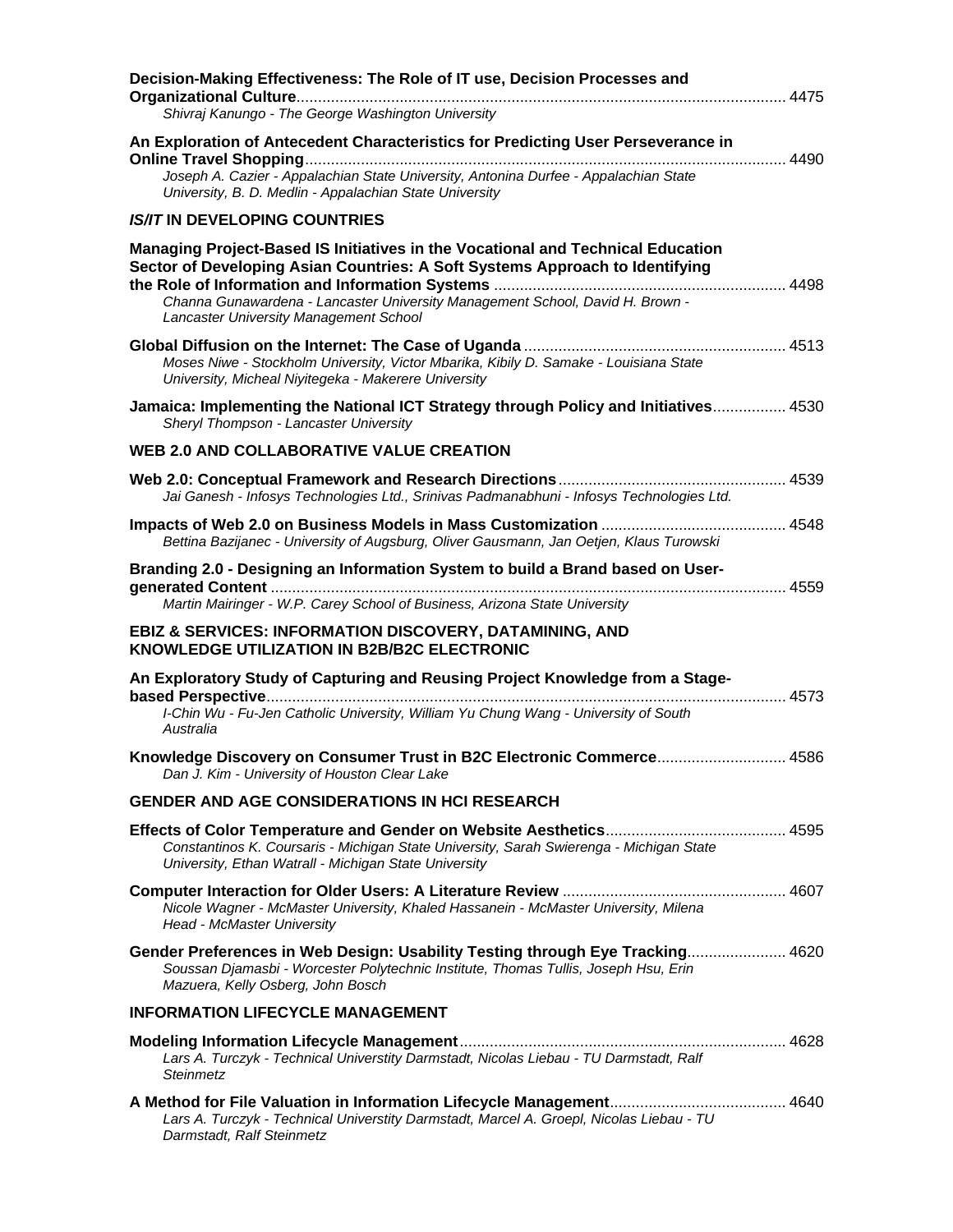| Decision-Making Effectiveness: The Role of IT use, Decision Processes and                                                                                                                                                                                                                  |  |
|--------------------------------------------------------------------------------------------------------------------------------------------------------------------------------------------------------------------------------------------------------------------------------------------|--|
| Shivraj Kanungo - The George Washington University                                                                                                                                                                                                                                         |  |
| An Exploration of Antecedent Characteristics for Predicting User Perseverance in                                                                                                                                                                                                           |  |
| Joseph A. Cazier - Appalachian State University, Antonina Durfee - Appalachian State<br>University, B. D. Medlin - Appalachian State University                                                                                                                                            |  |
| <b>IS/IT IN DEVELOPING COUNTRIES</b>                                                                                                                                                                                                                                                       |  |
| Managing Project-Based IS Initiatives in the Vocational and Technical Education<br>Sector of Developing Asian Countries: A Soft Systems Approach to Identifying<br>Channa Gunawardena - Lancaster University Management School, David H. Brown -<br>Lancaster University Management School |  |
| Moses Niwe - Stockholm University, Victor Mbarika, Kibily D. Samake - Louisiana State<br>University, Micheal Niyitegeka - Makerere University                                                                                                                                              |  |
| Jamaica: Implementing the National ICT Strategy through Policy and Initiatives 4530<br>Sheryl Thompson - Lancaster University                                                                                                                                                              |  |
| <b>WEB 2.0 AND COLLABORATIVE VALUE CREATION</b>                                                                                                                                                                                                                                            |  |
| Jai Ganesh - Infosys Technologies Ltd., Srinivas Padmanabhuni - Infosys Technologies Ltd.                                                                                                                                                                                                  |  |
| Bettina Bazijanec - University of Augsburg, Oliver Gausmann, Jan Oetjen, Klaus Turowski                                                                                                                                                                                                    |  |
| Branding 2.0 - Designing an Information System to build a Brand based on User-<br>Martin Mairinger - W.P. Carey School of Business, Arizona State University                                                                                                                               |  |
| <b>EBIZ &amp; SERVICES: INFORMATION DISCOVERY, DATAMINING, AND</b><br>KNOWLEDGE UTILIZATION IN B2B/B2C ELECTRONIC                                                                                                                                                                          |  |
| An Exploratory Study of Capturing and Reusing Project Knowledge from a Stage-                                                                                                                                                                                                              |  |
| I-Chin Wu - Fu-Jen Catholic University, William Yu Chung Wang - University of South<br>Australia                                                                                                                                                                                           |  |
| Knowledge Discovery on Consumer Trust in B2C Electronic Commerce 4586<br>Dan J. Kim - University of Houston Clear Lake                                                                                                                                                                     |  |
| <b>GENDER AND AGE CONSIDERATIONS IN HCI RESEARCH</b>                                                                                                                                                                                                                                       |  |
| Constantinos K. Coursaris - Michigan State University, Sarah Swierenga - Michigan State<br>University, Ethan Watrall - Michigan State University                                                                                                                                           |  |
| Nicole Wagner - McMaster University, Khaled Hassanein - McMaster University, Milena<br><b>Head - McMaster University</b>                                                                                                                                                                   |  |
| Gender Preferences in Web Design: Usability Testing through Eye Tracking 4620<br>Soussan Djamasbi - Worcester Polytechnic Institute, Thomas Tullis, Joseph Hsu, Erin<br>Mazuera, Kelly Osberg, John Bosch                                                                                  |  |
| <b>INFORMATION LIFECYCLE MANAGEMENT</b>                                                                                                                                                                                                                                                    |  |
| Lars A. Turczyk - Technical Universtity Darmstadt, Nicolas Liebau - TU Darmstadt, Ralf<br>Steinmetz                                                                                                                                                                                        |  |
| Lars A. Turczyk - Technical Universtity Darmstadt, Marcel A. Groepl, Nicolas Liebau - TU<br>Darmstadt, Ralf Steinmetz                                                                                                                                                                      |  |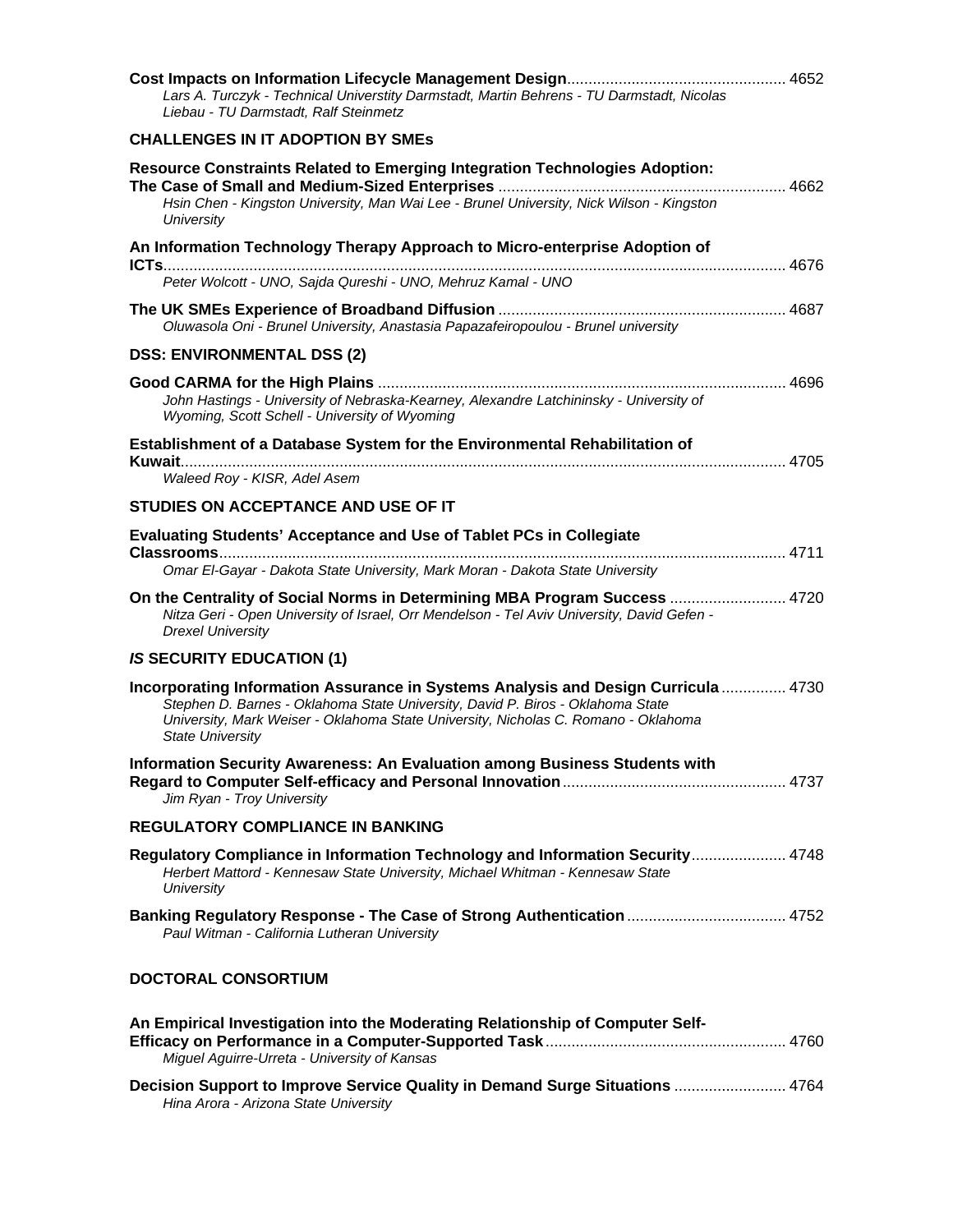| Lars A. Turczyk - Technical Universtity Darmstadt, Martin Behrens - TU Darmstadt, Nicolas<br>Liebau - TU Darmstadt, Ralf Steinmetz                                                                                                                                                    |  |
|---------------------------------------------------------------------------------------------------------------------------------------------------------------------------------------------------------------------------------------------------------------------------------------|--|
| <b>CHALLENGES IN IT ADOPTION BY SMES</b>                                                                                                                                                                                                                                              |  |
| <b>Resource Constraints Related to Emerging Integration Technologies Adoption:</b><br>Hsin Chen - Kingston University, Man Wai Lee - Brunel University, Nick Wilson - Kingston<br><b>University</b>                                                                                   |  |
| An Information Technology Therapy Approach to Micro-enterprise Adoption of                                                                                                                                                                                                            |  |
| Peter Wolcott - UNO, Sajda Qureshi - UNO, Mehruz Kamal - UNO                                                                                                                                                                                                                          |  |
| Oluwasola Oni - Brunel University, Anastasia Papazafeiropoulou - Brunel university                                                                                                                                                                                                    |  |
| <b>DSS: ENVIRONMENTAL DSS (2)</b>                                                                                                                                                                                                                                                     |  |
| John Hastings - University of Nebraska-Kearney, Alexandre Latchininsky - University of<br>Wyoming, Scott Schell - University of Wyoming                                                                                                                                               |  |
| Establishment of a Database System for the Environmental Rehabilitation of                                                                                                                                                                                                            |  |
| Waleed Roy - KISR, Adel Asem                                                                                                                                                                                                                                                          |  |
| STUDIES ON ACCEPTANCE AND USE OF IT                                                                                                                                                                                                                                                   |  |
| <b>Evaluating Students' Acceptance and Use of Tablet PCs in Collegiate</b><br>Omar El-Gayar - Dakota State University, Mark Moran - Dakota State University                                                                                                                           |  |
| On the Centrality of Social Norms in Determining MBA Program Success  4720<br>Nitza Geri - Open University of Israel, Orr Mendelson - Tel Aviv University, David Gefen -<br><b>Drexel University</b>                                                                                  |  |
| <b>IS SECURITY EDUCATION (1)</b>                                                                                                                                                                                                                                                      |  |
| Incorporating Information Assurance in Systems Analysis and Design Curricula  4730<br>Stephen D. Barnes - Oklahoma State University, David P. Biros - Oklahoma State<br>University, Mark Weiser - Oklahoma State University, Nicholas C. Romano - Oklahoma<br><b>State University</b> |  |
| Information Security Awareness: An Evaluation among Business Students with<br>Jim Ryan - Troy University                                                                                                                                                                              |  |
| <b>REGULATORY COMPLIANCE IN BANKING</b>                                                                                                                                                                                                                                               |  |
| Regulatory Compliance in Information Technology and Information Security 4748<br>Herbert Mattord - Kennesaw State University, Michael Whitman - Kennesaw State<br><b>University</b>                                                                                                   |  |
| Banking Regulatory Response - The Case of Strong Authentication  4752<br>Paul Witman - California Lutheran University                                                                                                                                                                 |  |
| <b>DOCTORAL CONSORTIUM</b>                                                                                                                                                                                                                                                            |  |
| An Empirical Investigation into the Moderating Relationship of Computer Self-<br>Miguel Aguirre-Urreta - University of Kansas                                                                                                                                                         |  |
| Decision Support to Improve Service Quality in Demand Surge Situations  4764<br>Hina Arora - Arizona State University                                                                                                                                                                 |  |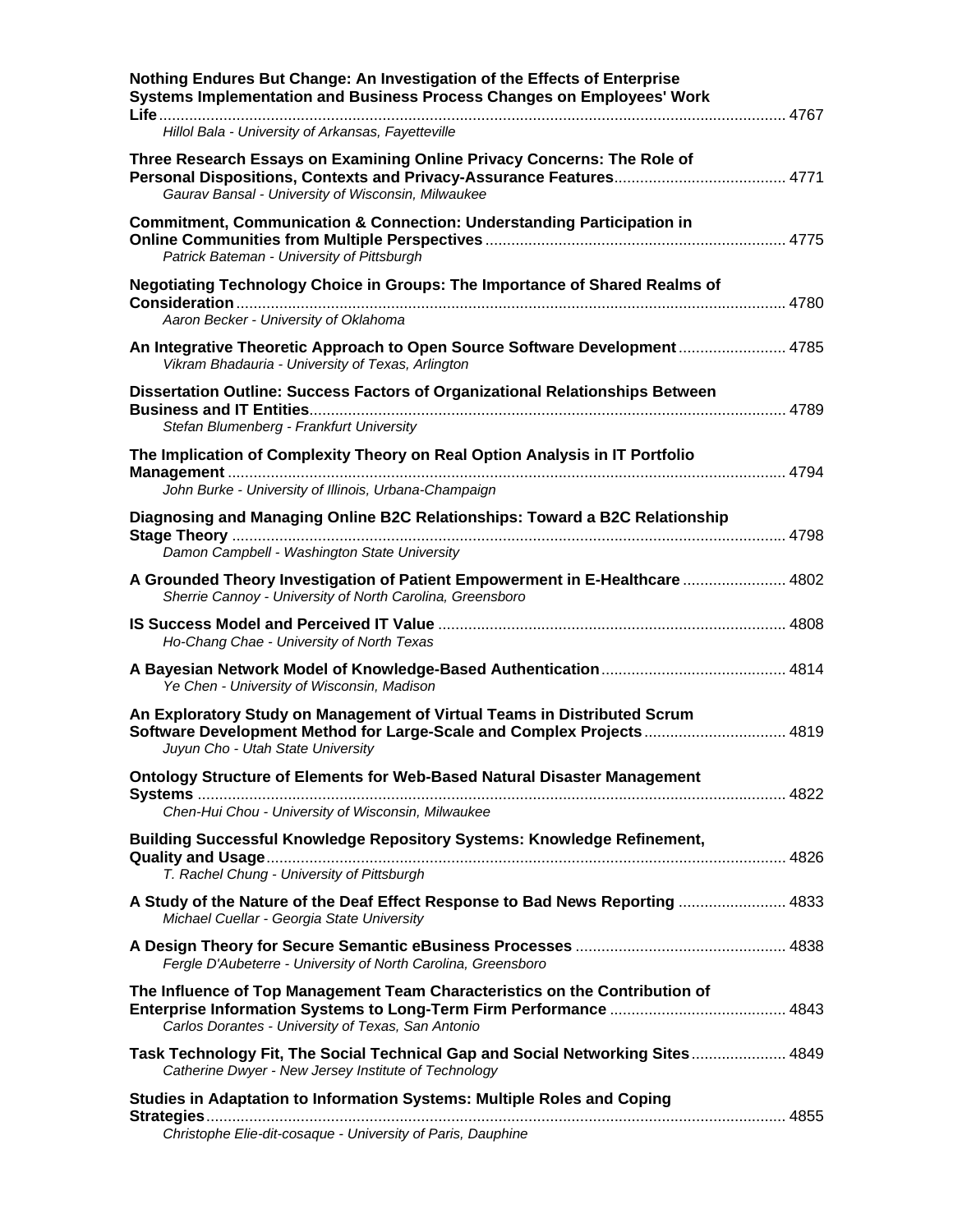| Nothing Endures But Change: An Investigation of the Effects of Enterprise<br>Systems Implementation and Business Process Changes on Employees' Work                                    |  |
|----------------------------------------------------------------------------------------------------------------------------------------------------------------------------------------|--|
| Hillol Bala - University of Arkansas, Fayetteville                                                                                                                                     |  |
| Three Research Essays on Examining Online Privacy Concerns: The Role of<br>Gaurav Bansal - University of Wisconsin, Milwaukee                                                          |  |
| <b>Commitment, Communication &amp; Connection: Understanding Participation in</b><br>Patrick Bateman - University of Pittsburgh                                                        |  |
| Negotiating Technology Choice in Groups: The Importance of Shared Realms of<br>Aaron Becker - University of Oklahoma                                                                   |  |
| An Integrative Theoretic Approach to Open Source Software Development 4785<br>Vikram Bhadauria - University of Texas, Arlington                                                        |  |
| Dissertation Outline: Success Factors of Organizational Relationships Between<br>Stefan Blumenberg - Frankfurt University                                                              |  |
| The Implication of Complexity Theory on Real Option Analysis in IT Portfolio                                                                                                           |  |
| John Burke - University of Illinois, Urbana-Champaign                                                                                                                                  |  |
| Diagnosing and Managing Online B2C Relationships: Toward a B2C Relationship<br>Damon Campbell - Washington State University                                                            |  |
| A Grounded Theory Investigation of Patient Empowerment in E-Healthcare  4802<br>Sherrie Cannoy - University of North Carolina, Greensboro                                              |  |
| Ho-Chang Chae - University of North Texas                                                                                                                                              |  |
| Ye Chen - University of Wisconsin, Madison                                                                                                                                             |  |
| An Exploratory Study on Management of Virtual Teams in Distributed Scrum<br>Software Development Method for Large-Scale and Complex Projects 4819<br>Juyun Cho - Utah State University |  |
| Ontology Structure of Elements for Web-Based Natural Disaster Management<br>Chen-Hui Chou - University of Wisconsin, Milwaukee                                                         |  |
| Building Successful Knowledge Repository Systems: Knowledge Refinement,<br>T. Rachel Chung - University of Pittsburgh                                                                  |  |
| A Study of the Nature of the Deaf Effect Response to Bad News Reporting  4833<br>Michael Cuellar - Georgia State University                                                            |  |
| Fergle D'Aubeterre - University of North Carolina, Greensboro                                                                                                                          |  |
| The Influence of Top Management Team Characteristics on the Contribution of<br>Carlos Dorantes - University of Texas, San Antonio                                                      |  |
| Task Technology Fit, The Social Technical Gap and Social Networking Sites 4849<br>Catherine Dwyer - New Jersey Institute of Technology                                                 |  |
| Studies in Adaptation to Information Systems: Multiple Roles and Coping<br>Strategies<br>Christophe Elie-dit-cosaque - University of Paris, Dauphine                                   |  |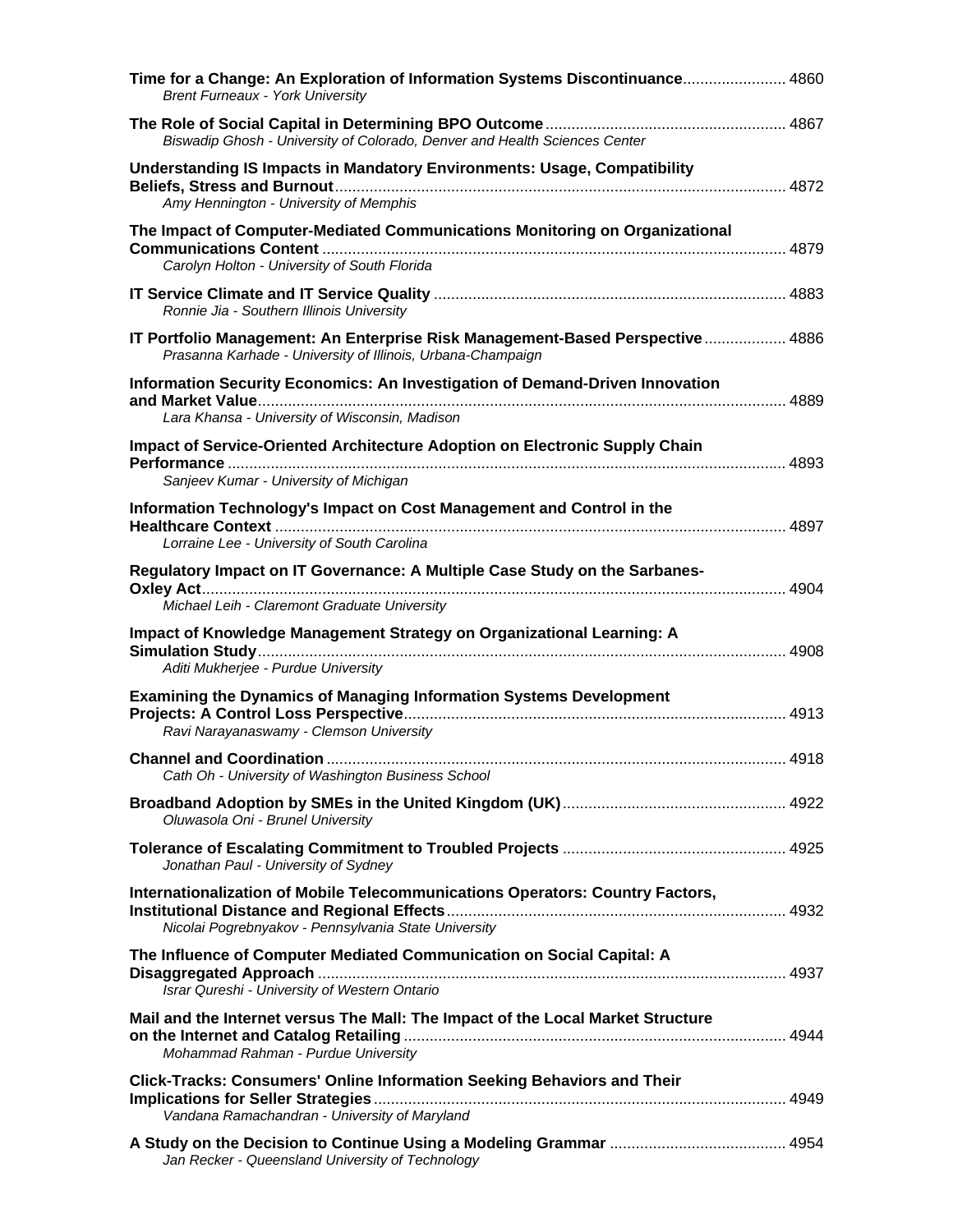| Time for a Change: An Exploration of Information Systems Discontinuance 4860<br><b>Brent Furneaux - York University</b>                       |  |
|-----------------------------------------------------------------------------------------------------------------------------------------------|--|
| Biswadip Ghosh - University of Colorado, Denver and Health Sciences Center                                                                    |  |
| <b>Understanding IS Impacts in Mandatory Environments: Usage, Compatibility</b><br>Amy Hennington - University of Memphis                     |  |
| The Impact of Computer-Mediated Communications Monitoring on Organizational<br>Carolyn Holton - University of South Florida                   |  |
| Ronnie Jia - Southern Illinois University                                                                                                     |  |
| IT Portfolio Management: An Enterprise Risk Management-Based Perspective  4886<br>Prasanna Karhade - University of Illinois, Urbana-Champaign |  |
| Information Security Economics: An Investigation of Demand-Driven Innovation<br>Lara Khansa - University of Wisconsin, Madison                |  |
| Impact of Service-Oriented Architecture Adoption on Electronic Supply Chain<br>Sanjeev Kumar - University of Michigan                         |  |
| Information Technology's Impact on Cost Management and Control in the<br>Lorraine Lee - University of South Carolina                          |  |
| Regulatory Impact on IT Governance: A Multiple Case Study on the Sarbanes-                                                                    |  |
| Michael Leih - Claremont Graduate University                                                                                                  |  |
| Impact of Knowledge Management Strategy on Organizational Learning: A<br>Aditi Mukherjee - Purdue University                                  |  |
| <b>Examining the Dynamics of Managing Information Systems Development</b><br>Ravi Narayanaswamy - Clemson University                          |  |
| Cath Oh - University of Washington Business School                                                                                            |  |
| Oluwasola Oni - Brunel University                                                                                                             |  |
| Jonathan Paul - University of Sydney                                                                                                          |  |
| Internationalization of Mobile Telecommunications Operators: Country Factors,<br>Nicolai Pogrebnyakov - Pennsylvania State University         |  |
| The Influence of Computer Mediated Communication on Social Capital: A<br>Israr Qureshi - University of Western Ontario                        |  |
| Mail and the Internet versus The Mall: The Impact of the Local Market Structure<br>Mohammad Rahman - Purdue University                        |  |
| <b>Click-Tracks: Consumers' Online Information Seeking Behaviors and Their</b><br>Vandana Ramachandran - University of Maryland               |  |